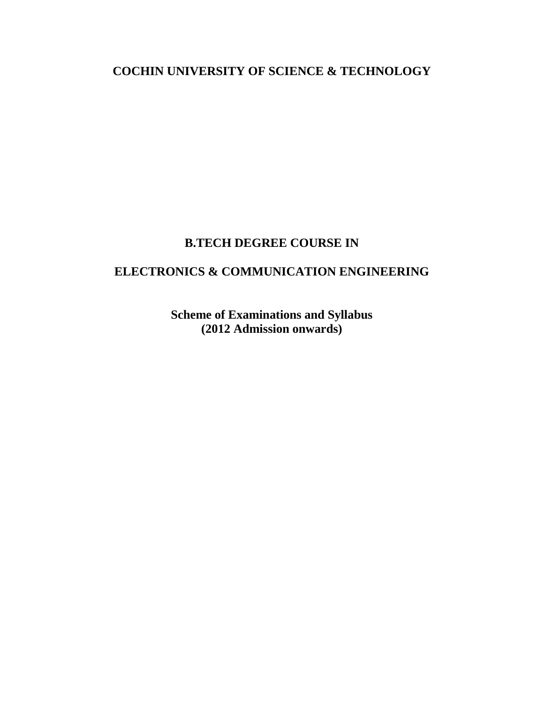**COCHIN UNIVERSITY OF SCIENCE & TECHNOLOGY**

# **B.TECH DEGREE COURSE IN**

# **ELECTRONICS & COMMUNICATION ENGINEERING**

**Scheme of Examinations and Syllabus (2012 Admission onwards)**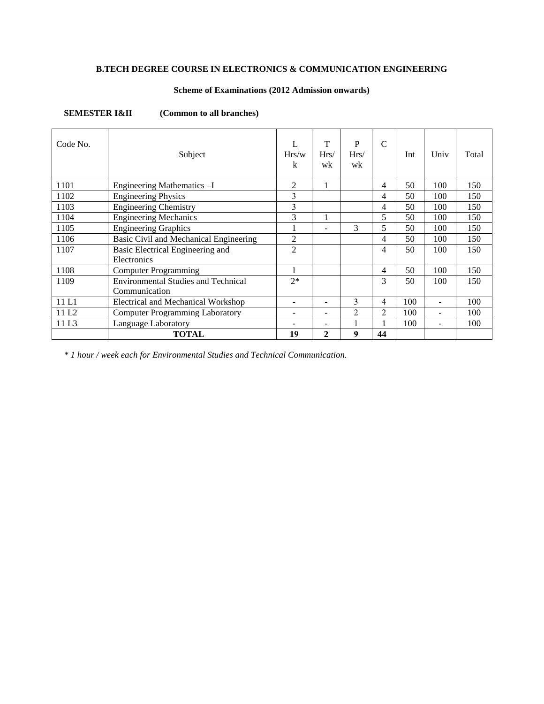# **B.TECH DEGREE COURSE IN ELECTRONICS & COMMUNICATION ENGINEERING**

# **Scheme of Examinations (2012 Admission onwards)**

**SEMESTER I&II** (Common to all branches)

| Code No.          | Subject                                                     | Hrs/w<br>k     | T<br>Hrs/<br>wk          | P<br>Hrs/<br>wk | $\mathcal{C}$ | Int | Univ | Total |
|-------------------|-------------------------------------------------------------|----------------|--------------------------|-----------------|---------------|-----|------|-------|
| 1101              | Engineering Mathematics -I                                  | 2              | 1                        |                 | 4             | 50  | 100  | 150   |
| 1102              | <b>Engineering Physics</b>                                  | 3              |                          |                 | 4             | 50  | 100  | 150   |
| 1103              | Engineering Chemistry                                       | 3              |                          |                 | 4             | 50  | 100  | 150   |
| 1104              | <b>Engineering Mechanics</b>                                | 3              |                          |                 | 5             | 50  | 100  | 150   |
| 1105              | <b>Engineering Graphics</b>                                 |                | $\overline{\phantom{a}}$ | 3               | 5             | 50  | 100  | 150   |
| 1106              | Basic Civil and Mechanical Engineering                      | $\overline{2}$ |                          |                 | 4             | 50  | 100  | 150   |
| 1107              | Basic Electrical Engineering and<br>Electronics             | $\overline{2}$ |                          |                 | 4             | 50  | 100  | 150   |
| 1108              | <b>Computer Programming</b>                                 |                |                          |                 | 4             | 50  | 100  | 150   |
| 1109              | <b>Environmental Studies and Technical</b><br>Communication | $2*$           |                          |                 | 3             | 50  | 100  | 150   |
| 11 L1             | <b>Electrical and Mechanical Workshop</b>                   |                | ۰                        | 3               | 4             | 100 |      | 100   |
| 11 L <sub>2</sub> | <b>Computer Programming Laboratory</b>                      |                | ۰                        | $\overline{2}$  | 2             | 100 |      | 100   |
| 11 L <sub>3</sub> | Language Laboratory                                         |                | -                        |                 |               | 100 |      | 100   |
|                   | <b>TOTAL</b>                                                | 19             | $\overline{2}$           | 9               | 44            |     |      |       |

*\* 1 hour / week each for Environmental Studies and Technical Communication.*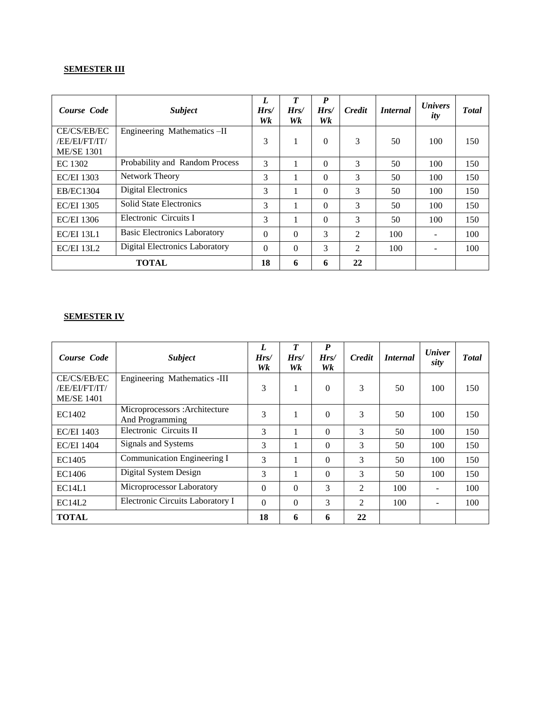# **SEMESTER III**

| Course Code                                       | <b>Subject</b>                        | L<br>Hrs/<br>Wk | $\boldsymbol{T}$<br>Hrs/<br>Wk | $\boldsymbol{P}$<br>Hrs/<br>Wk | <b>Credit</b> | <i>Internal</i> | <i>Univers</i><br>ity | <b>T</b> otal |
|---------------------------------------------------|---------------------------------------|-----------------|--------------------------------|--------------------------------|---------------|-----------------|-----------------------|---------------|
| CE/CS/EB/EC<br>/EE/EI/FT/IT/<br><b>ME/SE 1301</b> | Engineering Mathematics-II            | 3               | 1                              | $\Omega$                       | 3             | 50              | 100                   | 150           |
| EC 1302                                           | Probability and Random Process        | 3               |                                | $\Omega$                       | 3             | 50              | 100                   | 150           |
| <b>EC/EI 1303</b>                                 | <b>Network Theory</b>                 | 3               |                                | $\Omega$                       | 3             | 50              | 100                   | 150           |
| <b>EB/EC1304</b>                                  | <b>Digital Electronics</b>            | 3               |                                | $\Omega$                       | 3             | 50              | 100                   | 150           |
| <b>EC/EI 1305</b>                                 | <b>Solid State Electronics</b>        | 3               |                                | $\Omega$                       | 3             | 50              | 100                   | 150           |
| <b>EC/EI 1306</b>                                 | Electronic Circuits I                 | 3               |                                | $\Omega$                       | 3             | 50              | 100                   | 150           |
| <b>EC/EI 13L1</b>                                 | <b>Basic Electronics Laboratory</b>   | $\Omega$        | $\Omega$                       | 3                              | 2             | 100             |                       | 100           |
| EC/EI 13L2                                        | <b>Digital Electronics Laboratory</b> | $\Omega$        | $\Omega$                       | 3                              | 2             | 100             |                       | 100           |
| <b>TOTAL</b>                                      |                                       |                 | 6                              | 6                              | 22            |                 |                       |               |

# **SEMESTER IV**

| Course Code                                       | <b>Subject</b>                                   | L<br>Hrs/<br>Wk | $\boldsymbol{T}$<br>Hrs/<br>Wk | P<br>Hrs/<br>Wk | <b>Credit</b> | <i>Internal</i> | <b><i>Univer</i></b><br>sity | <b>T</b> otal |
|---------------------------------------------------|--------------------------------------------------|-----------------|--------------------------------|-----------------|---------------|-----------------|------------------------------|---------------|
| CE/CS/EB/EC<br>/EE/EI/FT/IT/<br><b>ME/SE 1401</b> | Engineering Mathematics -III                     | 3               | 1                              | $\Omega$        | 3             | 50              | 100                          | 150           |
| EC1402                                            | Microprocessors: Architecture<br>And Programming | 3               |                                | $\Omega$        | 3             | 50              | 100                          | 150           |
| <b>EC/EI 1403</b>                                 | Electronic Circuits II                           | 3               |                                | 0               | 3             | 50              | 100                          | 150           |
| <b>EC/EI 1404</b>                                 | Signals and Systems                              | 3               |                                | $\Omega$        | 3             | 50              | 100                          | 150           |
| EC1405                                            | Communication Engineering I                      | 3               |                                | $\Omega$        | 3             | 50              | 100                          | 150           |
| EC1406                                            | Digital System Design                            | 3               |                                | $\Omega$        | 3             | 50              | 100                          | 150           |
| EC14L1                                            | Microprocessor Laboratory                        | $\Omega$        | $\Omega$                       | 3               | 2             | 100             |                              | 100           |
| EC14L2                                            | Electronic Circuits Laboratory I                 | $\Omega$        | $\Omega$                       | 3               | 2             | 100             |                              | 100           |
| <b>TOTAL</b>                                      |                                                  | 18              | 6                              | 6               | 22            |                 |                              |               |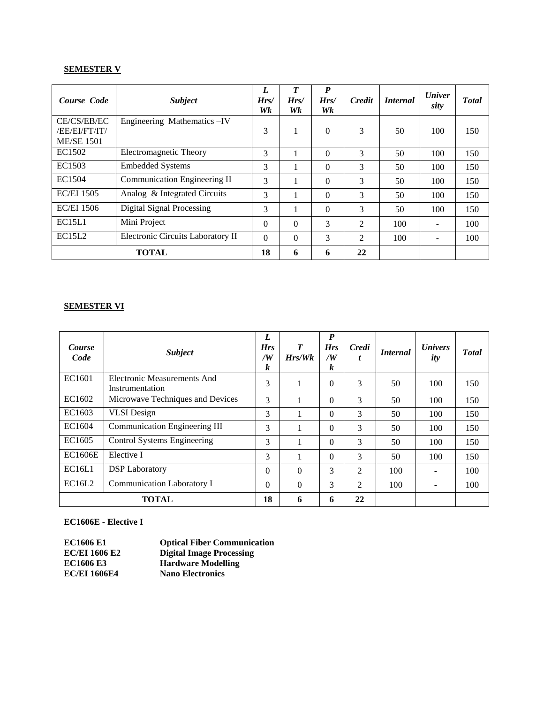# **SEMESTER V**

| Course Code                        | <b>Subject</b>                    | L<br>Hrs/<br>Wk | $\boldsymbol{T}$<br>Hrs/<br>Wk | $\boldsymbol{P}$<br>Hrs/<br>Wk | <b>Credit</b> | <i>Internal</i> | <b><i>Univer</i></b><br>sity | <b>Total</b> |
|------------------------------------|-----------------------------------|-----------------|--------------------------------|--------------------------------|---------------|-----------------|------------------------------|--------------|
| CE/CS/EB/EC                        | Engineering Mathematics - IV      |                 |                                |                                |               |                 |                              |              |
| /EE/EI/FT/IT/<br><b>ME/SE 1501</b> |                                   | 3               |                                | $\Omega$                       | 3             | 50              | 100                          | 150          |
| EC1502                             | <b>Electromagnetic Theory</b>     | 3               |                                | 0                              | 3             | 50              | 100                          | 150          |
| EC1503                             | <b>Embedded Systems</b>           | 3               |                                | 0                              | 3             | 50              | 100                          | 150          |
| EC1504                             | Communication Engineering II      | 3               |                                | 0                              | 3             | 50              | 100                          | 150          |
| <b>EC/EI 1505</b>                  | Analog & Integrated Circuits      | 3               |                                | 0                              | 3             | 50              | 100                          | 150          |
| <b>EC/EI 1506</b>                  | <b>Digital Signal Processing</b>  | 3               |                                | 0                              | 3             | 50              | 100                          | 150          |
| EC15L1                             | Mini Project                      | $\Omega$        | $\Omega$                       | 3                              | 2             | 100             |                              | 100          |
| EC15L2                             | Electronic Circuits Laboratory II | $\Omega$        | $\Omega$                       | 3                              | 2             | 100             |                              | 100          |
| <b>TOTAL</b>                       |                                   | 18              | 6                              | 6                              | 22            |                 |                              |              |

# **SEMESTER VI**

| Course<br>Code | <b>Subject</b>                                        | L<br><b>Hrs</b><br>/W<br>k | $\boldsymbol{T}$<br>Hrs/Wk | P<br><b>Hrs</b><br>/W<br>k | Credi<br>ı | <i>Internal</i> | <i>Univers</i><br>ity | <b>T</b> otal |
|----------------|-------------------------------------------------------|----------------------------|----------------------------|----------------------------|------------|-----------------|-----------------------|---------------|
| EC1601         | <b>Electronic Measurements And</b><br>Instrumentation | 3                          | 1                          | $\Omega$                   | 3          | 50              | 100                   | 150           |
| EC1602         | Microwave Techniques and Devices                      | 3                          |                            | $\Omega$                   | 3          | 50              | 100                   | 150           |
| EC1603         | <b>VLSI</b> Design                                    | 3                          |                            | $\Omega$                   | 3          | 50              | 100                   | 150           |
| EC1604         | Communication Engineering III                         | 3                          |                            | $\Omega$                   | 3          | 50              | 100                   | 150           |
| EC1605         | Control Systems Engineering                           | 3                          |                            | $\Omega$                   | 3          | 50              | 100                   | 150           |
| <b>EC1606E</b> | Elective I                                            | 3                          |                            | $\Omega$                   | 3          | 50              | 100                   | 150           |
| EC16L1         | <b>DSP</b> Laboratory                                 | $\Omega$                   | $\Omega$                   | 3                          | 2          | 100             |                       | 100           |
| <b>EC16L2</b>  | Communication Laboratory I                            | $\Omega$                   | $\Omega$                   | 3                          | 2          | 100             |                       | 100           |
| <b>TOTAL</b>   |                                                       | 18                         | 6                          | 6                          | 22         |                 |                       |               |

# **EC1606E - Elective I**

| <b>EC1606 E1</b>     | <b>Optical Fiber Communication</b> |
|----------------------|------------------------------------|
| <b>EC/EI 1606 E2</b> | <b>Digital Image Processing</b>    |
| <b>EC1606 E3</b>     | <b>Hardware Modelling</b>          |
| <b>EC/EI 1606E4</b>  | <b>Nano Electronics</b>            |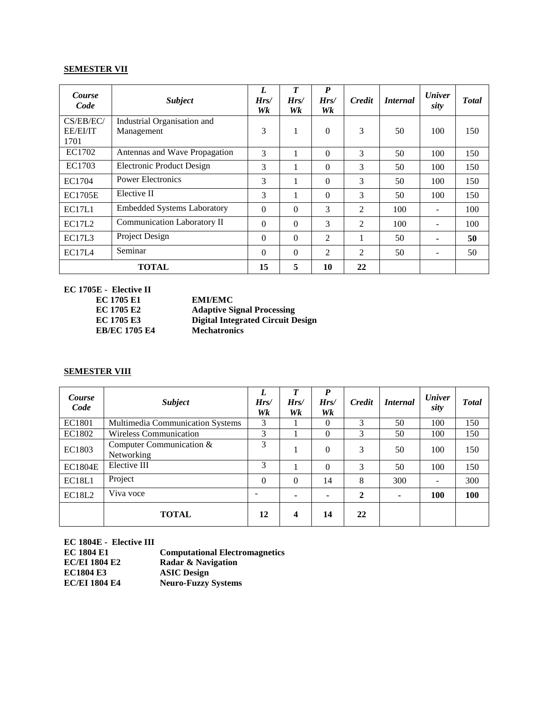# **SEMESTER VII**

| Course<br>Code        | <b>Subject</b>                            | L<br>Hrs/<br>Wk | T<br>Hrs/<br>Wk | $\boldsymbol{P}$<br>Hrs/<br>Wk | <b>Credit</b>  | <i>Internal</i> | <b><i>Univer</i></b><br>sity | <b>Total</b> |
|-----------------------|-------------------------------------------|-----------------|-----------------|--------------------------------|----------------|-----------------|------------------------------|--------------|
| CS/EB/EC/<br>EE/EI/IT | Industrial Organisation and<br>Management | 3               | 1               | $\Omega$                       | 3              | 50              | 100                          | 150          |
| 1701<br>EC1702        | Antennas and Wave Propagation             | 3               | 1               | $\Omega$                       | 3              | 50              | 100                          | 150          |
| EC1703                | <b>Electronic Product Design</b>          | 3               |                 | $\Omega$                       | 3              | 50              | 100                          | 150          |
| EC1704                | <b>Power Electronics</b>                  | 3               | 1               | $\Omega$                       | 3              | 50              | 100                          | 150          |
| <b>EC1705E</b>        | Elective II                               | 3               |                 | $\Omega$                       | 3              | 50              | 100                          | 150          |
| <b>EC17L1</b>         | <b>Embedded Systems Laboratory</b>        | $\theta$        | $\Omega$        | 3                              | 2              | 100             |                              | 100          |
| <b>EC17L2</b>         | Communication Laboratory II               | $\theta$        | $\Omega$        | 3                              | $\overline{2}$ | 100             |                              | 100          |
| EC17L3                | Project Design                            | $\theta$        | $\Omega$        | 2                              | 1              | 50              |                              | 50           |
| EC17L4                | Seminar                                   | $\Omega$        | $\Omega$        | 2                              | 2              | 50              |                              | 50           |
| <b>TOTAL</b>          |                                           |                 | 5               | 10                             | 22             |                 |                              |              |

**EC 1705E - Elective II**

**EC 1705 E1 EMI/EMC EC 1705 E2 Adaptive Signal Processing EC 1705 E3 Digital Integrated Circuit Design EB/EC** 1705<sub>**E4**</sub>

# **SEMESTER VIII**

| <i>Course</i><br>Code | <b>Subject</b>                           | L<br>Hrs/<br>Wk | T<br>Hrs/<br>Wk | $\boldsymbol{P}$<br>Hrs/<br>Wk | <b>Credit</b> | <i>Internal</i> | <b><i>Univer</i></b><br>sity | <b>T</b> otal |
|-----------------------|------------------------------------------|-----------------|-----------------|--------------------------------|---------------|-----------------|------------------------------|---------------|
| EC1801                | Multimedia Communication Systems         | 3               |                 | $\Omega$                       | 3             | 50              | 100                          | 150           |
| EC1802                | <b>Wireless Communication</b>            | 3               |                 | $\Omega$                       | 3             | 50              | 100                          | 150           |
| EC1803                | Computer Communication $&$<br>Networking | 3               |                 | $\Omega$                       | 3             | 50              | 100                          | 150           |
| <b>EC1804E</b>        | Elective III                             | 3               |                 | $\Omega$                       | 3             | 50              | 100                          | 150           |
| EC18L1                | Project                                  | $\Omega$        | 0               | 14                             | 8             | 300             |                              | 300           |
| <b>EC18L2</b>         | Viva voce                                |                 |                 |                                | $\mathbf{2}$  | ۰               | 100                          | 100           |
|                       | <b>TOTAL</b>                             | 12              | 4               | 14                             | 22            |                 |                              |               |

| EC 1804E - Elective III |                                       |
|-------------------------|---------------------------------------|
| <b>EC 1804 E1</b>       | <b>Computational Electromagnetics</b> |
| <b>EC/EI 1804 E2</b>    | Radar & Navigation                    |
| <b>EC1804 E3</b>        | <b>ASIC Design</b>                    |
| <b>EC/EI 1804 E4</b>    | <b>Neuro-Fuzzy Systems</b>            |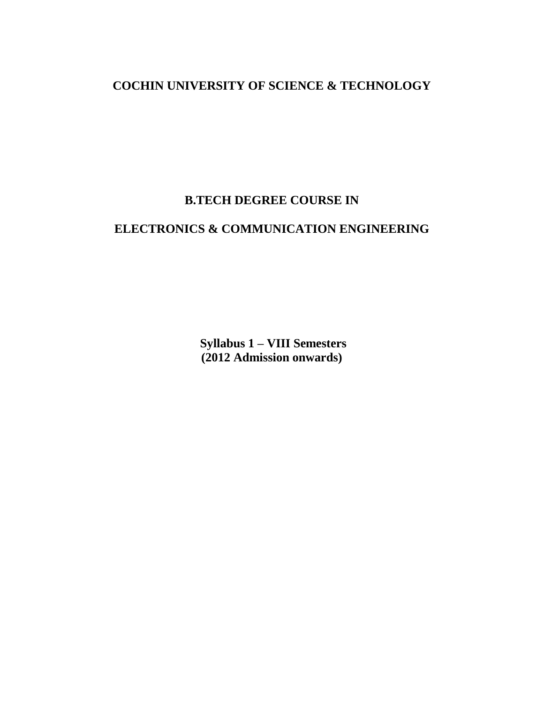# **COCHIN UNIVERSITY OF SCIENCE & TECHNOLOGY**

# **B.TECH DEGREE COURSE IN**

# **ELECTRONICS & COMMUNICATION ENGINEERING**

**Syllabus 1 – VIII Semesters (2012 Admission onwards)**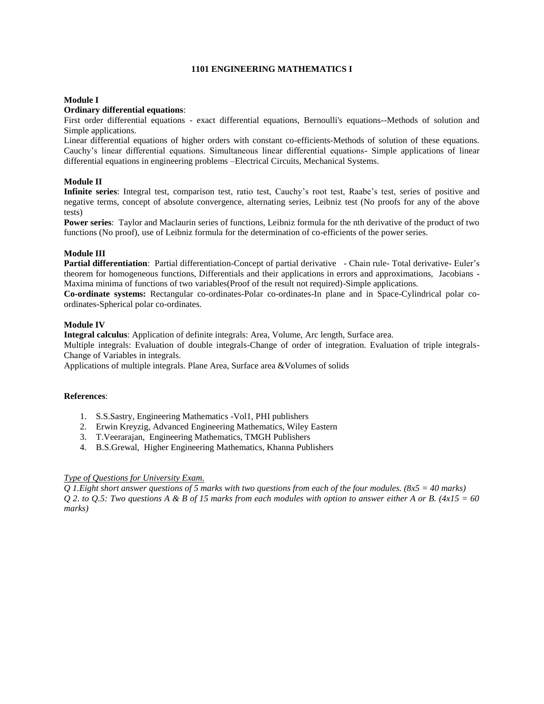# **1101 ENGINEERING MATHEMATICS I**

# **Module I**

# **Ordinary differential equations**:

First order differential equations - exact differential equations, Bernoulli's equations--Methods of solution and Simple applications.

Linear differential equations of higher orders with constant co-efficients-Methods of solution of these equations. Cauchy's linear differential equations. Simultaneous linear differential equations- Simple applications of linear differential equations in engineering problems –Electrical Circuits, Mechanical Systems.

# **Module II**

**Infinite series**: Integral test, comparison test, ratio test, Cauchy's root test, Raabe's test, series of positive and negative terms, concept of absolute convergence, alternating series, Leibniz test (No proofs for any of the above tests)

**Power series**: Taylor and Maclaurin series of functions, Leibniz formula for the nth derivative of the product of two functions (No proof), use of Leibniz formula for the determination of co-efficients of the power series.

### **Module III**

**Partial differentiation**: Partial differentiation-Concept of partial derivative - Chain rule- Total derivative- Euler's theorem for homogeneous functions, Differentials and their applications in errors and approximations, Jacobians - Maxima minima of functions of two variables(Proof of the result not required)-Simple applications.

**Co-ordinate systems:** Rectangular co-ordinates-Polar co-ordinates-In plane and in Space-Cylindrical polar coordinates-Spherical polar co-ordinates.

## **Module IV**

**Integral calculus**: Application of definite integrals: Area, Volume, Arc length, Surface area.

Multiple integrals: Evaluation of double integrals-Change of order of integration. Evaluation of triple integrals-Change of Variables in integrals.

Applications of multiple integrals. Plane Area, Surface area &Volumes of solids

#### **References**:

- 1. S.S.Sastry, Engineering Mathematics -Vol1, PHI publishers
- 2. Erwin Kreyzig, Advanced Engineering Mathematics, Wiley Eastern
- 3. T.Veerarajan, Engineering Mathematics, TMGH Publishers
- 4. B.S.Grewal, Higher Engineering Mathematics, Khanna Publishers

# *Type of Questions for University Exam.*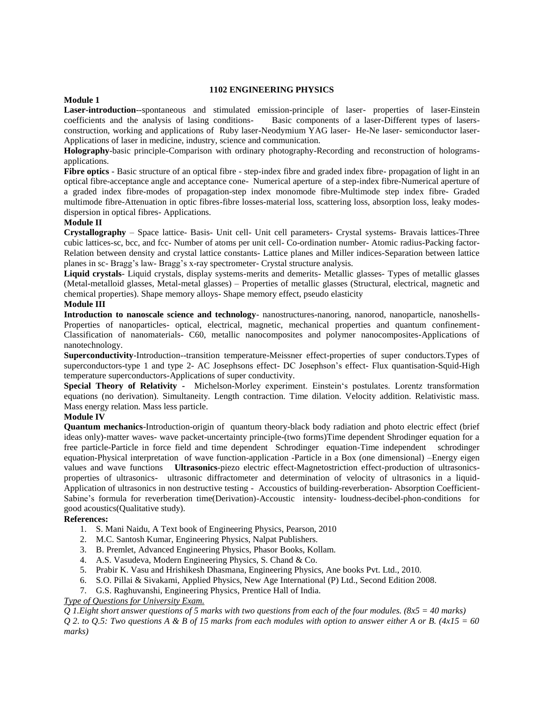#### **1102 ENGINEERING PHYSICS**

# **Module 1**

**Laser-introduction**--spontaneous and stimulated emission-principle of laser- properties of laser-Einstein coefficients and the analysis of lasing conditions- Basic components of a laser-Different types of lasersconstruction, working and applications of Ruby laser-Neodymium YAG laser- He-Ne laser- semiconductor laser-Applications of laser in medicine, industry, science and communication.

**Holography**-basic principle-Comparison with ordinary photography-Recording and reconstruction of hologramsapplications.

**Fibre optics** - Basic structure of an optical fibre - step-index fibre and graded index fibre- propagation of light in an optical fibre-acceptance angle and acceptance cone- Numerical aperture of a step-index fibre-Numerical aperture of a graded index fibre-modes of propagation-step index monomode fibre-Multimode step index fibre- Graded multimode fibre-Attenuation in optic fibres-fibre losses-material loss, scattering loss, absorption loss, leaky modesdispersion in optical fibres- Applications.

#### **Module II**

**Crystallography** – Space lattice- Basis- Unit cell- Unit cell parameters- Crystal systems- Bravais lattices-Three cubic lattices-sc, bcc, and fcc- Number of atoms per unit cell- Co-ordination number- Atomic radius-Packing factor-Relation between density and crystal lattice constants- Lattice planes and Miller indices-Separation between lattice planes in sc- Bragg's law- Bragg's x-ray spectrometer- Crystal structure analysis.

**Liquid crystals**- Liquid crystals, display systems-merits and demerits- Metallic glasses- Types of metallic glasses (Metal-metalloid glasses, Metal-metal glasses) – Properties of metallic glasses (Structural, electrical, magnetic and chemical properties). Shape memory alloys- Shape memory effect, pseudo elasticity

#### **Module III**

**Introduction to nanoscale science and technology**- nanostructures-nanoring, nanorod, nanoparticle, nanoshells-Properties of nanoparticles- optical, electrical, magnetic, mechanical properties and quantum confinement-Classification of nanomaterials- C60, metallic nanocomposites and polymer nanocomposites-Applications of nanotechnology.

**Superconductivity**-Introduction--transition temperature-Meissner effect-properties of super conductors.Types of superconductors-type 1 and type 2- AC Josephsons effect- DC Josephson's effect- Flux quantisation-Squid-High temperature superconductors-Applications of super conductivity.

**Special Theory of Relativity -** Michelson-Morley experiment. Einstein's postulates. Lorentz transformation equations (no derivation). Simultaneity. Length contraction. Time dilation. Velocity addition. Relativistic mass. Mass energy relation. Mass less particle.

#### **Module IV**

**Quantum mechanics**-Introduction-origin of quantum theory-black body radiation and photo electric effect (brief ideas only)-matter waves- wave packet-uncertainty principle-(two forms)Time dependent Shrodinger equation for a free particle-Particle in force field and time dependent Schrodinger equation-Time independent schrodinger equation-Physical interpretation of wave function-application -Particle in a Box (one dimensional) –Energy eigen values and wave functions **Ultrasonics**-piezo electric effect-Magnetostriction effect-production of ultrasonicsproperties of ultrasonics- ultrasonic diffractometer and determination of velocity of ultrasonics in a liquid-Application of ultrasonics in non destructive testing - Accoustics of building-reverberation- Absorption Coefficient-Sabine's formula for reverberation time(Derivation)-Accoustic intensity- loudness-decibel-phon-conditions for good acoustics(Qualitative study).

#### **References:**

- 1. S. Mani Naidu, A Text book of Engineering Physics, Pearson, 2010
- 2. M.C. Santosh Kumar, Engineering Physics, Nalpat Publishers.
- 3. B. Premlet, Advanced Engineering Physics, Phasor Books, Kollam.
- 4. A.S. Vasudeva, Modern Engineering Physics, S. Chand & Co.
- 5. Prabir K. Vasu and Hrishikesh Dhasmana, Engineering Physics, Ane books Pvt. Ltd., 2010.
- 6. S.O. Pillai & Sivakami, Applied Physics, New Age International (P) Ltd., Second Edition 2008.
- 7. G.S. Raghuvanshi, Engineering Physics, Prentice Hall of India.

# *Type of Questions for University Exam.*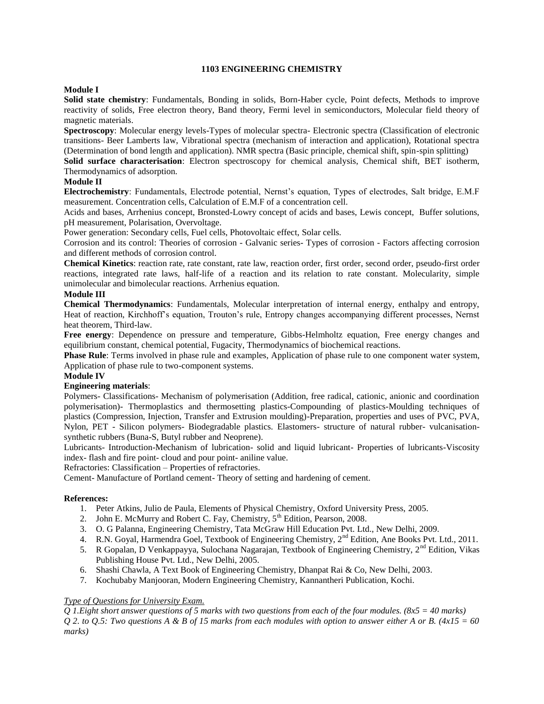# **1103 ENGINEERING CHEMISTRY**

# **Module I**

**Solid state chemistry**: Fundamentals, Bonding in solids, Born-Haber cycle, Point defects, Methods to improve reactivity of solids, Free electron theory, Band theory, Fermi level in semiconductors, Molecular field theory of magnetic materials.

**Spectroscopy**: Molecular energy levels-Types of molecular spectra- Electronic spectra (Classification of electronic transitions- Beer Lamberts law, Vibrational spectra (mechanism of interaction and application), Rotational spectra (Determination of bond length and application). NMR spectra (Basic principle, chemical shift, spin-spin splitting)

**Solid surface characterisation**: Electron spectroscopy for chemical analysis, Chemical shift, BET isotherm, Thermodynamics of adsorption.

# **Module II**

**Electrochemistry**: Fundamentals, Electrode potential, Nernst's equation, Types of electrodes, Salt bridge, E.M.F measurement. Concentration cells, Calculation of E.M.F of a concentration cell.

Acids and bases, Arrhenius concept, Bronsted-Lowry concept of acids and bases, Lewis concept, Buffer solutions, pH measurement, Polarisation, Overvoltage.

Power generation: Secondary cells, Fuel cells, Photovoltaic effect, Solar cells.

Corrosion and its control: Theories of corrosion - Galvanic series- Types of corrosion - Factors affecting corrosion and different methods of corrosion control.

**Chemical Kinetics**: reaction rate, rate constant, rate law, reaction order, first order, second order, pseudo-first order reactions, integrated rate laws, half-life of a reaction and its relation to rate constant. Molecularity, simple unimolecular and bimolecular reactions. Arrhenius equation.

### **Module III**

**Chemical Thermodynamics**: Fundamentals, Molecular interpretation of internal energy, enthalpy and entropy, Heat of reaction, Kirchhoff's equation, Trouton's rule, Entropy changes accompanying different processes, Nernst heat theorem, Third-law.

**Free energy**: Dependence on pressure and temperature, Gibbs-Helmholtz equation, Free energy changes and equilibrium constant, chemical potential, Fugacity, Thermodynamics of biochemical reactions.

**Phase Rule**: Terms involved in phase rule and examples, Application of phase rule to one component water system, Application of phase rule to two-component systems.

#### **Module IV**

# **Engineering materials**:

Polymers- Classifications- Mechanism of polymerisation (Addition, free radical, cationic, anionic and coordination polymerisation)- Thermoplastics and thermosetting plastics-Compounding of plastics-Moulding techniques of plastics (Compression, Injection, Transfer and Extrusion moulding)-Preparation, properties and uses of PVC, PVA, Nylon, PET - Silicon polymers- Biodegradable plastics. Elastomers- structure of natural rubber- vulcanisationsynthetic rubbers (Buna-S, Butyl rubber and Neoprene).

Lubricants- Introduction-Mechanism of lubrication- solid and liquid lubricant- Properties of lubricants-Viscosity index- flash and fire point- cloud and pour point- aniline value.

Refractories: Classification – Properties of refractories.

Cement- Manufacture of Portland cement- Theory of setting and hardening of cement.

#### **References:**

- 1. Peter Atkins, Julio de Paula, Elements of Physical Chemistry, Oxford University Press, 2005.
- 2. John E. McMurry and Robert C. Fay, Chemistry, 5<sup>th</sup> Edition, Pearson, 2008.
- 3. O. G Palanna, Engineering Chemistry, Tata McGraw Hill Education Pvt. Ltd., New Delhi, 2009.
- 4. R.N. Goyal, Harmendra Goel, Textbook of Engineering Chemistry, 2<sup>nd</sup> Edition, Ane Books Pvt. Ltd., 2011.
- 5. R Gopalan, D Venkappayya, Sulochana Nagarajan, Textbook of Engineering Chemistry, 2<sup>nd</sup> Edition, Vikas Publishing House Pvt. Ltd., New Delhi, 2005.
- 6. Shashi Chawla, A Text Book of Engineering Chemistry, Dhanpat Rai & Co, New Delhi, 2003.
- 7. Kochubaby Manjooran, Modern Engineering Chemistry, Kannantheri Publication, Kochi.

# *Type of Questions for University Exam.*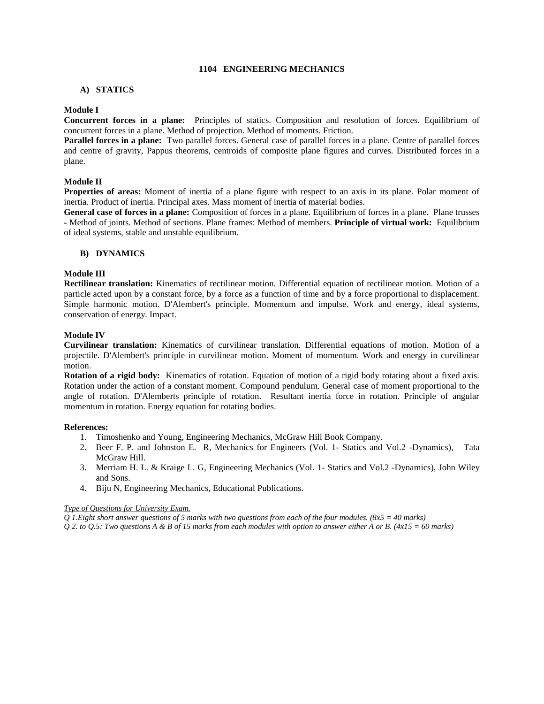## **1104 ENGINEERING MECHANICS**

### **A) STATICS**

### **Module I**

**Concurrent forces in a plane:** Principles of statics. Composition and resolution of forces. Equilibrium of concurrent forces in a plane. Method of projection. Method of moments. Friction.

**Parallel forces in a plane:** Two parallel forces. General case of parallel forces in a plane. Centre of parallel forces and centre of gravity, Pappus theorems, centroids of composite plane figures and curves. Distributed forces in a plane.

# **Module II**

**Properties of areas:** Moment of inertia of a plane figure with respect to an axis in its plane. Polar moment of inertia. Product of inertia. Principal axes. Mass moment of inertia of material bodies.

**General case of forces in a plane:** Composition of forces in a plane. Equilibrium of forces in a plane. Plane trusses **-** Method of joints. Method of sections. Plane frames: Method of members. **Principle of virtual work:** Equilibrium of ideal systems, stable and unstable equilibrium.

#### **B) DYNAMICS**

### **Module III**

**Rectilinear translation:** Kinematics of rectilinear motion. Differential equation of rectilinear motion. Motion of a particle acted upon by a constant force, by a force as a function of time and by a force proportional to displacement. Simple harmonic motion. D'Alembert's principle. Momentum and impulse. Work and energy, ideal systems, conservation of energy. Impact.

#### **Module IV**

**Curvilinear translation:** Kinematics of curvilinear translation. Differential equations of motion. Motion of a projectile. D'Alembert's principle in curvilinear motion. Moment of momentum. Work and energy in curvilinear motion.

**Rotation of a rigid body:** Kinematics of rotation. Equation of motion of a rigid body rotating about a fixed axis. Rotation under the action of a constant moment. Compound pendulum. General case of moment proportional to the angle of rotation. D'Alemberts principle of rotation. Resultant inertia force in rotation. Principle of angular momentum in rotation. Energy equation for rotating bodies.

#### **References:**

- 1. Timoshenko and Young, Engineering Mechanics, McGraw Hill Book Company.
- 2. Beer F. P. and Johnston E. R, Mechanics for Engineers (Vol. 1- Statics and Vol.2 -Dynamics), Tata McGraw Hill.
- 3. Merriam H. L. & Kraige L. G, Engineering Mechanics (Vol. 1- Statics and Vol.2 -Dynamics), John Wiley and Sons.
- 4. Biju N, Engineering Mechanics, Educational Publications.

#### *Type of Questions for University Exam.*

*Q 1.Eight short answer questions of 5 marks with two questions from each of the four modules. (8x5 = 40 marks)*

*Q 2. to Q.5: Two questions A & B of 15 marks from each modules with option to answer either A or B. (4x15 = 60 marks)*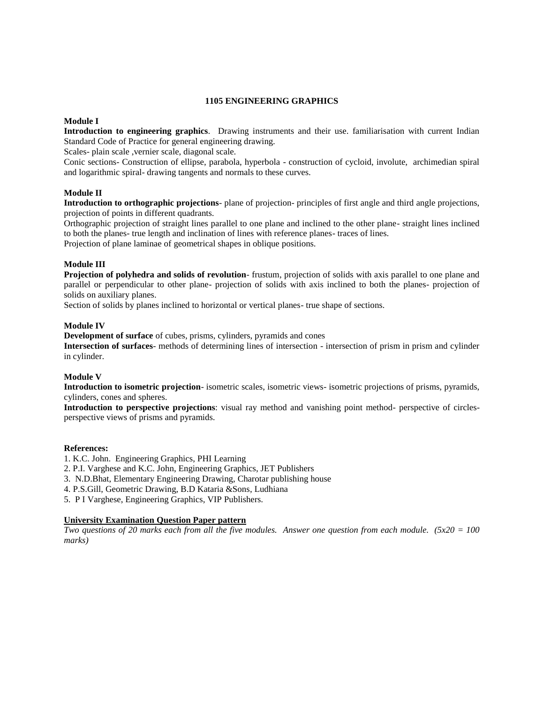#### **1105 ENGINEERING GRAPHICS**

# **Module I**

**Introduction to engineering graphics**. Drawing instruments and their use. familiarisation with current Indian Standard Code of Practice for general engineering drawing.

Scales- plain scale , vernier scale, diagonal scale.

Conic sections- Construction of ellipse, parabola, hyperbola - construction of cycloid, involute, archimedian spiral and logarithmic spiral- drawing tangents and normals to these curves.

### **Module II**

**Introduction to orthographic projections**- plane of projection- principles of first angle and third angle projections, projection of points in different quadrants.

Orthographic projection of straight lines parallel to one plane and inclined to the other plane- straight lines inclined to both the planes- true length and inclination of lines with reference planes- traces of lines.

Projection of plane laminae of geometrical shapes in oblique positions.

### **Module III**

**Projection of polyhedra and solids of revolution**- frustum, projection of solids with axis parallel to one plane and parallel or perpendicular to other plane- projection of solids with axis inclined to both the planes- projection of solids on auxiliary planes.

Section of solids by planes inclined to horizontal or vertical planes- true shape of sections.

#### **Module IV**

**Development of surface** of cubes, prisms, cylinders, pyramids and cones

**Intersection of surfaces**- methods of determining lines of intersection - intersection of prism in prism and cylinder in cylinder.

#### **Module V**

**Introduction to isometric projection**- isometric scales, isometric views- isometric projections of prisms, pyramids, cylinders, cones and spheres.

**Introduction to perspective projections**: visual ray method and vanishing point method- perspective of circlesperspective views of prisms and pyramids.

#### **References:**

- 1. K.C. John. Engineering Graphics, PHI Learning
- 2. P.I. Varghese and K.C. John, Engineering Graphics, JET Publishers
- 3. N.D.Bhat, Elementary Engineering Drawing, Charotar publishing house
- 4. P.S.Gill, Geometric Drawing, B.D Kataria &Sons, Ludhiana
- 5. P I Varghese, Engineering Graphics, VIP Publishers.

#### **University Examination Question Paper pattern**

*Two questions of 20 marks each from all the five modules. Answer one question from each module. (5x20 = 100 marks)*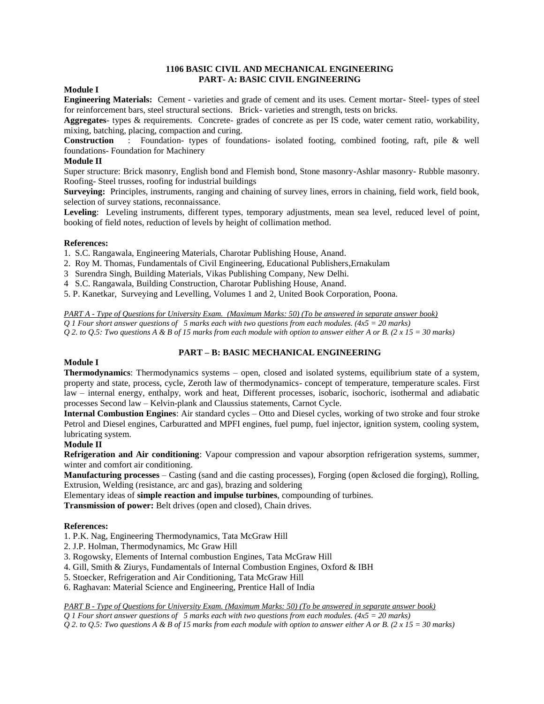# **1106 BASIC CIVIL AND MECHANICAL ENGINEERING PART- A: BASIC CIVIL ENGINEERING**

# **Module I**

**Engineering Materials:** Cement - varieties and grade of cement and its uses. Cement mortar- Steel- types of steel for reinforcement bars, steel structural sections. Brick- varieties and strength, tests on bricks.

**Aggregates**- types & requirements. Concrete- grades of concrete as per IS code, water cement ratio, workability, mixing, batching, placing, compaction and curing.

**Construction** : Foundation- types of foundations- isolated footing, combined footing, raft, pile & well foundations- Foundation for Machinery

### **Module II**

Super structure: Brick masonry, English bond and Flemish bond, Stone masonry-Ashlar masonry- Rubble masonry. Roofing- Steel trusses, roofing for industrial buildings

**Surveying:** Principles, instruments, ranging and chaining of survey lines, errors in chaining, field work, field book, selection of survey stations, reconnaissance.

**Leveling**: Leveling instruments, different types, temporary adjustments, mean sea level, reduced level of point, booking of field notes, reduction of levels by height of collimation method.

#### **References:**

1. S.C. Rangawala, Engineering Materials, Charotar Publishing House, Anand.

- 2. Roy M. Thomas, Fundamentals of Civil Engineering, Educational Publishers,Ernakulam
- 3 Surendra Singh, Building Materials, Vikas Publishing Company, New Delhi.
- 4 S.C. Rangawala, Building Construction, Charotar Publishing House, Anand.
- 5. P. Kanetkar, Surveying and Levelling, Volumes 1 and 2, United Book Corporation, Poona.

*PART A - Type of Questions for University Exam. (Maximum Marks: 50) (To be answered in separate answer book)*

*Q 1 Four short answer questions of 5 marks each with two questions from each modules. (4x5 = 20 marks)*

*Q 2. to Q.5: Two questions A & B of 15 marks from each module with option to answer either A or B. (2 x 15 = 30 marks)*

# **PART – B: BASIC MECHANICAL ENGINEERING**

# **Module I**

**Thermodynamics**: Thermodynamics systems – open, closed and isolated systems, equilibrium state of a system, property and state, process, cycle, Zeroth law of thermodynamics- concept of temperature, temperature scales. First law – internal energy, enthalpy, work and heat, Different processes, isobaric, isochoric, isothermal and adiabatic processes Second law – Kelvin-plank and Claussius statements, Carnot Cycle.

**Internal Combustion Engines**: Air standard cycles – Otto and Diesel cycles, working of two stroke and four stroke Petrol and Diesel engines, Carburatted and MPFI engines, fuel pump, fuel injector, ignition system, cooling system, lubricating system.

# **Module II**

**Refrigeration and Air conditioning**: Vapour compression and vapour absorption refrigeration systems, summer, winter and comfort air conditioning.

**Manufacturing processes** – Casting (sand and die casting processes), Forging (open &closed die forging), Rolling, Extrusion, Welding (resistance, arc and gas), brazing and soldering

Elementary ideas of **simple reaction and impulse turbines**, compounding of turbines.

**Transmission of power:** Belt drives (open and closed), Chain drives.

#### **References:**

- 1. P.K. Nag, Engineering Thermodynamics, Tata McGraw Hill
- 2. J.P. Holman, Thermodynamics, Mc Graw Hill
- 3. Rogowsky, Elements of Internal combustion Engines, Tata McGraw Hill
- 4. Gill, Smith & Ziurys, Fundamentals of Internal Combustion Engines, Oxford & IBH
- 5. Stoecker, Refrigeration and Air Conditioning, Tata McGraw Hill
- 6. Raghavan: Material Science and Engineering, Prentice Hall of India

*PART B - Type of Questions for University Exam. (Maximum Marks: 50) (To be answered in separate answer book)*

*Q 1 Four short answer questions of 5 marks each with two questions from each modules. (4x5 = 20 marks)*

*Q 2. to Q.5: Two questions A & B of 15 marks from each module with option to answer either A or B. (2 x 15 = 30 marks)*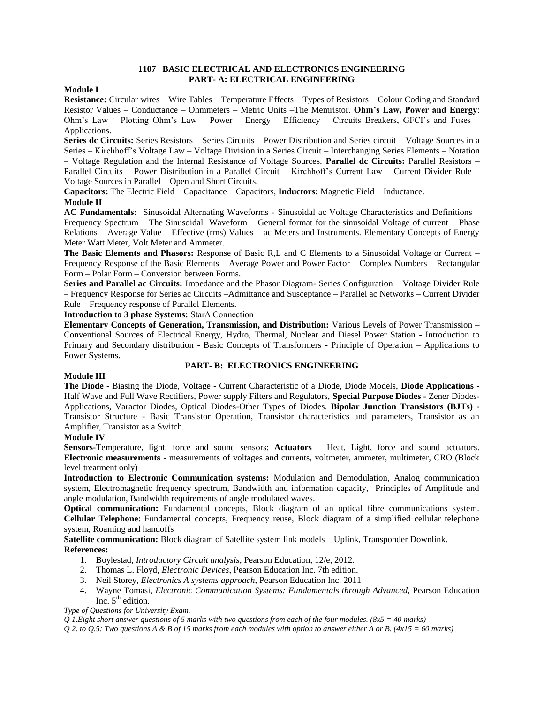## **1107 BASIC ELECTRICAL AND ELECTRONICS ENGINEERING PART- A: ELECTRICAL ENGINEERING**

### **Module I**

**Resistance:** Circular wires – Wire Tables – Temperature Effects – Types of Resistors – Colour Coding and Standard Resistor Values – Conductance – Ohmmeters – Metric Units –The Memristor. **Ohm's Law, Power and Energy**: Ohm's Law – Plotting Ohm's Law – Power – Energy – Efficiency – Circuits Breakers, GFCI's and Fuses – Applications.

**Series dc Circuits:** Series Resistors – Series Circuits – Power Distribution and Series circuit – Voltage Sources in a Series – Kirchhoff's Voltage Law – Voltage Division in a Series Circuit – Interchanging Series Elements – Notation – Voltage Regulation and the Internal Resistance of Voltage Sources. **Parallel dc Circuits:** Parallel Resistors – Parallel Circuits – Power Distribution in a Parallel Circuit – Kirchhoff's Current Law – Current Divider Rule – Voltage Sources in Parallel – Open and Short Circuits.

**Capacitors:** The Electric Field – Capacitance – Capacitors, **Inductors:** Magnetic Field – Inductance. **Module II**

**AC Fundamentals:** Sinusoidal Alternating Waveforms - Sinusoidal ac Voltage Characteristics and Definitions – Frequency Spectrum – The Sinusoidal Waveform – General format for the sinusoidal Voltage of current – Phase Relations – Average Value – Effective (rms) Values – ac Meters and Instruments. Elementary Concepts of Energy Meter Watt Meter, Volt Meter and Ammeter.

**The Basic Elements and Phasors:** Response of Basic R,L and C Elements to a Sinusoidal Voltage or Current – Frequency Response of the Basic Elements – Average Power and Power Factor – Complex Numbers – Rectangular Form – Polar Form – Conversion between Forms.

**Series and Parallel ac Circuits:** Impedance and the Phasor Diagram- Series Configuration – Voltage Divider Rule – Frequency Response for Series ac Circuits –Admittance and Susceptance – Parallel ac Networks – Current Divider Rule – Frequency response of Parallel Elements.

**Introduction to 3 phase Systems:** StarΔ Connection

**Elementary Concepts of Generation, Transmission, and Distribution:** Various Levels of Power Transmission – Conventional Sources of Electrical Energy, Hydro, Thermal, Nuclear and Diesel Power Station - Introduction to Primary and Secondary distribution - Basic Concepts of Transformers - Principle of Operation – Applications to Power Systems.

#### **PART- B: ELECTRONICS ENGINEERING**

#### **Module III**

**The Diode** - Biasing the Diode, Voltage - Current Characteristic of a Diode, Diode Models, **Diode Applications -** Half Wave and Full Wave Rectifiers, Power supply Filters and Regulators, **Special Purpose Diodes -** Zener Diodes-Applications, Varactor Diodes, Optical Diodes-Other Types of Diodes. **Bipolar Junction Transistors (BJTs) -** Transistor Structure - Basic Transistor Operation, Transistor characteristics and parameters, Transistor as an Amplifier, Transistor as a Switch.

# **Module IV**

**Sensors-**Temperature, light, force and sound sensors; **Actuators** – Heat, Light, force and sound actuators. **Electronic measurements** - measurements of voltages and currents, voltmeter, ammeter, multimeter, CRO (Block level treatment only)

**Introduction to Electronic Communication systems:** Modulation and Demodulation, Analog communication system, Electromagnetic frequency spectrum, Bandwidth and information capacity, Principles of Amplitude and angle modulation, Bandwidth requirements of angle modulated waves.

**Optical communication:** Fundamental concepts, Block diagram of an optical fibre communications system. **Cellular Telephone**: Fundamental concepts, Frequency reuse, Block diagram of a simplified cellular telephone system, Roaming and handoffs

**Satellite communication:** Block diagram of Satellite system link models – Uplink, Transponder Downlink. **References:**

- 1. Boylestad, *Introductory Circuit analysis*, Pearson Education, 12/e, 2012.
- 2. Thomas L. Floyd, *Electronic Devices*, Pearson Education Inc. 7th edition.
- 3. Neil Storey, *Electronics A systems approach*, Pearson Education Inc. 2011
- 4. Wayne Tomasi, *Electronic Communication Systems: Fundamentals through Advanced,* Pearson Education Inc.  $5<sup>th</sup>$  edition.

# *Type of Questions for University Exam.*

*Q 1.Eight short answer questions of 5 marks with two questions from each of the four modules. (8x5 = 40 marks)*

*Q 2. to Q.5: Two questions A & B of 15 marks from each modules with option to answer either A or B. (4x15 = 60 marks)*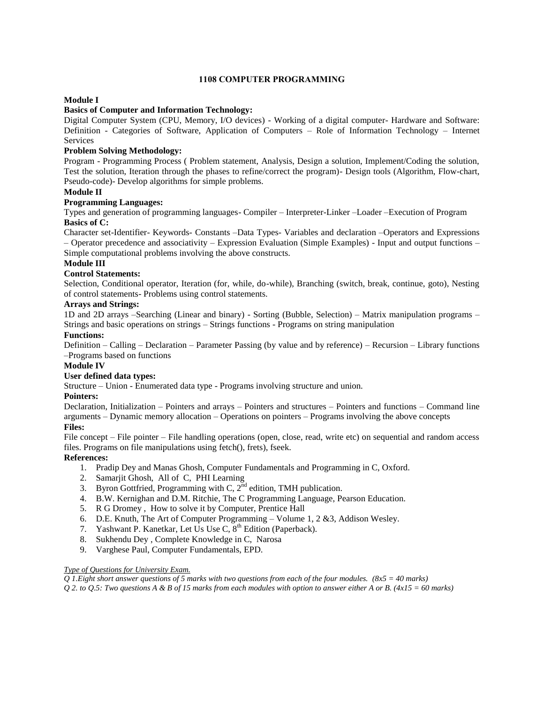# **1108 COMPUTER PROGRAMMING**

# **Module I**

### **Basics of Computer and Information Technology:**

Digital Computer System (CPU, Memory, I/O devices) - Working of a digital computer- Hardware and Software: Definition - Categories of Software, Application of Computers – Role of Information Technology – Internet Services

# **Problem Solving Methodology:**

Program - Programming Process ( Problem statement, Analysis, Design a solution, Implement/Coding the solution, Test the solution, Iteration through the phases to refine/correct the program)- Design tools (Algorithm, Flow-chart, Pseudo-code)- Develop algorithms for simple problems.

## **Module II**

# **Programming Languages:**

Types and generation of programming languages- Compiler – Interpreter-Linker –Loader –Execution of Program **Basics of C:**

Character set-Identifier- Keywords- Constants –Data Types- Variables and declaration –Operators and Expressions – Operator precedence and associativity – Expression Evaluation (Simple Examples) - Input and output functions – Simple computational problems involving the above constructs.

# **Module III**

# **Control Statements:**

Selection, Conditional operator, Iteration (for, while, do-while), Branching (switch, break, continue, goto), Nesting of control statements- Problems using control statements.

### **Arrays and Strings:**

1D and 2D arrays –Searching (Linear and binary) - Sorting (Bubble, Selection) – Matrix manipulation programs – Strings and basic operations on strings – Strings functions - Programs on string manipulation

### **Functions:**

Definition – Calling – Declaration – Parameter Passing (by value and by reference) – Recursion – Library functions –Programs based on functions

#### **Module IV**

#### **User defined data types:**

Structure – Union - Enumerated data type - Programs involving structure and union.

#### **Pointers:**

Declaration, Initialization – Pointers and arrays – Pointers and structures – Pointers and functions – Command line arguments – Dynamic memory allocation – Operations on pointers – Programs involving the above concepts **Files:**

File concept – File pointer – File handling operations (open, close, read, write etc) on sequential and random access files. Programs on file manipulations using fetch(), frets), fseek.

# **References:**

- 1. Pradip Dey and Manas Ghosh, Computer Fundamentals and Programming in C, Oxford.
- 2. Samarjit Ghosh, All of C, PHI Learning
- 3. Byron Gottfried, Programming with C,  $2^{\text{nd}}$  edition, TMH publication.
- 4. B.W. Kernighan and D.M. Ritchie, The C Programming Language, Pearson Education.
- 5. R G Dromey , How to solve it by Computer, Prentice Hall
- 6. D.E. Knuth, The Art of Computer Programming Volume 1, 2 &3, Addison Wesley.
- 7. Yashwant P. Kanetkar, Let Us Use C,  $8<sup>th</sup>$  Edition (Paperback).
- 8. Sukhendu Dey , Complete Knowledge in C, Narosa
- 9. Varghese Paul, Computer Fundamentals, EPD.

#### *Type of Questions for University Exam.*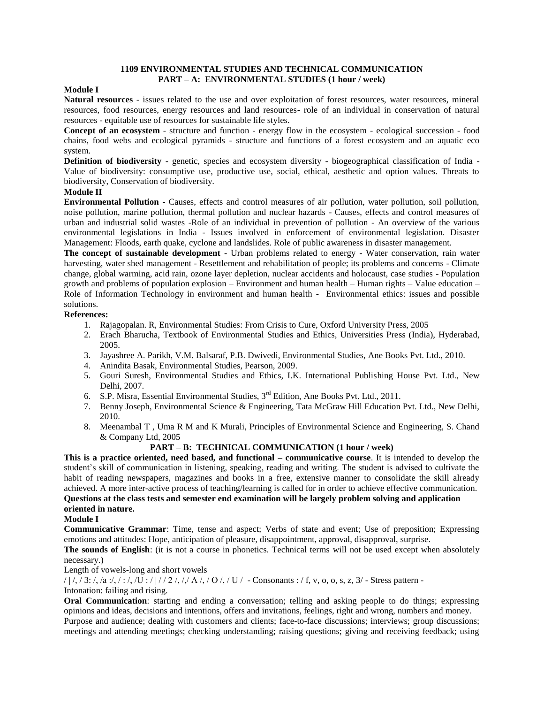# **1109 ENVIRONMENTAL STUDIES AND TECHNICAL COMMUNICATION PART – A: ENVIRONMENTAL STUDIES (1 hour / week)**

# **Module I**

**Natural resources** - issues related to the use and over exploitation of forest resources, water resources, mineral resources, food resources, energy resources and land resources- role of an individual in conservation of natural resources - equitable use of resources for sustainable life styles.

**Concept of an ecosystem** - structure and function - energy flow in the ecosystem - ecological succession - food chains, food webs and ecological pyramids - structure and functions of a forest ecosystem and an aquatic eco system.

**Definition of biodiversity** - genetic, species and ecosystem diversity - biogeographical classification of India - Value of biodiversity: consumptive use, productive use, social, ethical, aesthetic and option values. Threats to biodiversity, Conservation of biodiversity.

#### **Module II**

**Environmental Pollution** - Causes, effects and control measures of air pollution, water pollution, soil pollution, noise pollution, marine pollution, thermal pollution and nuclear hazards - Causes, effects and control measures of urban and industrial solid wastes -Role of an individual in prevention of pollution - An overview of the various environmental legislations in India - Issues involved in enforcement of environmental legislation. Disaster Management: Floods, earth quake, cyclone and landslides. Role of public awareness in disaster management.

**The concept of sustainable development** - Urban problems related to energy - Water conservation, rain water harvesting, water shed management - Resettlement and rehabilitation of people; its problems and concerns - Climate change, global warming, acid rain, ozone layer depletion, nuclear accidents and holocaust, case studies - Population growth and problems of population explosion – Environment and human health – Human rights – Value education – Role of Information Technology in environment and human health - Environmental ethics: issues and possible solutions.

### **References:**

- 1. Rajagopalan. R, Environmental Studies: From Crisis to Cure, Oxford University Press, 2005
- 2. Erach Bharucha, Textbook of Environmental Studies and Ethics, Universities Press (India), Hyderabad, 2005.
- 3. Jayashree A. Parikh, V.M. Balsaraf, P.B. Dwivedi, Environmental Studies, Ane Books Pvt. Ltd., 2010.
- 4. Anindita Basak, Environmental Studies, Pearson, 2009.
- 5. Gouri Suresh, Environmental Studies and Ethics, I.K. International Publishing House Pvt. Ltd., New Delhi, 2007.
- 6. S.P. Misra, Essential Environmental Studies, 3<sup>rd</sup> Edition, Ane Books Pvt. Ltd., 2011.
- 7. Benny Joseph, Environmental Science & Engineering, Tata McGraw Hill Education Pvt. Ltd., New Delhi, 2010.
- 8. Meenambal T , Uma R M and K Murali, Principles of Environmental Science and Engineering, S. Chand & Company Ltd, 2005

# **PART – B: TECHNICAL COMMUNICATION (1 hour / week)**

**This is a practice oriented, need based, and functional – communicative course**. It is intended to develop the student's skill of communication in listening, speaking, reading and writing. The student is advised to cultivate the habit of reading newspapers, magazines and books in a free, extensive manner to consolidate the skill already achieved. A more inter-active process of teaching/learning is called for in order to achieve effective communication. **Questions at the class tests and semester end examination will be largely problem solving and application oriented in nature.**

#### **Module I**

**Communicative Grammar**: Time, tense and aspect; Verbs of state and event; Use of preposition; Expressing emotions and attitudes: Hope, anticipation of pleasure, disappointment, approval, disapproval, surprise.

**The sounds of English**: (it is not a course in phonetics. Technical terms will not be used except when absolutely necessary.)

Length of vowels-long and short vowels

 $/ / / / 3$ :  $/$ ,  $/a$ :  $/$ ,  $/$ :  $/$ ,  $/$ U  $/$   $/$   $/$   $/$ ,  $/$   $/$ ,  $/$   $\sqrt{O}$ ,  $/$  U  $/$  - Consonants :  $/$  f, v, o, o, s, z,  $3/$  - Stress pattern -

Intonation: failing and rising.

**Oral Communication**: starting and ending a conversation; telling and asking people to do things; expressing opinions and ideas, decisions and intentions, offers and invitations, feelings, right and wrong, numbers and money.

Purpose and audience; dealing with customers and clients; face-to-face discussions; interviews; group discussions; meetings and attending meetings; checking understanding; raising questions; giving and receiving feedback; using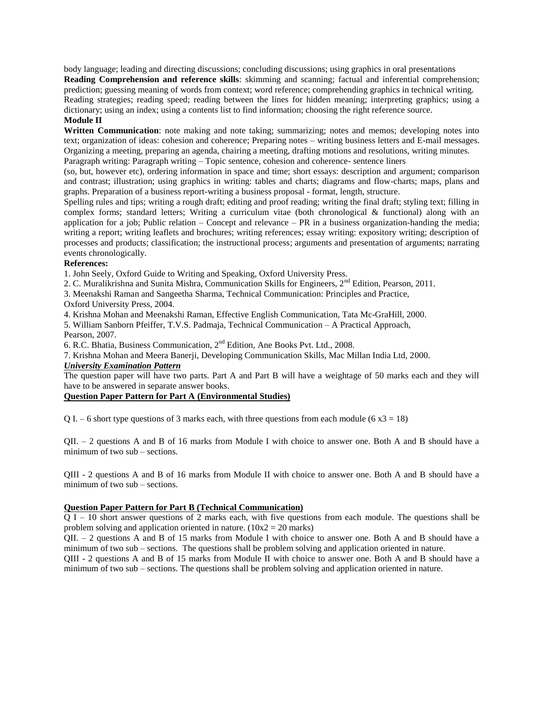body language; leading and directing discussions; concluding discussions; using graphics in oral presentations **Reading Comprehension and reference skills**: skimming and scanning; factual and inferential comprehension; prediction; guessing meaning of words from context; word reference; comprehending graphics in technical writing. Reading strategies; reading speed; reading between the lines for hidden meaning; interpreting graphics; using a dictionary; using an index; using a contents list to find information; choosing the right reference source. **Module II**

**Written Communication**: note making and note taking; summarizing; notes and memos; developing notes into text; organization of ideas: cohesion and coherence; Preparing notes – writing business letters and E-mail messages. Organizing a meeting, preparing an agenda, chairing a meeting, drafting motions and resolutions, writing minutes. Paragraph writing: Paragraph writing – Topic sentence, cohesion and coherence- sentence liners

(so, but, however etc), ordering information in space and time; short essays: description and argument; comparison and contrast; illustration; using graphics in writing: tables and charts; diagrams and flow-charts; maps, plans and graphs. Preparation of a business report-writing a business proposal - format, length, structure.

Spelling rules and tips; writing a rough draft; editing and proof reading; writing the final draft; styling text; filling in complex forms; standard letters; Writing a curriculum vitae (both chronological & functional) along with an application for a job; Public relation – Concept and relevance – PR in a business organization-handing the media; writing a report; writing leaflets and brochures; writing references; essay writing: expository writing; description of processes and products; classification; the instructional process; arguments and presentation of arguments; narrating events chronologically.

# **References:**

1. John Seely, Oxford Guide to Writing and Speaking, Oxford University Press.

2. C. Muralikrishna and Sunita Mishra, Communication Skills for Engineers,  $2<sup>nd</sup>$  Edition, Pearson, 2011.

3. Meenakshi Raman and Sangeetha Sharma, Technical Communication: Principles and Practice,

Oxford University Press, 2004.

4. Krishna Mohan and Meenakshi Raman, Effective English Communication, Tata Mc-GraHill, 2000.

5. William Sanborn Pfeiffer, T.V.S. Padmaja, Technical Communication – A Practical Approach, Pearson, 2007.

6. R.C. Bhatia, Business Communication, 2nd Edition, Ane Books Pvt. Ltd., 2008.

7. Krishna Mohan and Meera Banerji, Developing Communication Skills, Mac Millan India Ltd, 2000.

# *University Examination Pattern*

The question paper will have two parts. Part A and Part B will have a weightage of 50 marks each and they will have to be answered in separate answer books.

# **Question Paper Pattern for Part A (Environmental Studies)**

Q I. – 6 short type questions of 3 marks each, with three questions from each module (6  $x3 = 18$ )

QII. – 2 questions A and B of 16 marks from Module I with choice to answer one. Both A and B should have a minimum of two sub – sections.

QIII - 2 questions A and B of 16 marks from Module II with choice to answer one. Both A and B should have a minimum of two sub – sections.

# **Question Paper Pattern for Part B (Technical Communication)**

Q I – 10 short answer questions of 2 marks each, with five questions from each module. The questions shall be problem solving and application oriented in nature.  $(10x2 = 20 \text{ marks})$ 

QII. – 2 questions A and B of 15 marks from Module I with choice to answer one. Both A and B should have a minimum of two sub – sections. The questions shall be problem solving and application oriented in nature.

QIII - 2 questions A and B of 15 marks from Module II with choice to answer one. Both A and B should have a minimum of two sub – sections. The questions shall be problem solving and application oriented in nature.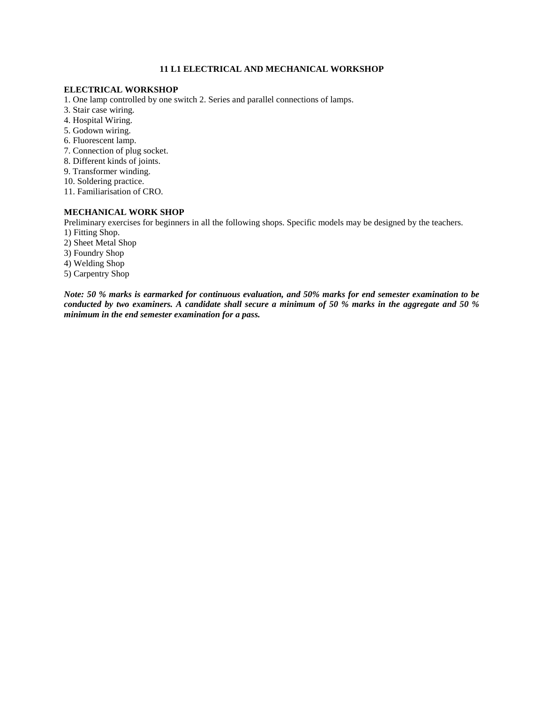# **11 L1 ELECTRICAL AND MECHANICAL WORKSHOP**

#### **ELECTRICAL WORKSHOP**

- 1. One lamp controlled by one switch 2. Series and parallel connections of lamps.
- 3. Stair case wiring.
- 4. Hospital Wiring.
- 5. Godown wiring.
- 6. Fluorescent lamp.
- 7. Connection of plug socket.
- 8. Different kinds of joints.
- 9. Transformer winding.
- 10. Soldering practice.
- 11. Familiarisation of CRO.

# **MECHANICAL WORK SHOP**

Preliminary exercises for beginners in all the following shops. Specific models may be designed by the teachers. 1) Fitting Shop.

- 2) Sheet Metal Shop
- 3) Foundry Shop
- 4) Welding Shop
- 5) Carpentry Shop

*Note: 50 % marks is earmarked for continuous evaluation, and 50% marks for end semester examination to be conducted by two examiners. A candidate shall secure a minimum of 50 % marks in the aggregate and 50 % minimum in the end semester examination for a pass.*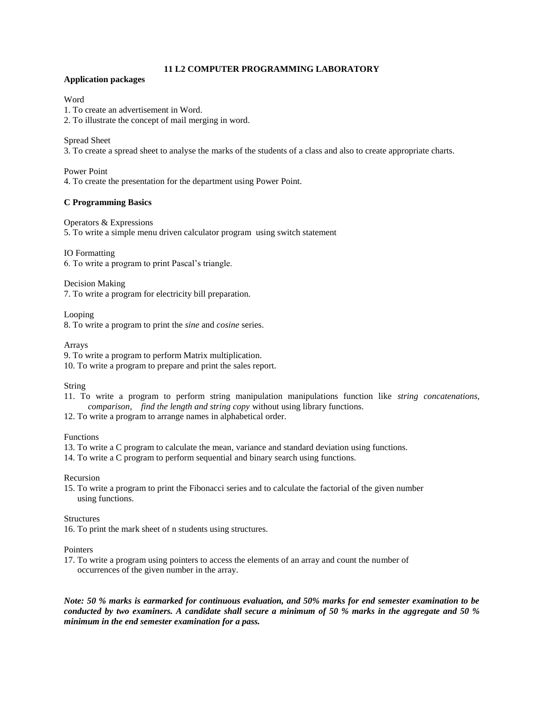# **11 L2 COMPUTER PROGRAMMING LABORATORY**

# **Application packages**

# Word

1. To create an advertisement in Word.

2. To illustrate the concept of mail merging in word.

# Spread Sheet

3. To create a spread sheet to analyse the marks of the students of a class and also to create appropriate charts.

# Power Point

4. To create the presentation for the department using Power Point.

# **C Programming Basics**

Operators & Expressions 5. To write a simple menu driven calculator program using switch statement

IO Formatting

6. To write a program to print Pascal's triangle.

Decision Making 7. To write a program for electricity bill preparation.

Looping

8. To write a program to print the *sine* and *cosine* series.

Arrays

9. To write a program to perform Matrix multiplication.

10. To write a program to prepare and print the sales report.

String

11. To write a program to perform string manipulation manipulations function like *string concatenations, comparison, find the length and string copy* without using library functions.

12. To write a program to arrange names in alphabetical order.

# Functions

13. To write a C program to calculate the mean, variance and standard deviation using functions.

14. To write a C program to perform sequential and binary search using functions.

# Recursion

15. To write a program to print the Fibonacci series and to calculate the factorial of the given number using functions.

# Structures

16. To print the mark sheet of n students using structures.

#### **Pointers**

17. To write a program using pointers to access the elements of an array and count the number of occurrences of the given number in the array.

*Note: 50 % marks is earmarked for continuous evaluation, and 50% marks for end semester examination to be conducted by two examiners. A candidate shall secure a minimum of 50 % marks in the aggregate and 50 % minimum in the end semester examination for a pass.*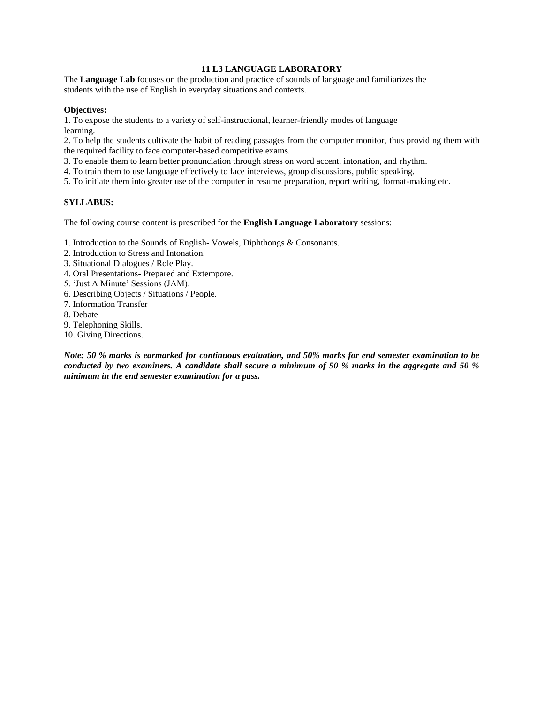# **11 L3 LANGUAGE LABORATORY**

The **Language Lab** focuses on the production and practice of sounds of language and familiarizes the students with the use of English in everyday situations and contexts.

# **Objectives:**

1. To expose the students to a variety of self-instructional, learner-friendly modes of language learning.

2. To help the students cultivate the habit of reading passages from the computer monitor, thus providing them with the required facility to face computer-based competitive exams.

3. To enable them to learn better pronunciation through stress on word accent, intonation, and rhythm.

4. To train them to use language effectively to face interviews, group discussions, public speaking.

5. To initiate them into greater use of the computer in resume preparation, report writing, format-making etc.

### **SYLLABUS:**

The following course content is prescribed for the **English Language Laboratory** sessions:

1. Introduction to the Sounds of English- Vowels, Diphthongs & Consonants.

- 2. Introduction to Stress and Intonation.
- 3. Situational Dialogues / Role Play.
- 4. Oral Presentations- Prepared and Extempore.
- 5. 'Just A Minute' Sessions (JAM).
- 6. Describing Objects / Situations / People.
- 7. Information Transfer
- 8. Debate
- 9. Telephoning Skills.
- 10. Giving Directions.

*Note: 50 % marks is earmarked for continuous evaluation, and 50% marks for end semester examination to be conducted by two examiners. A candidate shall secure a minimum of 50 % marks in the aggregate and 50 % minimum in the end semester examination for a pass.*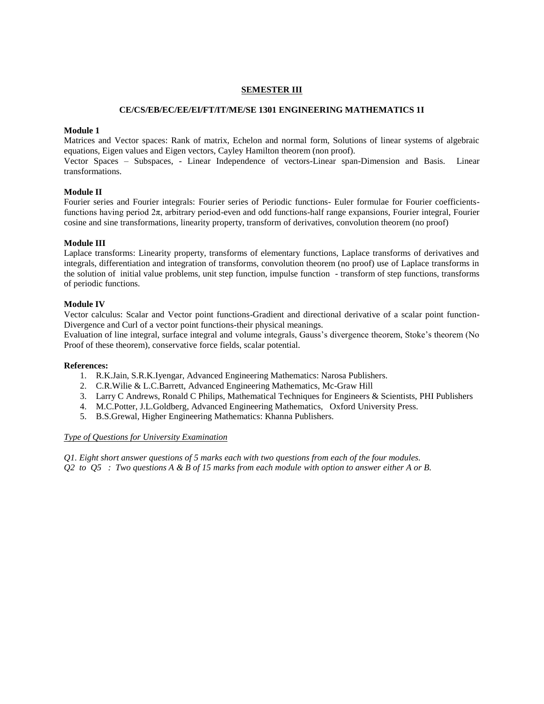## **SEMESTER III**

#### **CE/CS/EB/EC/EE/EI/FT/IT/ME/SE 1301 ENGINEERING MATHEMATICS 1I**

#### **Module 1**

Matrices and Vector spaces: Rank of matrix, Echelon and normal form, Solutions of linear systems of algebraic equations, Eigen values and Eigen vectors, Cayley Hamilton theorem (non proof).

Vector Spaces – Subspaces, - Linear Independence of vectors-Linear span-Dimension and Basis. Linear transformations.

### **Module II**

Fourier series and Fourier integrals: Fourier series of Periodic functions- Euler formulae for Fourier coefficientsfunctions having period 2π, arbitrary period-even and odd functions-half range expansions, Fourier integral, Fourier cosine and sine transformations, linearity property, transform of derivatives, convolution theorem (no proof)

### **Module III**

Laplace transforms: Linearity property, transforms of elementary functions, Laplace transforms of derivatives and integrals, differentiation and integration of transforms, convolution theorem (no proof) use of Laplace transforms in the solution of initial value problems, unit step function, impulse function - transform of step functions, transforms of periodic functions.

### **Module IV**

Vector calculus: Scalar and Vector point functions-Gradient and directional derivative of a scalar point function-Divergence and Curl of a vector point functions-their physical meanings.

Evaluation of line integral, surface integral and volume integrals, Gauss's divergence theorem, Stoke's theorem (No Proof of these theorem), conservative force fields, scalar potential.

#### **References:**

- 1. R.K.Jain, S.R.K.Iyengar, Advanced Engineering Mathematics: Narosa Publishers.
- 2. C.R.Wilie & L.C.Barrett, Advanced Engineering Mathematics, Mc-Graw Hill
- 3. Larry C Andrews, Ronald C Philips, Mathematical Techniques for Engineers & Scientists, PHI Publishers
- 4. M.C.Potter, J.L.Goldberg, Advanced Engineering Mathematics, Oxford University Press.
- 5. B.S.Grewal, Higher Engineering Mathematics: Khanna Publishers.

#### *Type of Questions for University Examination*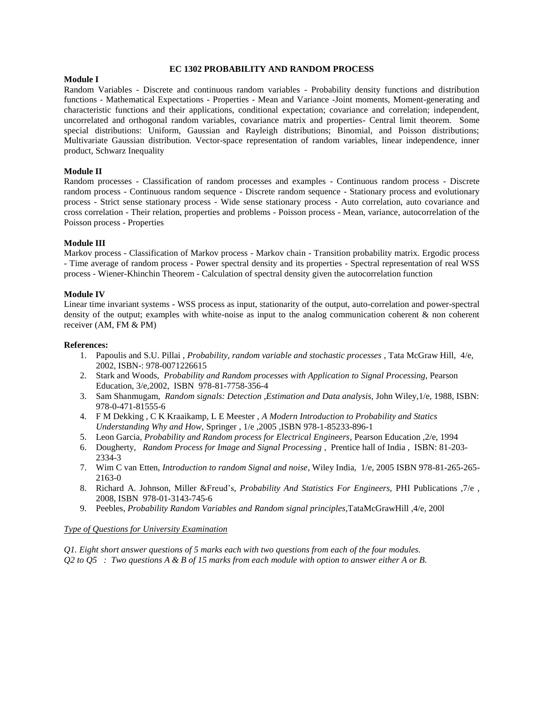#### **EC 1302 PROBABILITY AND RANDOM PROCESS**

#### **Module I**

Random Variables - Discrete and continuous random variables - Probability density functions and distribution functions - Mathematical Expectations - Properties - Mean and Variance -Joint moments, Moment-generating and characteristic functions and their applications, conditional expectation; covariance and correlation; independent, uncorrelated and orthogonal random variables, covariance matrix and properties- Central limit theorem. Some special distributions: Uniform, Gaussian and Rayleigh distributions; Binomial, and Poisson distributions; Multivariate Gaussian distribution. Vector-space representation of random variables, linear independence, inner product, Schwarz Inequality

#### **Module II**

Random processes - Classification of random processes and examples - Continuous random process - Discrete random process - Continuous random sequence - Discrete random sequence - Stationary process and evolutionary process - Strict sense stationary process - Wide sense stationary process - Auto correlation, auto covariance and cross correlation - Their relation, properties and problems - Poisson process - Mean, variance, autocorrelation of the Poisson process - Properties

### **Module III**

Markov process - Classification of Markov process - Markov chain - Transition probability matrix. Ergodic process - Time average of random process - Power spectral density and its properties - Spectral representation of real WSS process - Wiener-Khinchin Theorem - Calculation of spectral density given the autocorrelation function

#### **Module IV**

Linear time invariant systems - WSS process as input, stationarity of the output, auto-correlation and power-spectral density of the output; examples with white-noise as input to the analog communication coherent & non coherent receiver (AM, FM & PM)

### **References:**

- 1. Papoulis and S.U. Pillai , *Probability, random variable and stochastic processes* , Tata McGraw Hill, 4/e, 2002, ISBN-: 978-0071226615
- 2. Stark and Woods, *Probability and Random processes with Application to Signal Processing*, Pearson Education, 3/e,2002, ISBN 978-81-7758-356-4
- 3. Sam Shanmugam, *Random signals: Detection ,Estimation and Data analysis,* John Wiley,1/e, 1988, ISBN: 978-0-471-81555-6
- 4. F M Dekking , C K Kraaikamp, L E Meester , *A Modern Introduction to Probability and Statics Understanding Why and How,* Springer , 1/e ,2005 ,ISBN 978-1-85233-896-1
- 5. Leon Garcia, *Probability and Random process for Electrical Engineers*, Pearson Education ,2/e, 1994
- 6. Dougherty*, Random Process for Image and Signal Processing* , Prentice hall of India , ISBN: 81-203- 2334-3
- 7. Wim C van Etten, *Introduction to random Signal and noise*, Wiley India, 1/e, 2005 ISBN 978-81-265-265- 2163-0
- 8. Richard A. Johnson, Miller &Freud's, *Probability And Statistics For Engineers,* PHI Publications ,7/e , 2008, ISBN 978-01-3143-745-6
- 9. Peebles, *Probability Random Variables and Random signal principles*,TataMcGrawHill ,4/e, 200l

#### *Type of Questions for University Examination*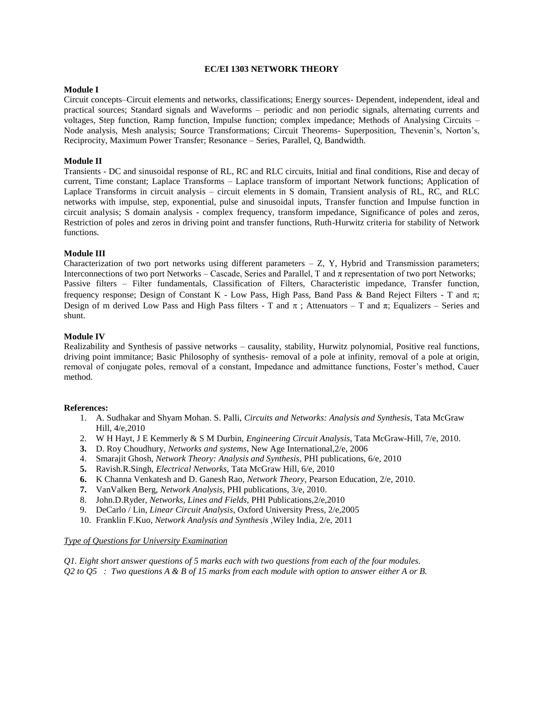#### **EC/EI 1303 NETWORK THEORY**

#### **Module I**

Circuit concepts–Circuit elements and networks, classifications; Energy sources- Dependent, independent, ideal and practical sources; Standard signals and Waveforms – periodic and non periodic signals, alternating currents and voltages, Step function, Ramp function, Impulse function; complex impedance; Methods of Analysing Circuits – Node analysis, Mesh analysis; Source Transformations; Circuit Theorems- Superposition, Thevenin's, Norton's, Reciprocity, Maximum Power Transfer; Resonance – Series, Parallel, Q, Bandwidth.

#### **Module II**

Transients - DC and sinusoidal response of RL, RC and RLC circuits, Initial and final conditions, Rise and decay of current, Time constant; Laplace Transforms – Laplace transform of important Network functions; Application of Laplace Transforms in circuit analysis – circuit elements in S domain, Transient analysis of RL, RC, and RLC networks with impulse, step, exponential, pulse and sinusoidal inputs, Transfer function and Impulse function in circuit analysis; S domain analysis - complex frequency, transform impedance, Significance of poles and zeros, Restriction of poles and zeros in driving point and transfer functions, Ruth-Hurwitz criteria for stability of Network functions.

#### **Module III**

Characterization of two port networks using different parameters – Z, Y, Hybrid and Transmission parameters; Interconnections of two port Networks – Cascade, Series and Parallel, T and π representation of two port Networks; Passive filters – Filter fundamentals, Classification of Filters, Characteristic impedance, Transfer function, frequency response; Design of Constant K - Low Pass, High Pass, Band Pass & Band Reject Filters - T and  $\pi$ ; Design of m derived Low Pass and High Pass filters - T and  $\pi$ ; Attenuators – T and  $\pi$ ; Equalizers – Series and shunt.

#### **Module IV**

Realizability and Synthesis of passive networks – causality, stability, Hurwitz polynomial, Positive real functions, driving point immitance; Basic Philosophy of synthesis- removal of a pole at infinity, removal of a pole at origin, removal of conjugate poles, removal of a constant, Impedance and admittance functions, Foster's method, Cauer method.

#### **References:**

- 1. A. Sudhakar and Shyam Mohan. S. Palli, *Circuits and Networks: Analysis and Synthesis*, Tata McGraw Hill, 4/e,2010
- 2. W H Hayt, J E Kemmerly & S M Durbin, *Engineering Circuit Analysis*, Tata McGraw-Hill, 7/e, 2010.
- **3.** D. Roy Choudhury, *Networks and systems*, New Age International,2/e, 2006
- 4. Smarajit Ghosh, *Network Theory: Analysis and Synthesis*, PHI publications, 6/e, 2010
- **5.** Ravish.R.Singh, *Electrical Networks*, Tata McGraw Hill, 6/e, 2010
- **6.** K Channa Venkatesh and D. Ganesh Rao, *Network Theory*, Pearson Education, 2/e, 2010.
- **7.** VanValken Berg, *Network Analysis*, PHI publications, 3/e, 2010.
- 8. John.D.Ryder, *Networks, Lines and Fields,* PHI Publications,2/e,2010
- 9. DeCarlo / Lin, *Linear Circuit Analysis*, Oxford University Press, 2/e,2005
- 10. Franklin F.Kuo, *Network Analysis and Synthesis* ,Wiley India, 2/e, 2011

#### *Type of Questions for University Examination*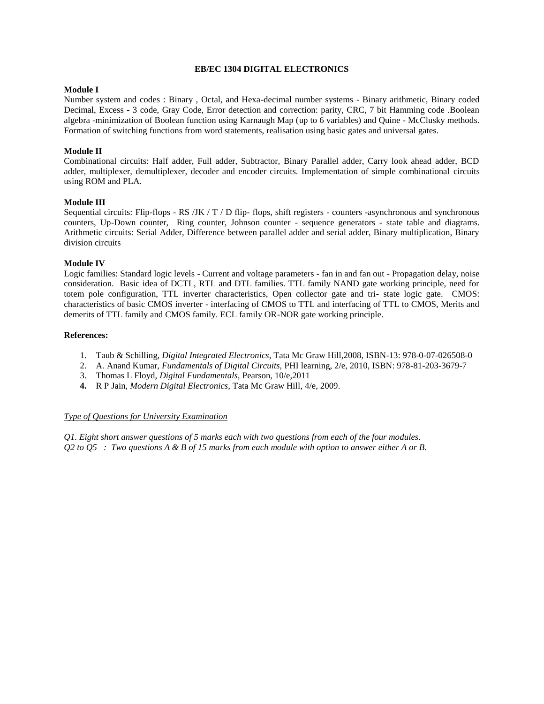#### **EB/EC 1304 DIGITAL ELECTRONICS**

## **Module I**

Number system and codes : Binary , Octal, and Hexa-decimal number systems - Binary arithmetic, Binary coded Decimal, Excess - 3 code, Gray Code, Error detection and correction: parity, CRC, 7 bit Hamming code .Boolean algebra -minimization of Boolean function using Karnaugh Map (up to 6 variables) and Quine - McClusky methods. Formation of switching functions from word statements, realisation using basic gates and universal gates.

# **Module II**

Combinational circuits: Half adder, Full adder, Subtractor, Binary Parallel adder, Carry look ahead adder, BCD adder, multiplexer, demultiplexer, decoder and encoder circuits. Implementation of simple combinational circuits using ROM and PLA.

### **Module III**

Sequential circuits: Flip-flops - RS /JK / T / D flip- flops, shift registers - counters -asynchronous and synchronous counters, Up-Down counter, Ring counter, Johnson counter - sequence generators - state table and diagrams. Arithmetic circuits: Serial Adder, Difference between parallel adder and serial adder, Binary multiplication, Binary division circuits

### **Module IV**

Logic families: Standard logic levels - Current and voltage parameters - fan in and fan out - Propagation delay, noise consideration. Basic idea of DCTL, RTL and DTL families. TTL family NAND gate working principle, need for totem pole configuration, TTL inverter characteristics, Open collector gate and tri- state logic gate. CMOS: characteristics of basic CMOS inverter - interfacing of CMOS to TTL and interfacing of TTL to CMOS, Merits and demerits of TTL family and CMOS family. ECL family OR-NOR gate working principle.

### **References:**

- 1. Taub & Schilling, *Digital Integrated Electronics*, Tata Mc Graw Hill,2008, ISBN-13: 978-0-07-026508-0
- 2. A. Anand Kumar, *Fundamentals of Digital Circuits,* PHI learning, 2/e, 2010, ISBN: 978-81-203-3679-7
- 3. Thomas L Floyd, *Digital Fundamentals,* Pearson, 10/e,2011
- **4.** R P Jain, *Modern Digital Electronics*, Tata Mc Graw Hill, 4/e, 2009.

#### *Type of Questions for University Examination*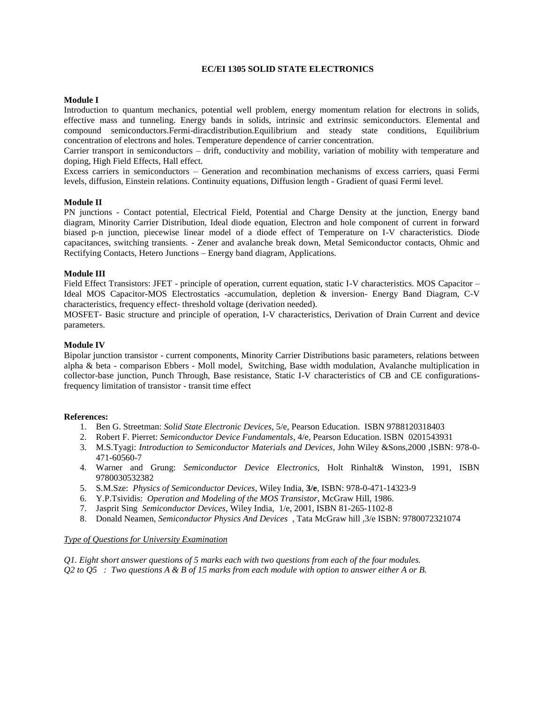#### **EC/EI 1305 SOLID STATE ELECTRONICS**

#### **Module I**

Introduction to quantum mechanics, potential well problem, energy momentum relation for electrons in solids, effective mass and tunneling. Energy bands in solids, intrinsic and extrinsic semiconductors. Elemental and compound semiconductors.Fermi-diracdistribution.Equilibrium and steady state conditions, Equilibrium concentration of electrons and holes. Temperature dependence of carrier concentration.

Carrier transport in semiconductors – drift, conductivity and mobility, variation of mobility with temperature and doping, High Field Effects, Hall effect.

Excess carriers in semiconductors – Generation and recombination mechanisms of excess carriers, quasi Fermi levels, diffusion, Einstein relations. Continuity equations, Diffusion length - Gradient of quasi Fermi level.

#### **Module II**

PN junctions - Contact potential, Electrical Field, Potential and Charge Density at the junction, Energy band diagram, Minority Carrier Distribution, Ideal diode equation, Electron and hole component of current in forward biased p-n junction, piecewise linear model of a diode effect of Temperature on I-V characteristics. Diode capacitances, switching transients. - Zener and avalanche break down, Metal Semiconductor contacts, Ohmic and Rectifying Contacts, Hetero Junctions – Energy band diagram, Applications.

#### **Module III**

Field Effect Transistors: JFET - principle of operation, current equation, static I-V characteristics. MOS Capacitor – Ideal MOS Capacitor-MOS Electrostatics -accumulation, depletion & inversion- Energy Band Diagram, C-V characteristics, frequency effect- threshold voltage (derivation needed).

MOSFET- Basic structure and principle of operation, I-V characteristics, Derivation of Drain Current and device parameters.

#### **Module IV**

Bipolar junction transistor - current components, Minority Carrier Distributions basic parameters, relations between alpha & beta - comparison Ebbers - Moll model, Switching, Base width modulation, Avalanche multiplication in collector-base junction, Punch Through, Base resistance, Static I-V characteristics of CB and CE configurationsfrequency limitation of transistor - transit time effect

#### **References:**

- 1. Ben G. Streetman: *Solid State Electronic Devices,* 5/e, Pearson Education. ISBN 9788120318403
- 2. Robert F. Pierret: *Semiconductor Device Fundamentals*, 4/e, Pearson Education. ISBN 0201543931
- 3. M.S.Tyagi: *Introduction to Semiconductor Materials and Devices*, John Wiley &Sons,2000 ,ISBN: 978-0- 471-60560-7
- 4. Warner and Grung: *Semiconductor Device Electronics*, Holt Rinhalt& Winston, 1991, ISBN 9780030532382
- 5. S.M.Sze: *Physics of Semiconductor Devices*, Wiley India, **3/e**, ISBN: 978-0-471-14323-9
- 6. Y.P.Tsividis: *Operation and Modeling of the MOS Transistor*, McGraw Hill, 1986.
- 7. Jasprit Sing *Semiconductor Devices,* Wiley India, 1/e, 2001, ISBN 81-265-1102-8
- 8. Donald Neamen, *Semiconductor Physics And Devices* , Tata McGraw hill ,3/e ISBN: 9780072321074

#### *Type of Questions for University Examination*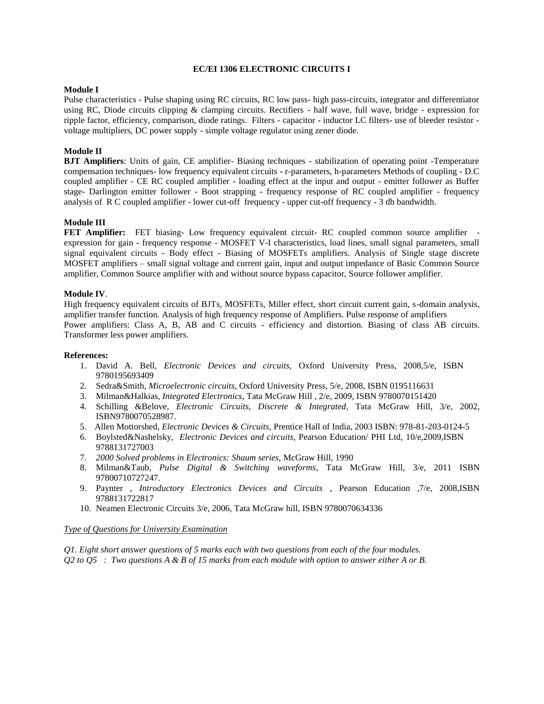#### **EC/EI 1306 ELECTRONIC CIRCUITS I**

### **Module I**

Pulse characteristics - Pulse shaping using RC circuits, RC low pass- high pass-circuits, integrator and differentiator using RC, Diode circuits clipping & clamping circuits. Rectifiers - half wave, full wave, bridge - expression for ripple factor, efficiency, comparison, diode ratings. Filters - capacitor - inductor LC filters- use of bleeder resistor voltage multipliers, DC power supply - simple voltage regulator using zener diode.

# **Module II**

**BJT Amplifiers**: Units of gain, CE amplifier- Biasing techniques - stabilization of operating point -Temperature compensation techniques- low frequency equivalent circuits - r-parameters, h-parameters Methods of coupling - D.C coupled amplifier - CE RC coupled amplifier - loading effect at the input and output - emitter follower as Buffer stage- Darlington emitter follower - Boot strapping - frequency response of RC coupled amplifier - frequency analysis of R C coupled amplifier - lower cut-off frequency - upper cut-off frequency - 3 db bandwidth.

### **Module III**

**FET Amplifier:** FET biasing- Low frequency equivalent circuit- RC coupled common source amplifier expression for gain - frequency response - MOSFET V-I characteristics, load lines, small signal parameters, small signal equivalent circuits - Body effect - Biasing of MOSFETs amplifiers. Analysis of Single stage discrete MOSFET amplifiers – small signal voltage and current gain, input and output impedance of Basic Common Source amplifier, Common Source amplifier with and without source bypass capacitor, Source follower amplifier.

### **Module IV**.

High frequency equivalent circuits of BJTs, MOSFETs, Miller effect, short circuit current gain, s-domain analysis, amplifier transfer function. Analysis of high frequency response of Amplifiers. Pulse response of amplifiers Power amplifiers: Class A, B, AB and C circuits - efficiency and distortion. Biasing of class AB circuits. Transformer less power amplifiers.

#### **References:**

- 1. David A. Bell, *Electronic Devices and circuits,* Oxford University Press, 2008,5/e, ISBN 9780195693409
- 2. Sedra&Smith, *Microelectronic circuits*, Oxford University Press, 5/e, 2008, ISBN 0195116631
- 3. Milman&Halkias, *Integrated Electronics*, Tata McGraw Hill , 2/e, 2009, ISBN 9780070151420
- 4. Schilling &Belove, *Electronic Circuits, Discrete & Integrated*, Tata McGraw Hill, 3/e, 2002, ISBN9780070528987.
- 5. Allen Mottorshed, *Electronic Devices & Circuits*, Prentice Hall of India, 2003 ISBN: 978-81-203-0124-5
- 6. Boylsted&Nashelsky, *Electronic Devices and circuits,* Pearson Education/ PHI Ltd, 10/e,2009,ISBN 9788131727003
- 7. *2000 Solved problems in Electronics: Shaum series,* McGraw Hill, 1990
- 8. Milman&Taub, *Pulse Digital & Switching waveforms*, Tata McGraw Hill, 3/e, 2011 ISBN 97800710727247.
- 9. Paynter , *Introductory Electronics Devices and Circuits* , Pearson Education ,7/e, 2008,ISBN 9788131722817
- 10. Neamen Electronic Circuits 3/e, 2006, Tata McGraw hill, ISBN 9780070634336

#### *Type of Questions for University Examination*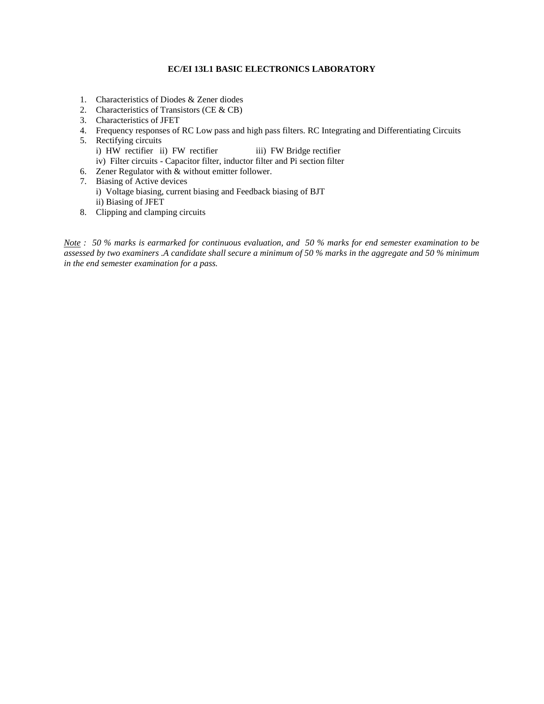# **EC/EI 13L1 BASIC ELECTRONICS LABORATORY**

- 1. Characteristics of Diodes & Zener diodes
- 2. Characteristics of Transistors (CE & CB)
- 3. Characteristics of JFET
- 4. Frequency responses of RC Low pass and high pass filters. RC Integrating and Differentiating Circuits
- 5. Rectifying circuits i) HW rectifier ii) FW rectifier iii) FW Bridge rectifier iv) Filter circuits - Capacitor filter, inductor filter and Pi section filter
- 6. Zener Regulator with & without emitter follower.
- 7. Biasing of Active devices i) Voltage biasing, current biasing and Feedback biasing of BJT ii) Biasing of JFET
- 8. Clipping and clamping circuits

*Note : 50 % marks is earmarked for continuous evaluation, and 50 % marks for end semester examination to be assessed by two examiners .A candidate shall secure a minimum of 50 % marks in the aggregate and 50 % minimum in the end semester examination for a pass.*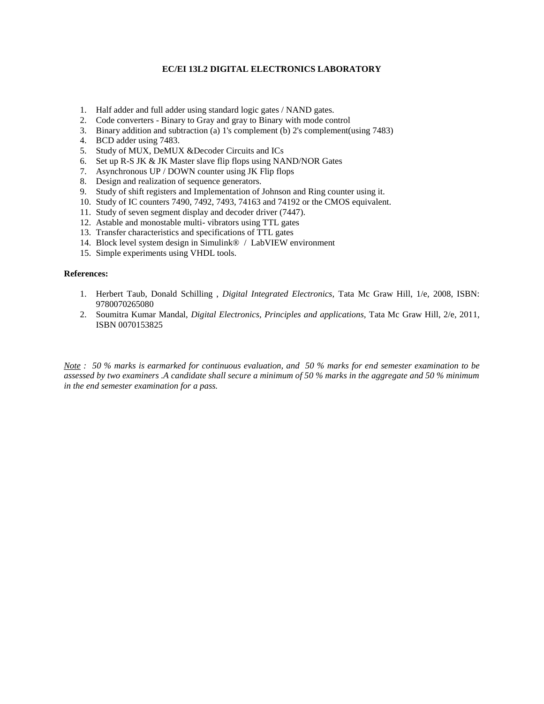# **EC/EI 13L2 DIGITAL ELECTRONICS LABORATORY**

- 1. Half adder and full adder using standard logic gates / NAND gates.
- 2. Code converters Binary to Gray and gray to Binary with mode control
- 3. Binary addition and subtraction (a) 1's complement (b) 2's complement(using 7483)
- 4. BCD adder using 7483.
- 5. Study of MUX, DeMUX &Decoder Circuits and ICs
- 6. Set up R-S JK & JK Master slave flip flops using NAND/NOR Gates
- 7. Asynchronous UP / DOWN counter using JK Flip flops
- 8. Design and realization of sequence generators.
- 9. Study of shift registers and Implementation of Johnson and Ring counter using it.
- 10. Study of IC counters 7490, 7492, 7493, 74163 and 74192 or the CMOS equivalent.
- 11. Study of seven segment display and decoder driver (7447).
- 12. Astable and monostable multi- vibrators using TTL gates
- 13. Transfer characteristics and specifications of TTL gates
- 14. Block level system design in Simulink® / LabVIEW environment
- 15. Simple experiments using VHDL tools.

# **References:**

- 1. Herbert Taub, Donald Schilling , *Digital Integrated Electronics,* Tata Mc Graw Hill, 1/e, 2008, ISBN: 9780070265080
- 2. Soumitra Kumar Mandal, *Digital Electronics, Principles and applications,* Tata Mc Graw Hill, 2/e, 2011, ISBN 0070153825

*Note : 50 % marks is earmarked for continuous evaluation, and 50 % marks for end semester examination to be assessed by two examiners .A candidate shall secure a minimum of 50 % marks in the aggregate and 50 % minimum in the end semester examination for a pass.*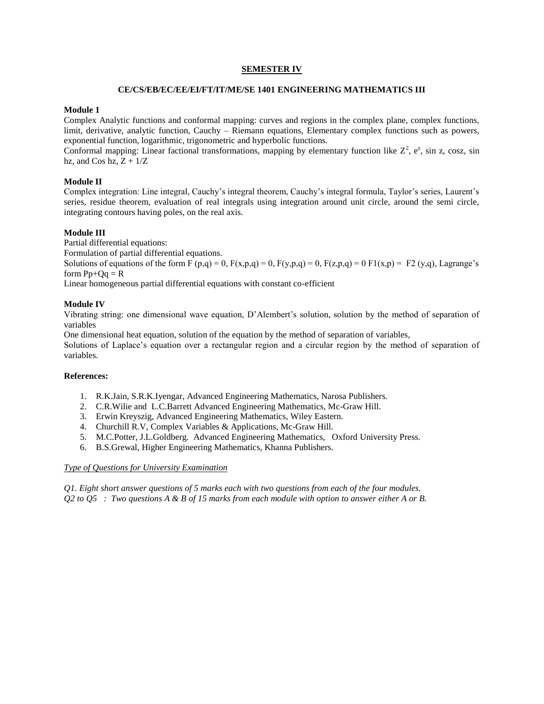# **SEMESTER IV**

#### **CE/CS/EB/EC/EE/EI/FT/IT/ME/SE 1401 ENGINEERING MATHEMATICS III**

# **Module 1**

Complex Analytic functions and conformal mapping: curves and regions in the complex plane, complex functions, limit, derivative, analytic function, Cauchy – Riemann equations, Elementary complex functions such as powers, exponential function, logarithmic, trigonometric and hyperbolic functions.

Conformal mapping: Linear factional transformations, mapping by elementary function like  $Z^2$ ,  $e^z$ , sin z, cosz, sin hz, and Cos hz,  $Z + 1/Z$ 

# **Module II**

Complex integration: Line integral, Cauchy's integral theorem, Cauchy's integral formula, Taylor's series, Laurent's series, residue theorem, evaluation of real integrals using integration around unit circle, around the semi circle, integrating contours having poles, on the real axis.

### **Module III**

Partial differential equations:

Formulation of partial differential equations.

Solutions of equations of the form F  $(p,q) = 0$ ,  $F(x,p,q) = 0$ ,  $F(y,p,q) = 0$ ,  $F(z,p,q) = 0$   $F1(x,p) = F2(y,q)$ , Lagrange's form  $Pp+Qq = R$ 

Linear homogeneous partial differential equations with constant co-efficient

### **Module IV**

Vibrating string: one dimensional wave equation, D'Alembert's solution, solution by the method of separation of variables

One dimensional heat equation, solution of the equation by the method of separation of variables,

Solutions of Laplace's equation over a rectangular region and a circular region by the method of separation of variables.

# **References:**

- 1. R.K.Jain, S.R.K.Iyengar, Advanced Engineering Mathematics, Narosa Publishers.
- 2. C.R.Wilie and L.C.Barrett Advanced Engineering Mathematics, Mc-Graw Hill.
- 3. Erwin Kreyszig, Advanced Engineering Mathematics, Wiley Eastern.
- 4. Churchill R.V, Complex Variables & Applications, Mc-Graw Hill.
- 5. M.C.Potter, J.L.Goldberg. Advanced Engineering Mathematics, Oxford University Press.
- 6. B.S.Grewal, Higher Engineering Mathematics, Khanna Publishers.

#### *Type of Questions for University Examination*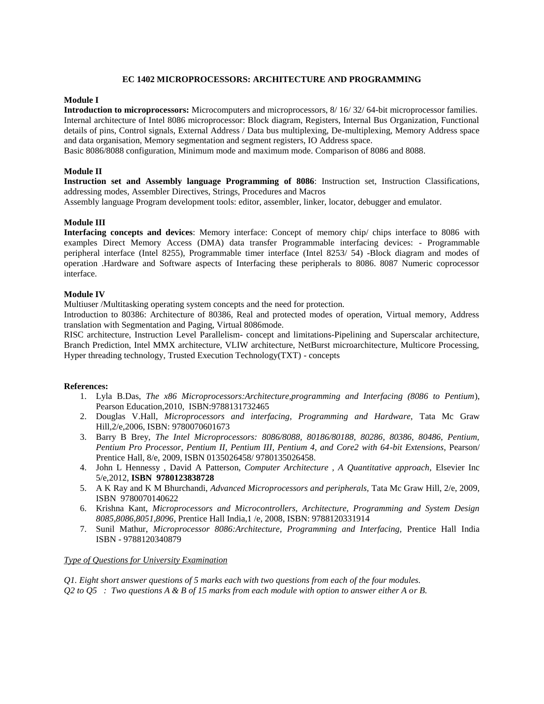# **EC 1402 MICROPROCESSORS: ARCHITECTURE AND PROGRAMMING**

#### **Module I**

**Introduction to microprocessors:** Microcomputers and microprocessors, 8/ 16/ 32/ 64-bit microprocessor families. Internal architecture of Intel 8086 microprocessor: Block diagram, Registers, Internal Bus Organization, Functional details of pins, Control signals, External Address / Data bus multiplexing, De-multiplexing, Memory Address space and data organisation, Memory segmentation and segment registers, IO Address space.

Basic 8086/8088 configuration, Minimum mode and maximum mode. Comparison of 8086 and 8088.

# **Module II**

**Instruction set and Assembly language Programming of 8086**: Instruction set, Instruction Classifications, addressing modes, Assembler Directives, Strings, Procedures and Macros

Assembly language Program development tools: editor, assembler, linker, locator, debugger and emulator.

### **Module III**

**Interfacing concepts and devices**: Memory interface: Concept of memory chip/ chips interface to 8086 with examples Direct Memory Access (DMA) data transfer Programmable interfacing devices: - Programmable peripheral interface (Intel 8255), Programmable timer interface (Intel 8253/ 54) -Block diagram and modes of operation .Hardware and Software aspects of Interfacing these peripherals to 8086. 8087 Numeric coprocessor interface.

### **Module IV**

Multiuser /Multitasking operating system concepts and the need for protection.

Introduction to 80386: Architecture of 80386, Real and protected modes of operation, Virtual memory, Address translation with Segmentation and Paging, Virtual 8086mode.

RISC architecture, Instruction Level Parallelism- concept and limitations-Pipelining and Superscalar architecture, Branch Prediction, Intel MMX architecture, VLIW architecture, NetBurst microarchitecture, Multicore Processing, Hyper threading technology, Trusted Execution Technology(TXT) - concepts

#### **References:**

- 1. Lyla B.Das, *The x86 Microprocessors:Architecture,programming and Interfacing (8086 to Pentium*), Pearson Education,2010, ISBN:9788131732465
- 2. Douglas V.Hall, *Microprocessors and interfacing, Programming and Hardware,* Tata Mc Graw Hill,2/e,2006, ISBN: 9780070601673
- 3. Barry B Brey, *The Intel Microprocessors: 8086/8088, 80186/80188, 80286, 80386, 80486, Pentium, Pentium Pro Processor, Pentium II, Pentium III, Pentium 4, and Core2 with 64-bit Extensions*, Pearson/ Prentice Hall, 8/e, 2009, ISBN 0135026458/ 9780135026458.
- 4. John L Hennessy , David A Patterson, *Computer Architecture , A Quantitative approach,* Elsevier Inc 5/e,2012, **ISBN 9780123838728**
- 5. A K Ray and K M Bhurchandi, *Advanced Microprocessors and peripherals,* Tata Mc Graw Hill, 2/e, 2009, ISBN 9780070140622
- 6. Krishna Kant, *Microprocessors and Microcontrollers, Architecture, Programming and System Design 8085,8086,8051,8096*, Prentice Hall India,1 /e, 2008, ISBN: 9788120331914
- 7. Sunil Mathur, *Microprocessor 8086:Architecture, Programming and Interfacing,* Prentice Hall India ISBN - 9788120340879

#### *Type of Questions for University Examination*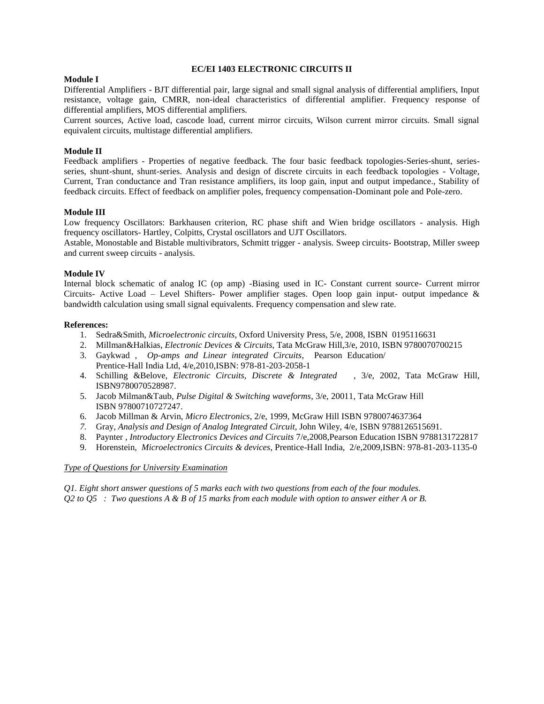### **EC/EI 1403 ELECTRONIC CIRCUITS II**

#### **Module I**

Differential Amplifiers - BJT differential pair, large signal and small signal analysis of differential amplifiers, Input resistance, voltage gain, CMRR, non-ideal characteristics of differential amplifier. Frequency response of differential amplifiers, MOS differential amplifiers.

Current sources, Active load, cascode load, current mirror circuits, Wilson current mirror circuits. Small signal equivalent circuits, multistage differential amplifiers.

### **Module II**

Feedback amplifiers - Properties of negative feedback. The four basic feedback topologies-Series-shunt, seriesseries, shunt-shunt, shunt-series. Analysis and design of discrete circuits in each feedback topologies - Voltage, Current, Tran conductance and Tran resistance amplifiers, its loop gain, input and output impedance., Stability of feedback circuits. Effect of feedback on amplifier poles, frequency compensation-Dominant pole and Pole-zero.

### **Module III**

Low frequency Oscillators: Barkhausen criterion, RC phase shift and Wien bridge oscillators - analysis. High frequency oscillators- Hartley, Colpitts, Crystal oscillators and UJT Oscillators.

Astable, Monostable and Bistable multivibrators, Schmitt trigger - analysis. Sweep circuits- Bootstrap, Miller sweep and current sweep circuits - analysis.

### **Module IV**

Internal block schematic of analog IC (op amp) -Biasing used in IC- Constant current source- Current mirror Circuits- Active Load – Level Shifters- Power amplifier stages. Open loop gain input- output impedance & bandwidth calculation using small signal equivalents. Frequency compensation and slew rate.

#### **References:**

- 1. Sedra&Smith, *Microelectronic circuits*, Oxford University Press, 5/e, 2008, ISBN 0195116631
- 2. Millman&Halkias, *Electronic Devices & Circuits*, Tata McGraw Hill,3/e, 2010, ISBN 9780070700215
- 3. Gaykwad , *Op-amps and Linear integrated Circuits*, Pearson Education/ Prentice-Hall India Ltd, 4/e,2010,ISBN: 978-81-203-2058-1
- 4. Schilling &Belove, *Electronic Circuits, Discrete & Integrated* , 3/e, 2002, Tata McGraw Hill, ISBN9780070528987.
- 5. Jacob Milman&Taub, *Pulse Digital & Switching waveforms*, 3/e, 20011, Tata McGraw Hill ISBN 97800710727247.
- 6. Jacob Millman & Arvin, *Micro Electronics*, 2/e, 1999, McGraw Hill ISBN 9780074637364
- *7.* Gray, *Analysis and Design of Analog Integrated Circuit,* John Wiley, 4/e, ISBN 9788126515691.
- 8. Paynter , *Introductory Electronics Devices and Circuits* 7/e,2008,Pearson Education ISBN 9788131722817
- 9. Horenstein, *Microelectronics Circuits & devices*, Prentice-Hall India, 2/e,2009,ISBN: 978-81-203-1135-0

#### *Type of Questions for University Examination*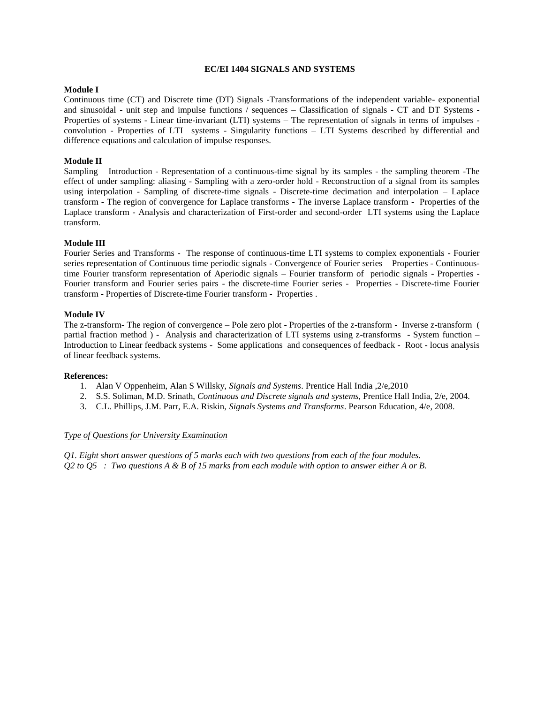## **EC/EI 1404 SIGNALS AND SYSTEMS**

# **Module I**

Continuous time (CT) and Discrete time (DT) Signals -Transformations of the independent variable- exponential and sinusoidal - unit step and impulse functions / sequences – Classification of signals - CT and DT Systems - Properties of systems - Linear time-invariant (LTI) systems – The representation of signals in terms of impulses convolution - Properties of LTI systems - Singularity functions – LTI Systems described by differential and difference equations and calculation of impulse responses.

# **Module II**

Sampling – Introduction - Representation of a continuous-time signal by its samples - the sampling theorem -The effect of under sampling: aliasing - Sampling with a zero-order hold - Reconstruction of a signal from its samples using interpolation - Sampling of discrete-time signals - Discrete-time decimation and interpolation – Laplace transform - The region of convergence for Laplace transforms - The inverse Laplace transform - Properties of the Laplace transform - Analysis and characterization of First-order and second-order LTI systems using the Laplace transform.

### **Module III**

Fourier Series and Transforms - The response of continuous-time LTI systems to complex exponentials - Fourier series representation of Continuous time periodic signals - Convergence of Fourier series – Properties - Continuoustime Fourier transform representation of Aperiodic signals – Fourier transform of periodic signals - Properties - Fourier transform and Fourier series pairs - the discrete-time Fourier series - Properties - Discrete-time Fourier transform - Properties of Discrete-time Fourier transform - Properties .

### **Module IV**

The z-transform- The region of convergence – Pole zero plot - Properties of the z-transform - Inverse z-transform ( partial fraction method ) - Analysis and characterization of LTI systems using z-transforms - System function – Introduction to Linear feedback systems - Some applications and consequences of feedback - Root - locus analysis of linear feedback systems.

#### **References:**

- 1. Alan V Oppenheim, Alan S Willsky, *Signals and Systems*. Prentice Hall India ,2/e,2010
- 2. S.S. Soliman, M.D. Srinath, *Continuous and Discrete signals and systems*, Prentice Hall India, 2/e, 2004.
- 3. C.L. Phillips, J.M. Parr, E.A. Riskin, *Signals Systems and Transforms*. Pearson Education, 4/e, 2008.

# *Type of Questions for University Examination*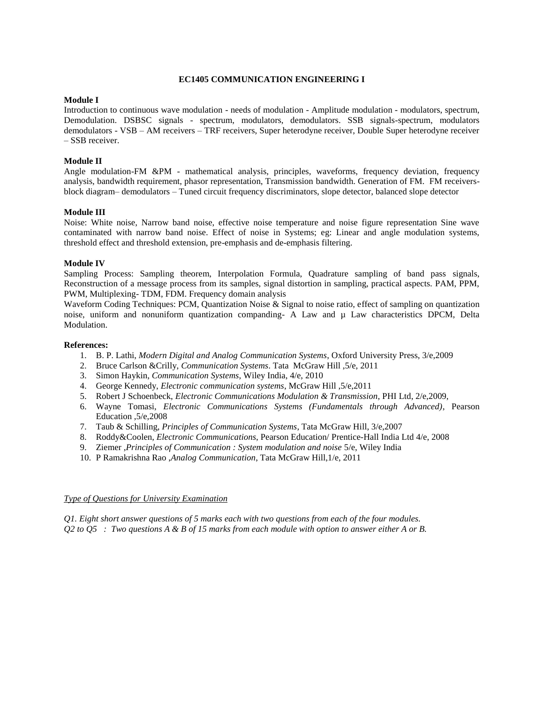#### **EC1405 COMMUNICATION ENGINEERING I**

# **Module I**

Introduction to continuous wave modulation - needs of modulation - Amplitude modulation - modulators, spectrum, Demodulation. DSBSC signals - spectrum, modulators, demodulators. SSB signals-spectrum, modulators demodulators - VSB – AM receivers – TRF receivers, Super heterodyne receiver, Double Super heterodyne receiver – SSB receiver.

# **Module II**

Angle modulation-FM &PM - mathematical analysis, principles, waveforms, frequency deviation, frequency analysis, bandwidth requirement, phasor representation, Transmission bandwidth. Generation of FM. FM receiversblock diagram– demodulators – Tuned circuit frequency discriminators, slope detector, balanced slope detector

### **Module III**

Noise: White noise, Narrow band noise, effective noise temperature and noise figure representation Sine wave contaminated with narrow band noise. Effect of noise in Systems; eg: Linear and angle modulation systems, threshold effect and threshold extension, pre-emphasis and de-emphasis filtering.

### **Module IV**

Sampling Process: Sampling theorem, Interpolation Formula, Quadrature sampling of band pass signals, Reconstruction of a message process from its samples, signal distortion in sampling, practical aspects. PAM, PPM, PWM, Multiplexing- TDM, FDM. Frequency domain analysis

Waveform Coding Techniques: PCM, Quantization Noise & Signal to noise ratio, effect of sampling on quantization noise, uniform and nonuniform quantization companding- A Law and  $\mu$  Law characteristics DPCM, Delta Modulation.

### **References:**

- 1. B. P. Lathi, *Modern Digital and Analog Communication Systems*, Oxford University Press, 3/e,2009
- 2. Bruce Carlson &Crilly, *Communication Systems*. Tata McGraw Hill ,5/e, 2011
- 3. Simon Haykin, *Communication Systems*, Wiley India, 4/e, 2010
- 4. George Kennedy, *Electronic communication systems*, McGraw Hill ,5/e,2011
- 5. Robert J Schoenbeck, *Electronic Communications Modulation & Transmission*, PHI Ltd, 2/e,2009,
- 6. Wayne Tomasi, *Electronic Communications Systems (Fundamentals through Advanced)*, Pearson Education ,5/e,2008
- 7. Taub & Schilling, *Principles of Communication Systems*, Tata McGraw Hill, 3/e,2007
- 8. Roddy&Coolen, *Electronic Communications*, Pearson Education/ Prentice-Hall India Ltd 4/e, 2008
- 9. Ziemer ,*Principles of Communication : System modulation and noise* 5/e, Wiley India
- 10. P Ramakrishna Rao ,*Analog Communication*, Tata McGraw Hill,1/e, 2011

### *Type of Questions for University Examination*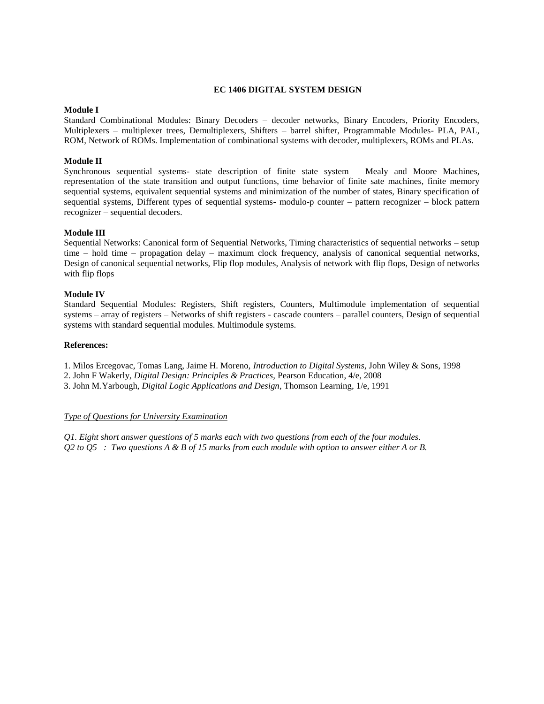#### **EC 1406 DIGITAL SYSTEM DESIGN**

#### **Module I**

Standard Combinational Modules: Binary Decoders – decoder networks, Binary Encoders, Priority Encoders, Multiplexers – multiplexer trees, Demultiplexers, Shifters – barrel shifter, Programmable Modules- PLA, PAL, ROM, Network of ROMs. Implementation of combinational systems with decoder, multiplexers, ROMs and PLAs.

# **Module II**

Synchronous sequential systems- state description of finite state system – Mealy and Moore Machines, representation of the state transition and output functions, time behavior of finite sate machines, finite memory sequential systems, equivalent sequential systems and minimization of the number of states, Binary specification of sequential systems, Different types of sequential systems- modulo-p counter – pattern recognizer – block pattern recognizer – sequential decoders.

#### **Module III**

Sequential Networks: Canonical form of Sequential Networks, Timing characteristics of sequential networks – setup time – hold time – propagation delay – maximum clock frequency, analysis of canonical sequential networks, Design of canonical sequential networks, Flip flop modules, Analysis of network with flip flops, Design of networks with flip flops

# **Module IV**

Standard Sequential Modules: Registers, Shift registers, Counters, Multimodule implementation of sequential systems – array of registers – Networks of shift registers - cascade counters – parallel counters, Design of sequential systems with standard sequential modules. Multimodule systems.

### **References:**

1. Milos Ercegovac, Tomas Lang, Jaime H. Moreno, *Introduction to Digital Systems*, John Wiley & Sons, 1998

2. John F Wakerly, *Digital Design: Principles & Practices*, Pearson Education, 4/e, 2008

3. John M.Yarbough, *Digital Logic Applications and Design*, Thomson Learning, 1/e, 1991

#### *Type of Questions for University Examination*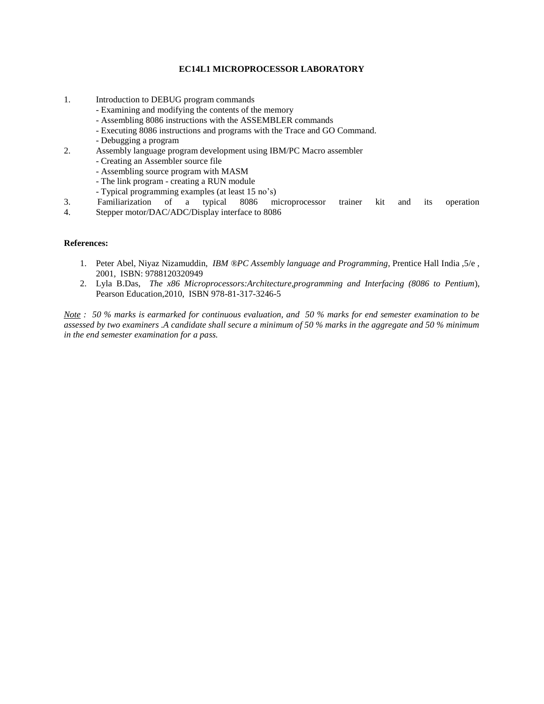# **EC14L1 MICROPROCESSOR LABORATORY**

- 1. Introduction to DEBUG program commands
	- Examining and modifying the contents of the memory
	- Assembling 8086 instructions with the ASSEMBLER commands
	- Executing 8086 instructions and programs with the Trace and GO Command.
	- Debugging a program
- 2. Assembly language program development using IBM/PC Macro assembler
	- Creating an Assembler source file
	- Assembling source program with MASM
	- The link program creating a RUN module
	- Typical programming examples (at least 15 no's)
- 3. Familiarization of a typical 8086 microprocessor trainer kit and its operation
- 4. Stepper motor/DAC/ADC/Display interface to 8086

#### **References:**

- 1. Peter Abel, Niyaz Nizamuddin, *IBM ®PC Assembly language and Programming*, Prentice Hall India ,5/e , 2001, ISBN: 9788120320949
- 2. Lyla B.Das, *The x86 Microprocessors:Architecture,programming and Interfacing (8086 to Pentium*), Pearson Education,2010, ISBN 978-81-317-3246-5

*Note : 50 % marks is earmarked for continuous evaluation, and 50 % marks for end semester examination to be assessed by two examiners .A candidate shall secure a minimum of 50 % marks in the aggregate and 50 % minimum in the end semester examination for a pass.*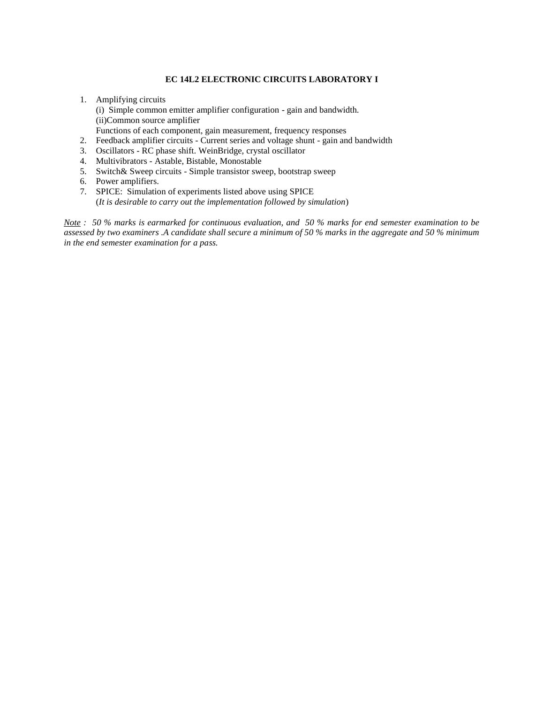# **EC 14L2 ELECTRONIC CIRCUITS LABORATORY I**

- 1. Amplifying circuits (i) Simple common emitter amplifier configuration - gain and bandwidth. (ii)Common source amplifier Functions of each component, gain measurement, frequency responses
- 2. Feedback amplifier circuits Current series and voltage shunt gain and bandwidth
- 3. Oscillators RC phase shift. WeinBridge, crystal oscillator
- 4. Multivibrators Astable, Bistable, Monostable
- 5. Switch& Sweep circuits Simple transistor sweep, bootstrap sweep
- 6. Power amplifiers.
- 7. SPICE: Simulation of experiments listed above using SPICE (*It is desirable to carry out the implementation followed by simulation*)

*Note : 50 % marks is earmarked for continuous evaluation, and 50 % marks for end semester examination to be assessed by two examiners .A candidate shall secure a minimum of 50 % marks in the aggregate and 50 % minimum in the end semester examination for a pass.*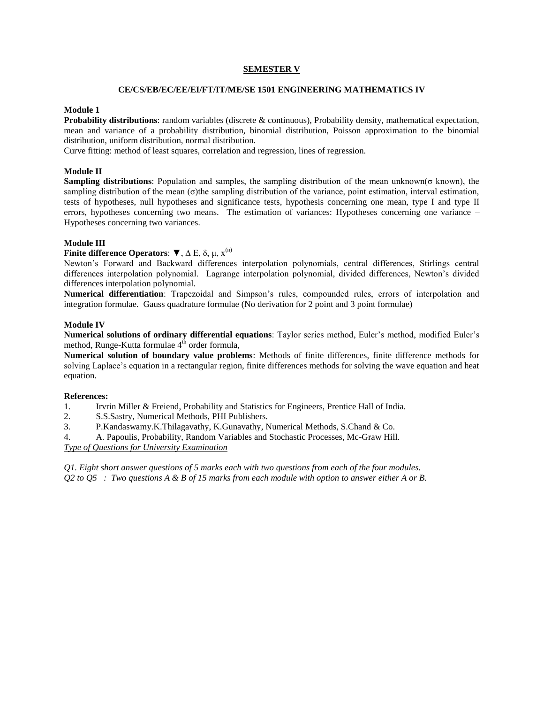# **SEMESTER V**

#### **CE/CS/EB/EC/EE/EI/FT/IT/ME/SE 1501 ENGINEERING MATHEMATICS IV**

### **Module 1**

**Probability distributions**: random variables (discrete & continuous), Probability density, mathematical expectation, mean and variance of a probability distribution, binomial distribution, Poisson approximation to the binomial distribution, uniform distribution, normal distribution.

Curve fitting: method of least squares, correlation and regression, lines of regression.

### **Module II**

**Sampling distributions**: Population and samples, the sampling distribution of the mean unknown( $\sigma$  known), the sampling distribution of the mean (σ)the sampling distribution of the variance, point estimation, interval estimation, tests of hypotheses, null hypotheses and significance tests, hypothesis concerning one mean, type I and type II errors, hypotheses concerning two means. The estimation of variances: Hypotheses concerning one variance – Hypotheses concerning two variances.

### **Module III**

# **Finite difference Operators**: ▼, ∆ E, δ, μ, x (n)

Newton's Forward and Backward differences interpolation polynomials, central differences, Stirlings central differences interpolation polynomial. Lagrange interpolation polynomial, divided differences, Newton's divided differences interpolation polynomial.

**Numerical differentiation**: Trapezoidal and Simpson's rules, compounded rules, errors of interpolation and integration formulae. Gauss quadrature formulae (No derivation for 2 point and 3 point formulae)

## **Module IV**

**Numerical solutions of ordinary differential equations**: Taylor series method, Euler's method, modified Euler's method, Runge-Kutta formulae  $4<sup>th</sup>$  order formula,

**Numerical solution of boundary value problems**: Methods of finite differences, finite difference methods for solving Laplace's equation in a rectangular region, finite differences methods for solving the wave equation and heat equation.

# **References:**

- 1. Irvrin Miller & Freiend, Probability and Statistics for Engineers, Prentice Hall of India.
- 2. S.S.Sastry, Numerical Methods, PHI Publishers.
- 3. P.Kandaswamy.K.Thilagavathy, K.Gunavathy, Numerical Methods, S.Chand & Co.
- 4. A. Papoulis, Probability, Random Variables and Stochastic Processes, Mc-Graw Hill. *Type of Questions for University Examination*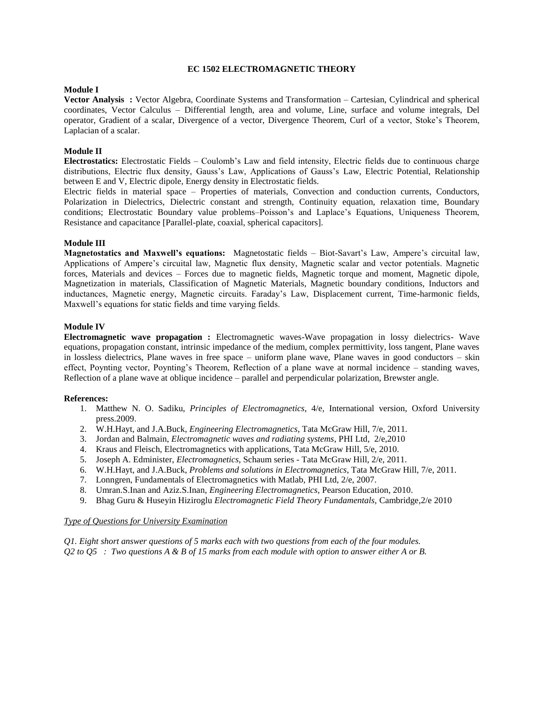### **EC 1502 ELECTROMAGNETIC THEORY**

## **Module I**

**Vector Analysis :** Vector Algebra, Coordinate Systems and Transformation – Cartesian, Cylindrical and spherical coordinates, Vector Calculus – Differential length, area and volume, Line, surface and volume integrals, Del operator, Gradient of a scalar, Divergence of a vector, Divergence Theorem, Curl of a vector, Stoke's Theorem, Laplacian of a scalar.

### **Module II**

**Electrostatics:** Electrostatic Fields – Coulomb's Law and field intensity, Electric fields due to continuous charge distributions, Electric flux density, Gauss's Law, Applications of Gauss's Law, Electric Potential, Relationship between E and V, Electric dipole, Energy density in Electrostatic fields.

Electric fields in material space – Properties of materials, Convection and conduction currents, Conductors, Polarization in Dielectrics, Dielectric constant and strength, Continuity equation, relaxation time, Boundary conditions; Electrostatic Boundary value problems–Poisson's and Laplace's Equations, Uniqueness Theorem, Resistance and capacitance [Parallel-plate, coaxial, spherical capacitors].

#### **Module III**

**Magnetostatics and Maxwell's equations:** Magnetostatic fields – Biot-Savart's Law, Ampere's circuital law, Applications of Ampere's circuital law, Magnetic flux density, Magnetic scalar and vector potentials. Magnetic forces, Materials and devices – Forces due to magnetic fields, Magnetic torque and moment, Magnetic dipole, Magnetization in materials, Classification of Magnetic Materials, Magnetic boundary conditions, Inductors and inductances, Magnetic energy, Magnetic circuits. Faraday's Law, Displacement current, Time-harmonic fields, Maxwell's equations for static fields and time varying fields.

#### **Module IV**

**Electromagnetic wave propagation :** Electromagnetic waves-Wave propagation in lossy dielectrics- Wave equations, propagation constant, intrinsic impedance of the medium, complex permittivity, loss tangent, Plane waves in lossless dielectrics, Plane waves in free space – uniform plane wave, Plane waves in good conductors – skin effect, Poynting vector, Poynting's Theorem, Reflection of a plane wave at normal incidence – standing waves, Reflection of a plane wave at oblique incidence – parallel and perpendicular polarization, Brewster angle.

#### **References:**

- 1. Matthew N. O. Sadiku, *Principles of Electromagnetics*, 4/e, International version, Oxford University press.2009.
- 2. W.H.Hayt, and J.A.Buck, *Engineering Electromagnetics*, Tata McGraw Hill, 7/e, 2011.
- 3. Jordan and Balmain, *Electromagnetic waves and radiating systems*, PHI Ltd, 2/e,2010
- 4. Kraus and Fleisch, Electromagnetics with applications, Tata McGraw Hill, 5/e, 2010.
- 5. Joseph A. Edminister, *Electromagnetics*, Schaum series Tata McGraw Hill, 2/e, 2011.
- 6. W.H.Hayt, and J.A.Buck, *Problems and solutions in Electromagnetics*, Tata McGraw Hill, 7/e, 2011.
- 7. Lonngren, Fundamentals of Electromagnetics with Matlab, PHI Ltd, 2/e, 2007.
- 8. Umran.S.Inan and Aziz.S.Inan, *Engineering Electromagnetics*, Pearson Education, 2010.
- 9. Bhag Guru & Huseyin Hiziroglu *Electromagnetic Field Theory Fundamentals,* Cambridge,2/e 2010

#### *Type of Questions for University Examination*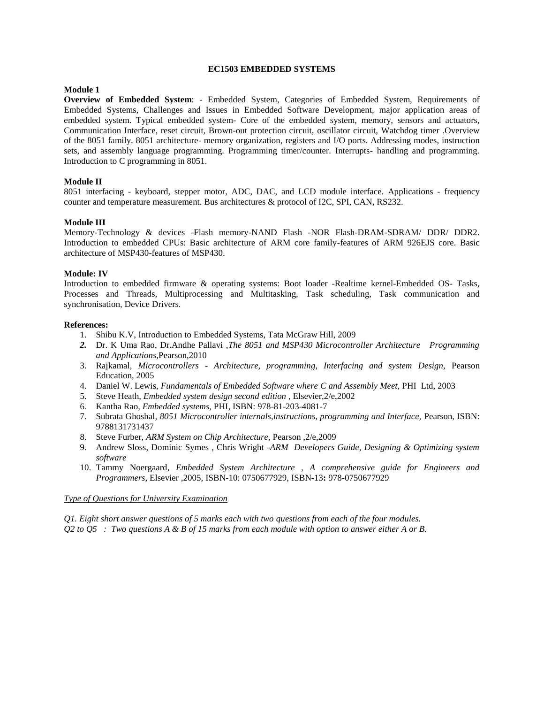### **EC1503 EMBEDDED SYSTEMS**

### **Module 1**

**Overview of Embedded System**: - Embedded System, Categories of Embedded System, Requirements of Embedded Systems, Challenges and Issues in Embedded Software Development, major application areas of embedded system. Typical embedded system- Core of the embedded system, memory, sensors and actuators, Communication Interface, reset circuit, Brown-out protection circuit, oscillator circuit, Watchdog timer .Overview of the 8051 family. 8051 architecture- memory organization, registers and I/O ports. Addressing modes, instruction sets, and assembly language programming. Programming timer/counter. Interrupts- handling and programming. Introduction to C programming in 8051.

### **Module II**

8051 interfacing - keyboard, stepper motor, ADC, DAC, and LCD module interface. Applications - frequency counter and temperature measurement. Bus architectures & protocol of I2C, SPI, CAN, RS232.

#### **Module III**

Memory-Technology & devices -Flash memory-NAND Flash -NOR Flash-DRAM-SDRAM/ DDR/ DDR2. Introduction to embedded CPUs: Basic architecture of ARM core family-features of ARM 926EJS core. Basic architecture of MSP430-features of MSP430.

### **Module: IV**

Introduction to embedded firmware & operating systems: Boot loader -Realtime kernel-Embedded OS- Tasks, Processes and Threads, Multiprocessing and Multitasking, Task scheduling, Task communication and synchronisation, Device Drivers.

#### **References:**

- 1. Shibu K.V, Introduction to Embedded Systems, Tata McGraw Hill, 2009
- *2.* Dr. K Uma Rao, Dr.Andhe Pallavi ,*The 8051 and MSP430 Microcontroller Architecture Programming and Applications,*Pearson,2010
- 3. Rajkamal, *Microcontrollers - Architecture, programming, Interfacing and system Design,* Pearson Education, 2005
- 4. Daniel W. Lewis, *Fundamentals of Embedded Software where C and Assembly Meet,* PHI Ltd, 2003
- 5. Steve Heath, *Embedded system design second edition* , Elsevier,2/e,2002
- 6. Kantha Rao, *Embedded systems*, PHI, ISBN: 978-81-203-4081-7
- 7. Subrata Ghoshal, *8051 Microcontroller internals,instructions, programming and Interface,* Pearson, ISBN: 9788131731437
- 8. Steve Furber, *ARM System on Chip Architecture,* Pearson ,2/e,2009
- 9. Andrew Sloss, Dominic Symes , Chris Wright -*ARM Developers Guide, Designing & Optimizing system software*
- 10. Tammy Noergaard*, Embedded System Architecture , A comprehensive guide for Engineers and Programmers,* Elsevier ,2005, ISBN-10: 0750677929, ISBN-13**:** 978-0750677929

### *Type of Questions for University Examination*

*Q1. Eight short answer questions of 5 marks each with two questions from each of the four modules.*

*Q2 to Q5 : Two questions A & B of 15 marks from each module with option to answer either A or B.*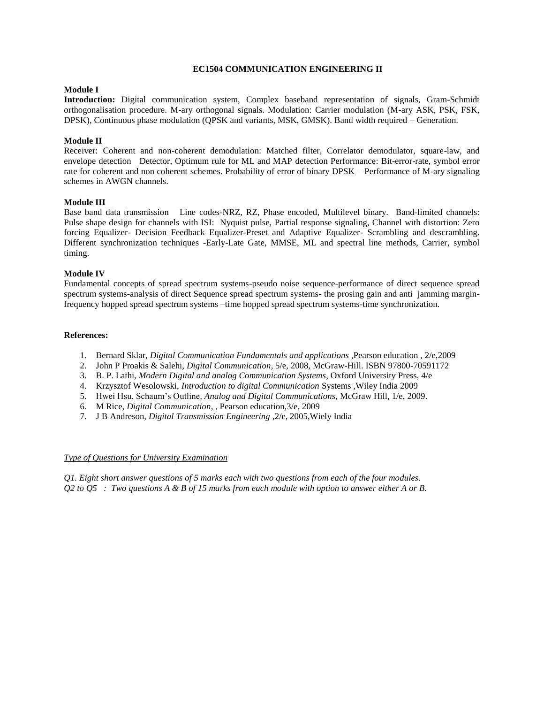### **EC1504 COMMUNICATION ENGINEERING II**

## **Module I**

**Introduction:** Digital communication system, Complex baseband representation of signals, Gram-Schmidt orthogonalisation procedure. M-ary orthogonal signals. Modulation: Carrier modulation (M-ary ASK, PSK, FSK, DPSK), Continuous phase modulation (QPSK and variants, MSK, GMSK). Band width required – Generation.

## **Module II**

Receiver: Coherent and non-coherent demodulation: Matched filter, Correlator demodulator, square-law, and envelope detection Detector, Optimum rule for ML and MAP detection Performance: Bit-error-rate, symbol error rate for coherent and non coherent schemes. Probability of error of binary DPSK – Performance of M-ary signaling schemes in AWGN channels.

### **Module III**

Base band data transmission Line codes-NRZ, RZ, Phase encoded, Multilevel binary. Band-limited channels: Pulse shape design for channels with ISI: Nyquist pulse, Partial response signaling, Channel with distortion: Zero forcing Equalizer- Decision Feedback Equalizer-Preset and Adaptive Equalizer- Scrambling and descrambling. Different synchronization techniques -Early-Late Gate, MMSE, ML and spectral line methods, Carrier, symbol timing.

### **Module IV**

Fundamental concepts of spread spectrum systems-pseudo noise sequence-performance of direct sequence spread spectrum systems-analysis of direct Sequence spread spectrum systems- the prosing gain and anti jamming marginfrequency hopped spread spectrum systems –time hopped spread spectrum systems-time synchronization.

### **References:**

- 1. Bernard Sklar, *Digital Communication Fundamentals and applications* ,Pearson education , 2/e,2009
- 2. John P Proakis & Salehi, *Digital Communication*, 5/e, 2008, McGraw-Hill. ISBN 97800-70591172
- 3. B. P. Lathi, *Modern Digital and analog Communication Systems*, Oxford University Press, 4/e
- 4. Krzysztof Wesolowski, *Introduction to digital Communication* Systems ,Wiley India 2009
- 5. Hwei Hsu, Schaum's Outline*, Analog and Digital Communications*, McGraw Hill, 1/e, 2009.
- 6. M Rice, *Digital Communication*, , Pearson education,3/e, 2009
- 7. J B Andreson, *Digital Transmission Engineering* ,2/e, 2005,Wiely India

#### *Type of Questions for University Examination*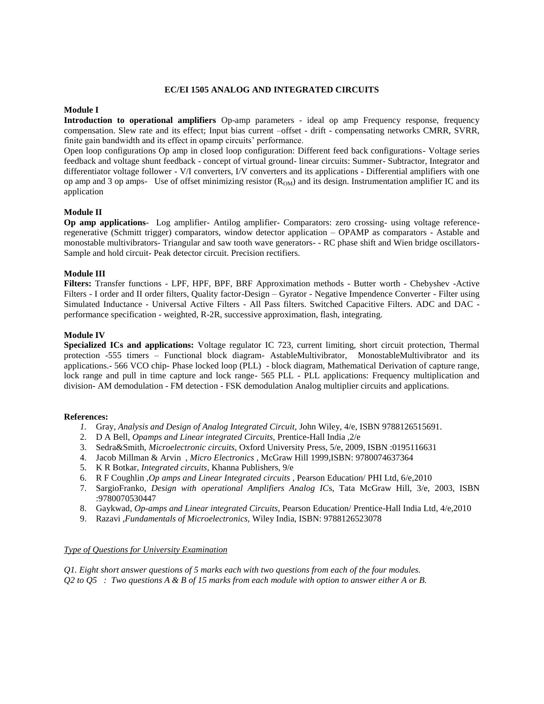### **EC/EI 1505 ANALOG AND INTEGRATED CIRCUITS**

### **Module I**

**Introduction to operational amplifiers** Op-amp parameters - ideal op amp Frequency response, frequency compensation. Slew rate and its effect; Input bias current –offset - drift - compensating networks CMRR, SVRR, finite gain bandwidth and its effect in opamp circuits' performance.

Open loop configurations Op amp in closed loop configuration: Different feed back configurations- Voltage series feedback and voltage shunt feedback - concept of virtual ground- linear circuits: Summer- Subtractor, Integrator and differentiator voltage follower - V/I converters, I/V converters and its applications - Differential amplifiers with one op amp and 3 op amps- Use of offset minimizing resistor  $(R<sub>OM</sub>)$  and its design. Instrumentation amplifier IC and its application

### **Module II**

**Op amp applications**- Log amplifier- Antilog amplifier- Comparators: zero crossing- using voltage referenceregenerative (Schmitt trigger) comparators, window detector application – OPAMP as comparators - Astable and monostable multivibrators- Triangular and saw tooth wave generators- - RC phase shift and Wien bridge oscillators-Sample and hold circuit- Peak detector circuit. Precision rectifiers.

### **Module III**

**Filters:** Transfer functions - LPF, HPF, BPF, BRF Approximation methods - Butter worth - Chebyshev -Active Filters - I order and II order filters, Quality factor-Design – Gyrator - Negative Impendence Converter - Filter using Simulated Inductance - Universal Active Filters - All Pass filters. Switched Capacitive Filters. ADC and DAC performance specification - weighted, R-2R, successive approximation, flash, integrating.

### **Module IV**

**Specialized ICs and applications:** Voltage regulator IC 723, current limiting, short circuit protection, Thermal protection -555 timers – Functional block diagram- AstableMultivibrator, MonostableMultivibrator and its applications.- 566 VCO chip- Phase locked loop (PLL) - block diagram, Mathematical Derivation of capture range, lock range and pull in time capture and lock range- 565 PLL - PLL applications: Frequency multiplication and division- AM demodulation - FM detection - FSK demodulation Analog multiplier circuits and applications.

#### **References:**

- *1.* Gray, *Analysis and Design of Analog Integrated Circuit,* John Wiley, 4/e, ISBN 9788126515691.
- 2. D A Bell, *Opamps and Linear integrated Circuits,* Prentice-Hall India ,2/e
- 3. Sedra&Smith, *Microelectronic circuits,* Oxford University Press, 5/e, 2009, ISBN :0195116631
- 4. Jacob Millman & Arvin , *Micro Electronics* , McGraw Hill 1999,ISBN: 9780074637364
- 5. K R Botkar, *Integrated circuits,* Khanna Publishers, 9/e
- 6. R F Coughlin ,*Op amps and Linear Integrated circuits* , Pearson Education/ PHI Ltd, 6/e,2010
- 7. SargioFranko, *Design with operational Amplifiers Analog IC*s, Tata McGraw Hill, 3/e, 2003, ISBN :9780070530447
- 8. Gaykwad, *Op-amps and Linear integrated Circuits*, Pearson Education/ Prentice-Hall India Ltd, 4/e,2010
- 9. Razavi ,*Fundamentals of Microelectronics,* Wiley India, ISBN: 9788126523078

#### *Type of Questions for University Examination*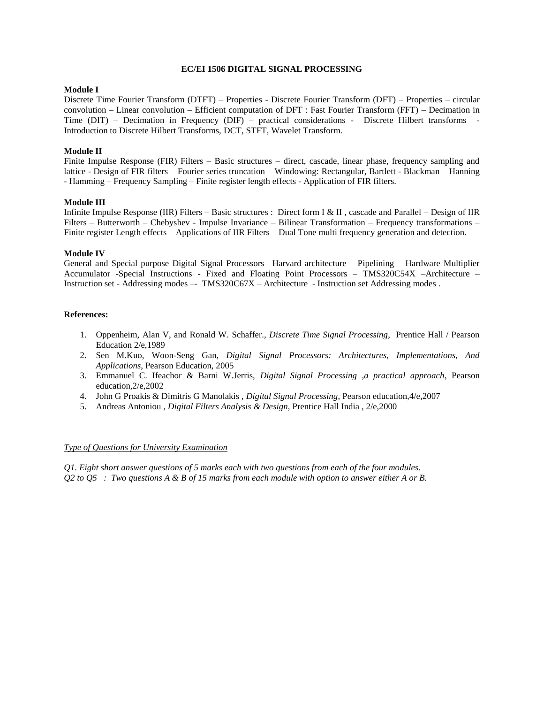### **EC/EI 1506 DIGITAL SIGNAL PROCESSING**

## **Module I**

Discrete Time Fourier Transform (DTFT) – Properties - Discrete Fourier Transform (DFT) – Properties – circular convolution – Linear convolution – Efficient computation of DFT : Fast Fourier Transform (FFT) – Decimation in Time (DIT) – Decimation in Frequency (DIF) – practical considerations - Discrete Hilbert transforms - Introduction to Discrete Hilbert Transforms, DCT, STFT, Wavelet Transform.

### **Module II**

Finite Impulse Response (FIR) Filters – Basic structures – direct, cascade, linear phase, frequency sampling and lattice - Design of FIR filters – Fourier series truncation – Windowing: Rectangular, Bartlett - Blackman – Hanning - Hamming – Frequency Sampling – Finite register length effects - Application of FIR filters.

### **Module III**

Infinite Impulse Response (IIR) Filters – Basic structures : Direct form I & II , cascade and Parallel – Design of IIR Filters – Butterworth – Chebyshev - Impulse Invariance – Bilinear Transformation – Frequency transformations – Finite register Length effects – Applications of IIR Filters – Dual Tone multi frequency generation and detection.

#### **Module IV**

General and Special purpose Digital Signal Processors –Harvard architecture – Pipelining – Hardware Multiplier Accumulator -Special Instructions - Fixed and Floating Point Processors – TMS320C54X –Architecture – Instruction set - Addressing modes –- TMS320C67X – Architecture - Instruction set Addressing modes .

### **References:**

- 1. Oppenheim, Alan V, and Ronald W. Schaffer., *Discrete Time Signal Processing*, Prentice Hall / Pearson Education 2/e,1989
- 2. Sen M.Kuo, Woon-Seng Gan, *Digital Signal Processors: Architectures, Implementations, And Applications*, Pearson Education, 2005
- 3. Emmanuel C. Ifeachor & Barni W.Jerris, *Digital Signal Processing ,a practical approach*, Pearson education,2/e,2002
- 4. John G Proakis & Dimitris G Manolakis , *Digital Signal Processing*, Pearson education,4/e,2007
- 5. Andreas Antoniou , *Digital Filters Analysis & Design*, Prentice Hall India , 2/e,2000

#### *Type of Questions for University Examination*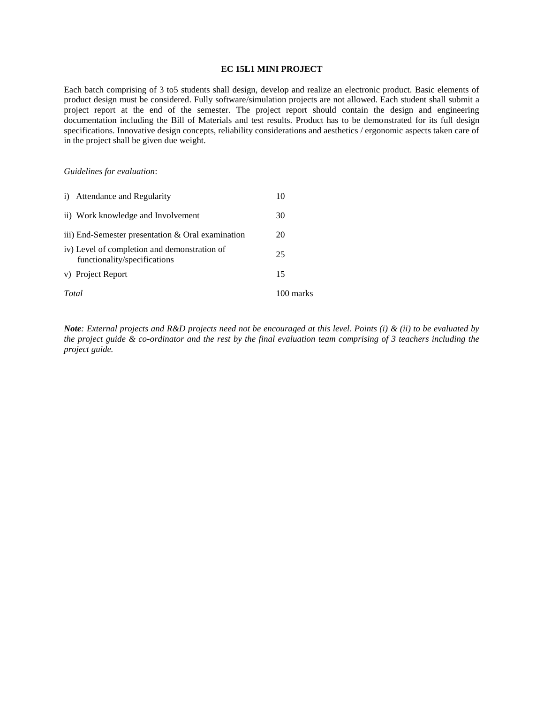### **EC 15L1 MINI PROJECT**

Each batch comprising of 3 to5 students shall design, develop and realize an electronic product. Basic elements of product design must be considered. Fully software/simulation projects are not allowed. Each student shall submit a project report at the end of the semester. The project report should contain the design and engineering documentation including the Bill of Materials and test results. Product has to be demonstrated for its full design specifications. Innovative design concepts, reliability considerations and aesthetics / ergonomic aspects taken care of in the project shall be given due weight.

### *Guidelines for evaluation*:

| Total | v) Project Report                                                            | 15<br>100 marks |
|-------|------------------------------------------------------------------------------|-----------------|
|       | iv) Level of completion and demonstration of<br>functionality/specifications | 25              |
|       | iii) End-Semester presentation & Oral examination                            | 20              |
|       | ii) Work knowledge and Involvement                                           | 30              |
|       | i) Attendance and Regularity                                                 |                 |

*Note: External projects and R&D projects need not be encouraged at this level. Points (i) & (ii) to be evaluated by the project guide & co-ordinator and the rest by the final evaluation team comprising of 3 teachers including the project guide.*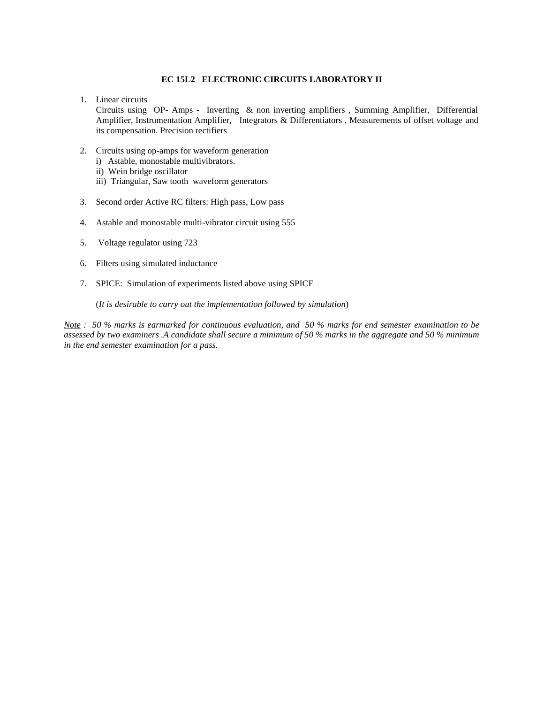## **EC 15L2 ELECTRONIC CIRCUITS LABORATORY II**

1. Linear circuits

Circuits using OP- Amps - Inverting & non inverting amplifiers , Summing Amplifier, Differential Amplifier, Instrumentation Amplifier, Integrators & Differentiators , Measurements of offset voltage and its compensation. Precision rectifiers

- 2. Circuits using op-amps for waveform generation
	- i) Astable, monostable multivibrators.
	- ii) Wein bridge oscillator
	- iii) Triangular, Saw tooth waveform generators
- 3. Second order Active RC filters: High pass, Low pass
- 4. Astable and monostable multi-vibrator circuit using 555
- 5. Voltage regulator using 723
- 6. Filters using simulated inductance
- 7. SPICE: Simulation of experiments listed above using SPICE

(*It is desirable to carry out the implementation followed by simulation*)

*Note : 50 % marks is earmarked for continuous evaluation, and 50 % marks for end semester examination to be assessed by two examiners .A candidate shall secure a minimum of 50 % marks in the aggregate and 50 % minimum in the end semester examination for a pass.*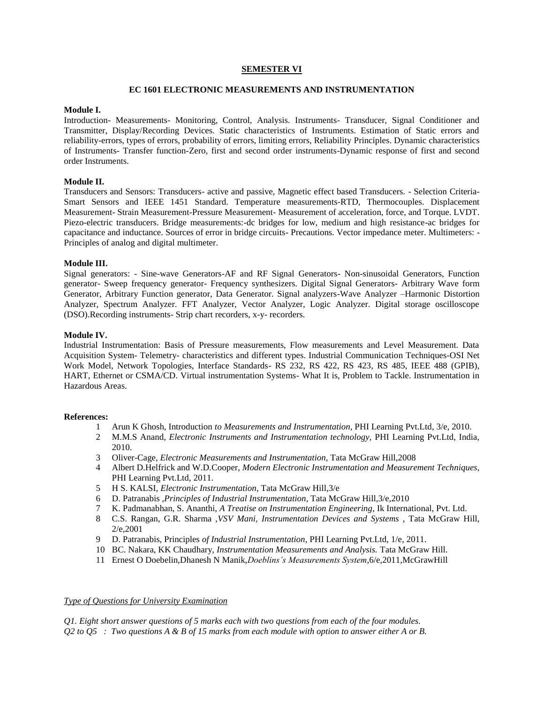### **SEMESTER VI**

### **EC 1601 ELECTRONIC MEASUREMENTS AND INSTRUMENTATION**

### **Module I.**

Introduction- Measurements- Monitoring, Control, Analysis. Instruments- Transducer, Signal Conditioner and Transmitter, Display/Recording Devices. Static characteristics of Instruments. Estimation of Static errors and reliability-errors, types of errors, probability of errors, limiting errors, Reliability Principles. Dynamic characteristics of Instruments- Transfer function-Zero, first and second order instruments-Dynamic response of first and second order Instruments.

# **Module II.**

Transducers and Sensors: Transducers- active and passive, Magnetic effect based Transducers. - Selection Criteria-Smart Sensors and IEEE 1451 Standard. Temperature measurements-RTD, Thermocouples. Displacement Measurement- Strain Measurement-Pressure Measurement- Measurement of acceleration, force, and Torque. LVDT. Piezo-electric transducers. Bridge measurements:-dc bridges for low, medium and high resistance-ac bridges for capacitance and inductance. Sources of error in bridge circuits- Precautions. Vector impedance meter. Multimeters: - Principles of analog and digital multimeter.

### **Module III.**

Signal generators: - Sine-wave Generators-AF and RF Signal Generators- Non-sinusoidal Generators, Function generator- Sweep frequency generator- Frequency synthesizers. Digital Signal Generators- Arbitrary Wave form Generator, Arbitrary Function generator, Data Generator. Signal analyzers-Wave Analyzer –Harmonic Distortion Analyzer, Spectrum Analyzer. FFT Analyzer, Vector Analyzer, Logic Analyzer. Digital storage oscilloscope (DSO).Recording instruments- Strip chart recorders, x-y- recorders.

#### **Module IV.**

Industrial Instrumentation: Basis of Pressure measurements, Flow measurements and Level Measurement. Data Acquisition System- Telemetry- characteristics and different types. Industrial Communication Techniques-OSI Net Work Model, Network Topologies, Interface Standards- RS 232, RS 422, RS 423, RS 485, IEEE 488 (GPIB), HART, Ethernet or CSMA/CD. Virtual instrumentation Systems- What It is, Problem to Tackle. Instrumentation in Hazardous Areas.

#### **References:**

- 1 Arun K Ghosh, Introduction *to Measurements and Instrumentation,* PHI Learning Pvt.Ltd, 3/e, 2010.
- 2 M.M.S Anand, *Electronic Instruments and Instrumentation technology,* PHI Learning Pvt.Ltd, India, 2010.
- 3 Oliver-Cage, *Electronic Measurements and Instrumentation*, Tata McGraw Hill,2008
- 4 Albert D.Helfrick and W.D.Cooper, *Modern Electronic Instrumentation and Measurement Techniques,*  PHI Learning Pvt.Ltd, 2011.
- 5 H S. KALSI, *Electronic Instrumentation*, Tata McGraw Hill,3/e
- 6 D. Patranabis *,Principles of Industrial Instrumentation*, Tata McGraw Hill,3/e,2010
- 7 K. Padmanabhan, S. Ananthi, *A Treatise on Instrumentation Engineering*, Ik International, Pvt. Ltd.
- 8 C.S. Rangan, G.R. Sharma ,*VSV Mani, Instrumentation Devices and Systems* , Tata McGraw Hill, 2/e,2001
- 9 D. Patranabis, Principles *of Industrial Instrumentation*, PHI Learning Pvt.Ltd, 1/e, 2011.
- 10 BC. Nakara, KK Chaudhary, *Instrumentation Measurements and Analysis.* Tata McGraw Hill.
- 11 Ernest O Doebelin,Dhanesh N Manik,*Doeblins's Measurements System*,6/e,2011,McGrawHill

### *Type of Questions for University Examination*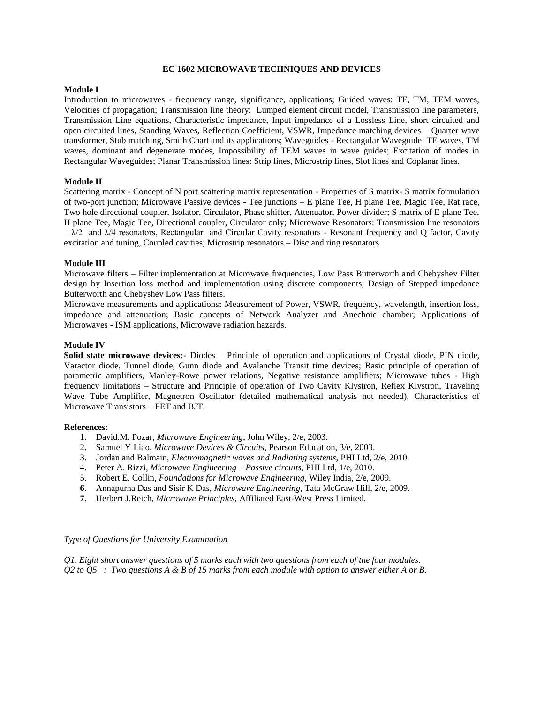### **EC 1602 MICROWAVE TECHNIQUES AND DEVICES**

## **Module I**

Introduction to microwaves - frequency range, significance, applications; Guided waves: TE, TM, TEM waves, Velocities of propagation; Transmission line theory: Lumped element circuit model, Transmission line parameters, Transmission Line equations, Characteristic impedance, Input impedance of a Lossless Line, short circuited and open circuited lines, Standing Waves, Reflection Coefficient, VSWR, Impedance matching devices – Quarter wave transformer, Stub matching, Smith Chart and its applications; Waveguides - Rectangular Waveguide: TE waves, TM waves, dominant and degenerate modes, Impossibility of TEM waves in wave guides; Excitation of modes in Rectangular Waveguides; Planar Transmission lines: Strip lines, Microstrip lines, Slot lines and Coplanar lines.

# **Module II**

Scattering matrix - Concept of N port scattering matrix representation - Properties of S matrix- S matrix formulation of two-port junction; Microwave Passive devices - Tee junctions – E plane Tee, H plane Tee, Magic Tee, Rat race, Two hole directional coupler, Isolator, Circulator, Phase shifter, Attenuator, Power divider; S matrix of E plane Tee, H plane Tee, Magic Tee, Directional coupler, Circulator only; Microwave Resonators: Transmission line resonators  $-\lambda/2$  and  $\lambda/4$  resonators, Rectangular and Circular Cavity resonators - Resonant frequency and O factor, Cavity excitation and tuning, Coupled cavities; Microstrip resonators – Disc and ring resonators

### **Module III**

Microwave filters – Filter implementation at Microwave frequencies, Low Pass Butterworth and Chebyshev Filter design by Insertion loss method and implementation using discrete components, Design of Stepped impedance Butterworth and Chebyshev Low Pass filters.

Microwave measurements and applications**:** Measurement of Power, VSWR, frequency, wavelength, insertion loss, impedance and attenuation; Basic concepts of Network Analyzer and Anechoic chamber; Applications of Microwaves - ISM applications, Microwave radiation hazards.

### **Module IV**

**Solid state microwave devices:-** Diodes – Principle of operation and applications of Crystal diode, PIN diode, Varactor diode, Tunnel diode, Gunn diode and Avalanche Transit time devices; Basic principle of operation of parametric amplifiers, Manley-Rowe power relations, Negative resistance amplifiers; Microwave tubes - High frequency limitations – Structure and Principle of operation of Two Cavity Klystron, Reflex Klystron, Traveling Wave Tube Amplifier, Magnetron Oscillator (detailed mathematical analysis not needed), Characteristics of Microwave Transistors – FET and BJT.

#### **References:**

- 1. David.M. Pozar, *Microwave Engineering*, John Wiley, 2/e, 2003.
- 2. Samuel Y Liao, *Microwave Devices & Circuits,* Pearson Education, 3/e, 2003.
- 3. Jordan and Balmain, *Electromagnetic waves and Radiating systems*, PHI Ltd, 2/e, 2010.
- 4. Peter A. Rizzi, *Microwave Engineering – Passive circuits,* PHI Ltd, 1/e, 2010.
- 5. Robert E. Collin, *Foundations for Microwave Engineering,* Wiley India, 2/e, 2009.
- **6.** Annapurna Das and Sisir K Das, *Microwave Engineering*, Tata McGraw Hill, 2/e, 2009.
- **7.** Herbert J.Reich, *Microwave Principles,* Affiliated East-West Press Limited.

#### *Type of Questions for University Examination*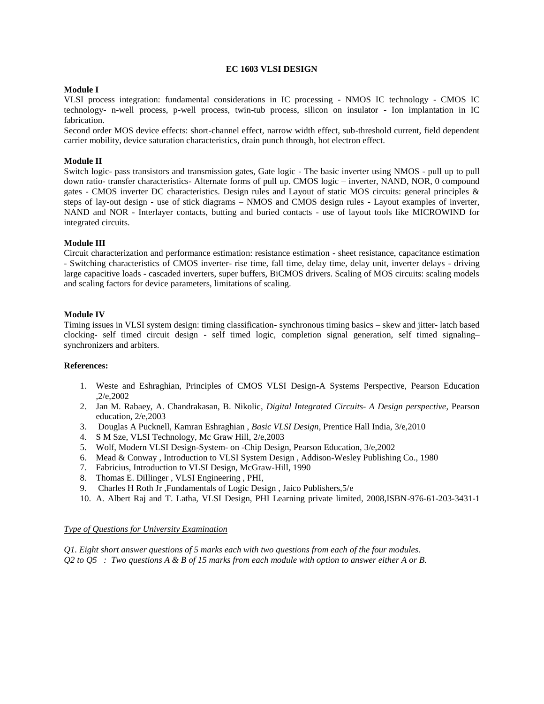## **EC 1603 VLSI DESIGN**

### **Module I**

VLSI process integration: fundamental considerations in IC processing - NMOS IC technology - CMOS IC technology- n-well process, p-well process, twin-tub process, silicon on insulator - Ion implantation in IC fabrication.

Second order MOS device effects: short-channel effect, narrow width effect, sub-threshold current, field dependent carrier mobility, device saturation characteristics, drain punch through, hot electron effect.

### **Module II**

Switch logic- pass transistors and transmission gates, Gate logic - The basic inverter using NMOS - pull up to pull down ratio- transfer characteristics- Alternate forms of pull up. CMOS logic – inverter, NAND, NOR, 0 compound gates - CMOS inverter DC characteristics. Design rules and Layout of static MOS circuits: general principles & steps of lay-out design - use of stick diagrams – NMOS and CMOS design rules - Layout examples of inverter, NAND and NOR - Interlayer contacts, butting and buried contacts - use of layout tools like MICROWIND for integrated circuits.

#### **Module III**

Circuit characterization and performance estimation: resistance estimation - sheet resistance, capacitance estimation - Switching characteristics of CMOS inverter- rise time, fall time, delay time, delay unit, inverter delays - driving large capacitive loads - cascaded inverters, super buffers, BiCMOS drivers. Scaling of MOS circuits: scaling models and scaling factors for device parameters, limitations of scaling.

#### **Module IV**

Timing issues in VLSI system design: timing classification- synchronous timing basics – skew and jitter- latch based clocking- self timed circuit design - self timed logic, completion signal generation, self timed signaling– synchronizers and arbiters.

#### **References:**

- 1. Weste and Eshraghian, Principles of CMOS VLSI Design-A Systems Perspective, Pearson Education ,2/e,2002
- 2. Jan M. Rabaey, A. Chandrakasan, B. Nikolic, *Digital Integrated Circuits- A Design perspective*, Pearson education, 2/e,2003
- 3. Douglas A Pucknell, Kamran Eshraghian , *Basic VLSI Design*, Prentice Hall India, 3/e,2010
- 4. S M Sze, VLSI Technology, Mc Graw Hill, 2/e,2003
- 5. Wolf, Modern VLSI Design-System- on -Chip Design, Pearson Education, 3/e,2002
- 6. Mead & Conway , Introduction to VLSI System Design , Addison-Wesley Publishing Co., 1980
- 7. Fabricius, Introduction to VLSI Design, McGraw-Hill, 1990
- 8. Thomas E. Dillinger , VLSI Engineering , PHI,
- 9. Charles H Roth Jr ,Fundamentals of Logic Design , Jaico Publishers,5/e
- 10. A. Albert Raj and T. Latha, VLSI Design, PHI Learning private limited, 2008,ISBN-976-61-203-3431-1

#### *Type of Questions for University Examination*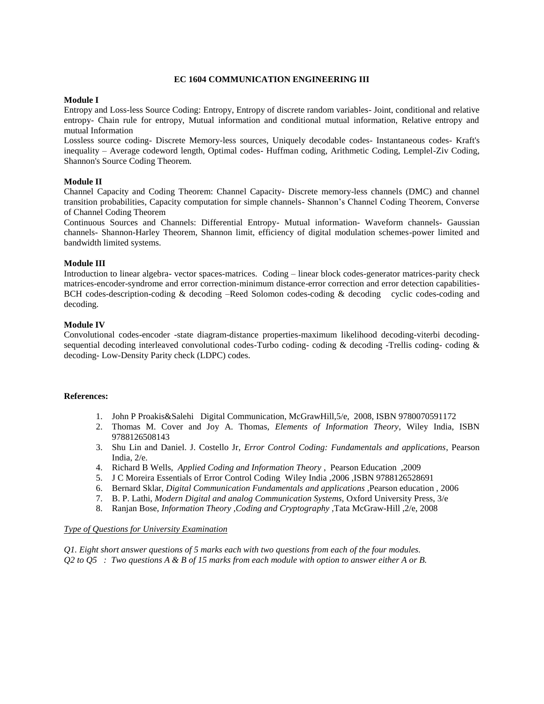### **EC 1604 COMMUNICATION ENGINEERING III**

### **Module I**

Entropy and Loss-less Source Coding: Entropy, Entropy of discrete random variables- Joint, conditional and relative entropy- Chain rule for entropy, Mutual information and conditional mutual information, Relative entropy and mutual Information

Lossless source coding- Discrete Memory-less sources, Uniquely decodable codes- Instantaneous codes- Kraft's inequality – Average codeword length, Optimal codes- Huffman coding, Arithmetic Coding, Lemplel-Ziv Coding, Shannon's Source Coding Theorem.

## **Module II**

Channel Capacity and Coding Theorem: Channel Capacity- Discrete memory-less channels (DMC) and channel transition probabilities, Capacity computation for simple channels- Shannon's Channel Coding Theorem, Converse of Channel Coding Theorem

Continuous Sources and Channels: Differential Entropy- Mutual information- Waveform channels- Gaussian channels- Shannon-Harley Theorem, Shannon limit, efficiency of digital modulation schemes-power limited and bandwidth limited systems.

### **Module III**

Introduction to linear algebra- vector spaces-matrices. Coding – linear block codes-generator matrices-parity check matrices-encoder-syndrome and error correction-minimum distance-error correction and error detection capabilities-BCH codes-description-coding & decoding –Reed Solomon codes-coding & decoding cyclic codes-coding and decoding.

#### **Module IV**

Convolutional codes-encoder -state diagram-distance properties-maximum likelihood decoding-viterbi decodingsequential decoding interleaved convolutional codes-Turbo coding- coding & decoding -Trellis coding- coding & decoding- Low-Density Parity check (LDPC) codes.

#### **References:**

- 1. John P Proakis&Salehi Digital Communication, McGrawHill,5/e, 2008, ISBN 9780070591172
- 2. Thomas M. Cover and Joy A. Thomas, *Elements of Information Theory*, Wiley India, ISBN 9788126508143
- 3. Shu Lin and Daniel. J. Costello Jr, *Error Control Coding: Fundamentals and applications*, Pearson India, 2/e.
- 4. Richard B Wells, *Applied Coding and Information Theory* , Pearson Education ,2009
- 5. J C Moreira Essentials of Error Control Coding Wiley India ,2006 ,ISBN 9788126528691
- 6. Bernard Sklar, *Digital Communication Fundamentals and applications* ,Pearson education , 2006
- 7. B. P. Lathi, *Modern Digital and analog Communication Systems,* Oxford University Press, 3/e
- 8. Ranjan Bose, *Information Theory ,Coding and Cryptography* ,Tata McGraw-Hill ,2/e, 2008

#### *Type of Questions for University Examination*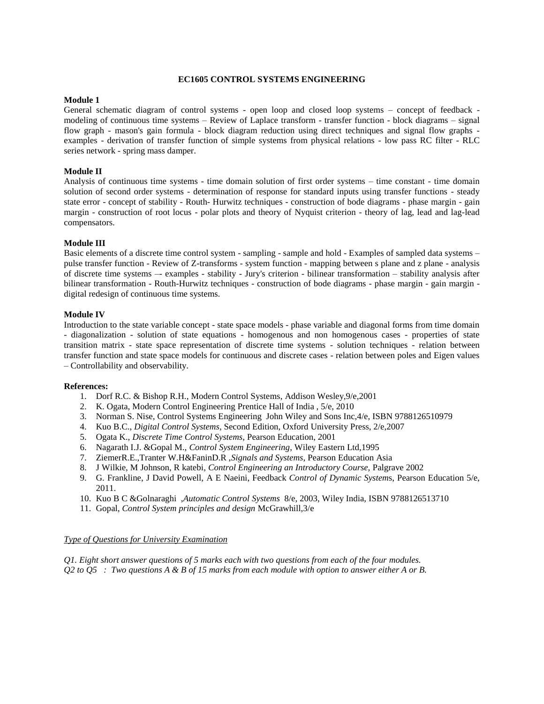#### **EC1605 CONTROL SYSTEMS ENGINEERING**

### **Module 1**

General schematic diagram of control systems - open loop and closed loop systems – concept of feedback modeling of continuous time systems – Review of Laplace transform - transfer function - block diagrams – signal flow graph - mason's gain formula - block diagram reduction using direct techniques and signal flow graphs examples - derivation of transfer function of simple systems from physical relations - low pass RC filter - RLC series network - spring mass damper.

#### **Module II**

Analysis of continuous time systems - time domain solution of first order systems – time constant - time domain solution of second order systems - determination of response for standard inputs using transfer functions - steady state error - concept of stability - Routh- Hurwitz techniques - construction of bode diagrams - phase margin - gain margin - construction of root locus - polar plots and theory of Nyquist criterion - theory of lag, lead and lag-lead compensators.

#### **Module III**

Basic elements of a discrete time control system - sampling - sample and hold - Examples of sampled data systems – pulse transfer function - Review of Z-transforms - system function - mapping between s plane and z plane - analysis of discrete time systems –- examples - stability - Jury's criterion - bilinear transformation – stability analysis after bilinear transformation - Routh-Hurwitz techniques - construction of bode diagrams - phase margin - gain margin digital redesign of continuous time systems.

#### **Module IV**

Introduction to the state variable concept - state space models - phase variable and diagonal forms from time domain - diagonalization - solution of state equations - homogenous and non homogenous cases - properties of state transition matrix - state space representation of discrete time systems - solution techniques - relation between transfer function and state space models for continuous and discrete cases - relation between poles and Eigen values – Controllability and observability.

#### **References:**

- 1. Dorf R.C. & Bishop R.H., Modern Control Systems, Addison Wesley,9/e,2001
- 2. K. Ogata, Modern Control Engineering Prentice Hall of India , 5/e, 2010
- 3. Norman S. Nise, Control Systems Engineering John Wiley and Sons Inc,4/e, ISBN 9788126510979
- 4. Kuo B.C., *Digital Control Systems*, Second Edition, Oxford University Press, 2/e,2007
- 5. Ogata K., *Discrete Time Control Systems*, Pearson Education, 2001
- 6. Nagarath I.J. &Gopal M., *Control System Engineering*, Wiley Eastern Ltd,1995
- 7. ZiemerR.E.,Tranter W.H&FaninD.R ,*Signals and Systems*, Pearson Education Asia
- 8. J Wilkie, M Johnson, R katebi, *Control Engineering an Introductory Course,* Palgrave 2002
- 9. G. Frankline, J David Powell, A E Naeini, Feedback *Control of Dynamic System*s, Pearson Education 5/e, 2011.
- 10. Kuo B C &Golnaraghi ,*Automatic Control Systems* 8/e, 2003, Wiley India, ISBN 9788126513710
- 11. Gopal, *Control System principles and design* McGrawhill,3/e

#### *Type of Questions for University Examination*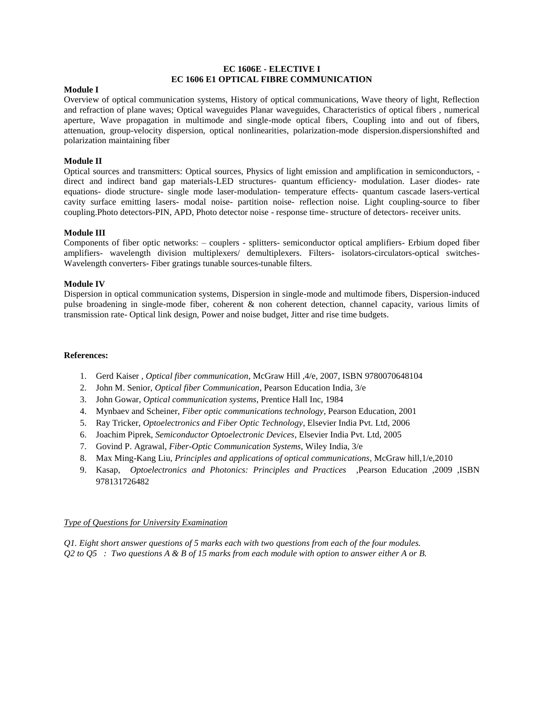## **EC 1606E - ELECTIVE I EC 1606 E1 OPTICAL FIBRE COMMUNICATION**

### **Module I**

Overview of optical communication systems, History of optical communications, Wave theory of light, Reflection and refraction of plane waves; Optical waveguides Planar waveguides, Characteristics of optical fibers , numerical aperture, Wave propagation in multimode and single-mode optical fibers, Coupling into and out of fibers, attenuation, group-velocity dispersion, optical nonlinearities, polarization-mode dispersion.dispersionshifted and polarization maintaining fiber

## **Module II**

Optical sources and transmitters: Optical sources, Physics of light emission and amplification in semiconductors, direct and indirect band gap materials-LED structures- quantum efficiency- modulation. Laser diodes- rate equations- diode structure- single mode laser-modulation- temperature effects- quantum cascade lasers-vertical cavity surface emitting lasers- modal noise- partition noise- reflection noise. Light coupling-source to fiber coupling.Photo detectors-PIN, APD, Photo detector noise - response time- structure of detectors- receiver units.

#### **Module III**

Components of fiber optic networks: – couplers - splitters- semiconductor optical amplifiers- Erbium doped fiber amplifiers- wavelength division multiplexers/ demultiplexers. Filters- isolators-circulators-optical switches-Wavelength converters- Fiber gratings tunable sources-tunable filters.

### **Module IV**

Dispersion in optical communication systems, Dispersion in single-mode and multimode fibers, Dispersion-induced pulse broadening in single-mode fiber, coherent & non coherent detection, channel capacity, various limits of transmission rate- Optical link design, Power and noise budget, Jitter and rise time budgets.

#### **References:**

- 1. Gerd Kaiser , *Optical fiber communication*, McGraw Hill ,4/e, 2007, ISBN 9780070648104
- 2. John M. Senior, *Optical fiber Communication*, Pearson Education India, 3/e
- 3. John Gowar, *Optical communication systems*, Prentice Hall Inc, 1984
- 4. Mynbaev and Scheiner, *Fiber optic communications technology*, Pearson Education, 2001
- 5. Ray Tricker, *Optoelectronics and Fiber Optic Technology*, Elsevier India Pvt. Ltd, 2006
- 6. Joachim Piprek, *Semiconductor Optoelectronic Devices*, Elsevier India Pvt. Ltd, 2005
- 7. Govind P. Agrawal, *Fiber-Optic Communication Systems*, Wiley India, 3/e
- 8. Max Ming-Kang Liu, *Principles and applications of optical communications*, McGraw hill,1/e,2010
- 9. Kasap, *Optoelectronics and Photonics: Principles and Practices* ,Pearson Education ,2009 ,ISBN 978131726482

#### *Type of Questions for University Examination*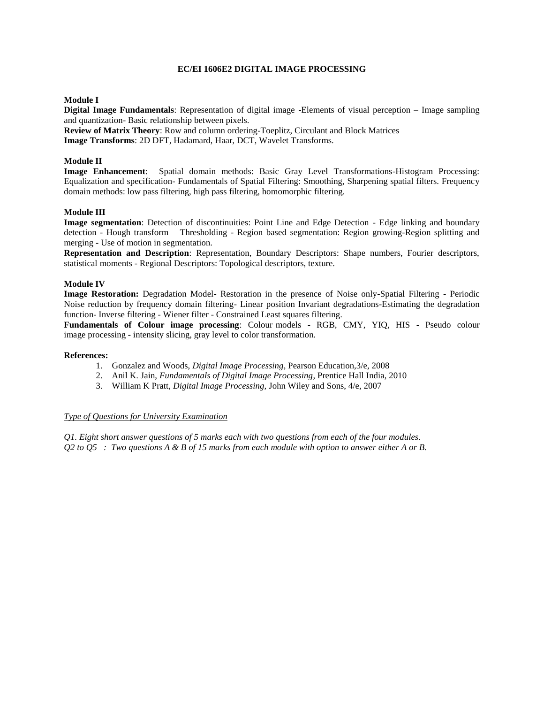## **EC/EI 1606E2 DIGITAL IMAGE PROCESSING**

### **Module I**

**Digital Image Fundamentals**: Representation of digital image -Elements of visual perception – Image sampling and quantization- Basic relationship between pixels.

**Review of Matrix Theory**: Row and column ordering-Toeplitz, Circulant and Block Matrices

**Image Transforms**: 2D DFT, Hadamard, Haar, DCT, Wavelet Transforms.

# **Module II**

**Image Enhancement**: Spatial domain methods: Basic Gray Level Transformations-Histogram Processing: Equalization and specification- Fundamentals of Spatial Filtering: Smoothing, Sharpening spatial filters. Frequency domain methods: low pass filtering, high pass filtering, homomorphic filtering.

### **Module III**

**Image segmentation**: Detection of discontinuities: Point Line and Edge Detection - Edge linking and boundary detection - Hough transform – Thresholding - Region based segmentation: Region growing-Region splitting and merging - Use of motion in segmentation.

**Representation and Description**: Representation, Boundary Descriptors: Shape numbers, Fourier descriptors, statistical moments - Regional Descriptors: Topological descriptors, texture.

### **Module IV**

**Image Restoration:** Degradation Model- Restoration in the presence of Noise only-Spatial Filtering - Periodic Noise reduction by frequency domain filtering- Linear position Invariant degradations-Estimating the degradation function- Inverse filtering - Wiener filter - Constrained Least squares filtering.

**Fundamentals of Colour image processing**: Colour models - RGB, CMY, YIQ, HIS - Pseudo colour image processing - intensity slicing, gray level to color transformation.

#### **References:**

- 1. Gonzalez and Woods, *Digital Image Processing*, Pearson Education,3/e, 2008
- 2. Anil K. Jain, *Fundamentals of Digital Image Processing*, Prentice Hall India, 2010
- 3. William K Pratt, *Digital Image Processing,* John Wiley and Sons, 4/e, 2007

### *Type of Questions for University Examination*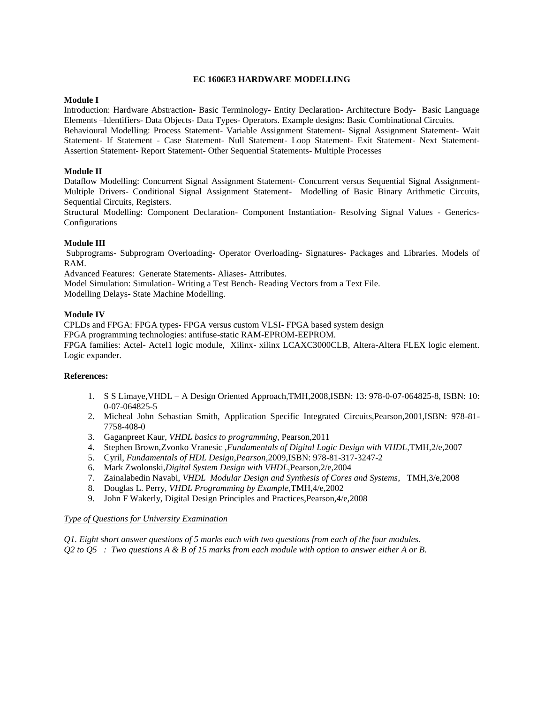#### **EC 1606E3 HARDWARE MODELLING**

#### **Module I**

Introduction: Hardware Abstraction- Basic Terminology- Entity Declaration- Architecture Body- Basic Language Elements –Identifiers- Data Objects- Data Types- Operators. Example designs: Basic Combinational Circuits.

Behavioural Modelling: Process Statement- Variable Assignment Statement- Signal Assignment Statement- Wait Statement- If Statement - Case Statement- Null Statement- Loop Statement- Exit Statement- Next Statement-Assertion Statement- Report Statement- Other Sequential Statements- Multiple Processes

#### **Module II**

Dataflow Modelling: Concurrent Signal Assignment Statement- Concurrent versus Sequential Signal Assignment-Multiple Drivers- Conditional Signal Assignment Statement- Modelling of Basic Binary Arithmetic Circuits, Sequential Circuits, Registers.

Structural Modelling: Component Declaration- Component Instantiation- Resolving Signal Values - Generics-Configurations

#### **Module III**

Subprograms- Subprogram Overloading- Operator Overloading- Signatures- Packages and Libraries. Models of RAM.

Advanced Features: Generate Statements- Aliases- Attributes.

Model Simulation: Simulation- Writing a Test Bench- Reading Vectors from a Text File. Modelling Delays- State Machine Modelling.

#### **Module IV**

CPLDs and FPGA: FPGA types- FPGA versus custom VLSI- FPGA based system design FPGA programming technologies: antifuse-static RAM-EPROM-EEPROM. FPGA families: Actel- Actel1 logic module, Xilinx- xilinx LCAXC3000CLB, Altera-Altera FLEX logic element. Logic expander.

#### **References:**

- 1. S S Limaye,VHDL A Design Oriented Approach,TMH,2008,ISBN: 13: 978-0-07-064825-8, ISBN: 10: 0-07-064825-5
- 2. Micheal John Sebastian Smith, Application Specific Integrated Circuits,Pearson,2001,ISBN: 978-81- 7758-408-0
- 3. Gaganpreet Kaur, *VHDL basics to programming*, Pearson,2011
- 4. Stephen Brown,Zvonko Vranesic ,*Fundamentals of Digital Logic Design with VHDL*,TMH,2/e,2007
- 5. Cyril, *Fundamentals of HDL Design,Pearson*,2009,ISBN: 978-81-317-3247-2
- 6. Mark Zwolonski,*Digital System Design with VHDL*,Pearson,2/e,2004
- 7. Zainalabedin Navabi, *VHDL Modular Design and Synthesis of Cores and Systems*, TMH,3/e,2008
- 8. Douglas L. Perry, *VHDL Programming by Example*,TMH,4/e,2002
- 9. John F Wakerly, Digital Design Principles and Practices,Pearson,4/e,2008

#### *Type of Questions for University Examination*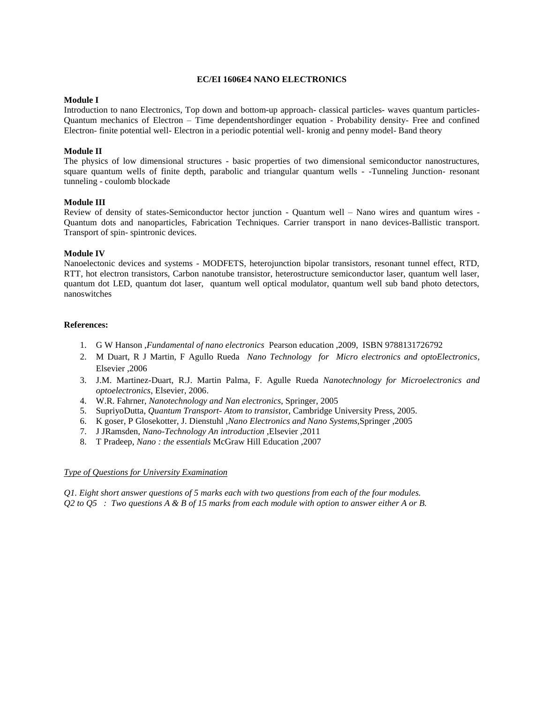### **EC/EI 1606E4 NANO ELECTRONICS**

## **Module I**

Introduction to nano Electronics, Top down and bottom-up approach- classical particles- waves quantum particles-Quantum mechanics of Electron – Time dependentshordinger equation - Probability density- Free and confined Electron- finite potential well- Electron in a periodic potential well- kronig and penny model- Band theory

## **Module II**

The physics of low dimensional structures - basic properties of two dimensional semiconductor nanostructures, square quantum wells of finite depth, parabolic and triangular quantum wells - -Tunneling Junction- resonant tunneling - coulomb blockade

### **Module III**

Review of density of states-Semiconductor hector junction - Quantum well – Nano wires and quantum wires - Quantum dots and nanoparticles, Fabrication Techniques. Carrier transport in nano devices-Ballistic transport. Transport of spin- spintronic devices.

### **Module IV**

Nanoelectonic devices and systems - MODFETS, heterojunction bipolar transistors, resonant tunnel effect, RTD, RTT, hot electron transistors, Carbon nanotube transistor, heterostructure semiconductor laser, quantum well laser, quantum dot LED, quantum dot laser, quantum well optical modulator, quantum well sub band photo detectors, nanoswitches

### **References:**

- 1. G W Hanson ,*Fundamental of nano electronics* Pearson education ,2009, ISBN 9788131726792
- 2. M Duart, R J Martin, F Agullo Rueda *Nano Technology for Micro electronics and optoElectronics*, Elsevier ,2006
- 3. J.M. Martinez-Duart, R.J. Martin Palma, F. Agulle Rueda *Nanotechnology for Microelectronics and optoelectronics*, Elsevier, 2006.
- 4. W.R. Fahrner, *Nanotechnology and Nan electronics*, Springer, 2005
- 5. SupriyoDutta, *Quantum Transport- Atom to transisto*r, Cambridge University Press, 2005.
- 6. K goser, P Glosekotter, J. Dienstuhl ,*Nano Electronics and Nano Systems,*Springer ,2005
- 7. J JRamsden, *Nano-Technology An introduction* ,Elsevier ,2011
- 8. T Pradeep, *Nano : the essentials* McGraw Hill Education ,2007

#### *Type of Questions for University Examination*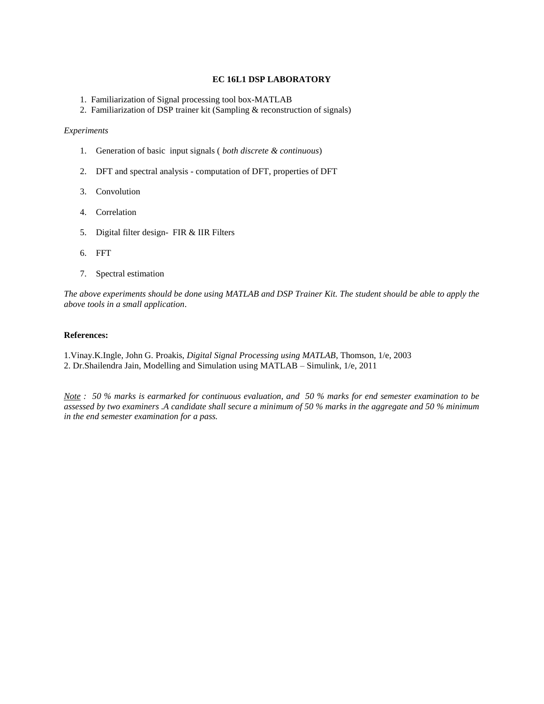### **EC 16L1 DSP LABORATORY**

- 1. Familiarization of Signal processing tool box-MATLAB
- 2. Familiarization of DSP trainer kit (Sampling & reconstruction of signals)

#### *Experiments*

- 1. Generation of basic input signals ( *both discrete & continuous*)
- 2. DFT and spectral analysis computation of DFT, properties of DFT
- 3. Convolution
- 4. Correlation
- 5. Digital filter design- FIR & IIR Filters
- 6. FFT
- 7. Spectral estimation

*The above experiments should be done using MATLAB and DSP Trainer Kit. The student should be able to apply the above tools in a small application*.

#### **References:**

1.Vinay.K.Ingle, John G. Proakis, *Digital Signal Processing using MATLAB*, Thomson, 1/e, 2003 2. Dr.Shailendra Jain, Modelling and Simulation using MATLAB – Simulink, 1/e, 2011

*Note : 50 % marks is earmarked for continuous evaluation, and 50 % marks for end semester examination to be assessed by two examiners .A candidate shall secure a minimum of 50 % marks in the aggregate and 50 % minimum in the end semester examination for a pass.*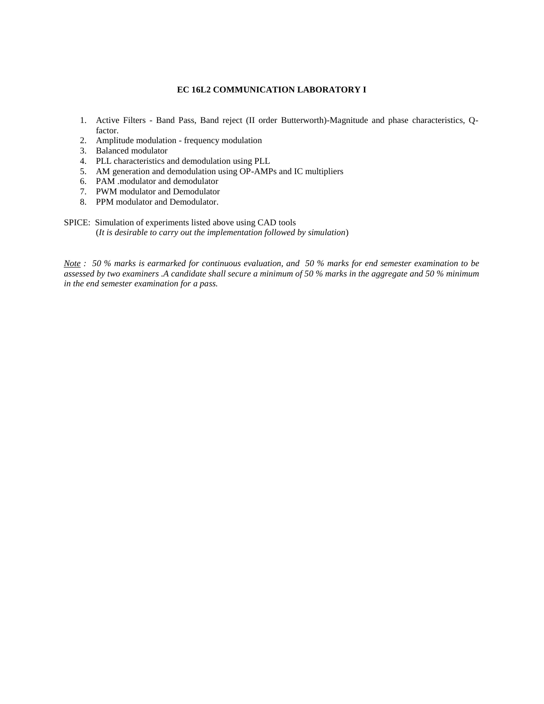### **EC 16L2 COMMUNICATION LABORATORY I**

- 1. Active Filters Band Pass, Band reject (II order Butterworth)-Magnitude and phase characteristics, Qfactor.
- 2. Amplitude modulation frequency modulation
- 3. Balanced modulator
- 4. PLL characteristics and demodulation using PLL
- 5. AM generation and demodulation using OP-AMPs and IC multipliers
- 6. PAM .modulator and demodulator
- 7. PWM modulator and Demodulator
- 8. PPM modulator and Demodulator.
- SPICE: Simulation of experiments listed above using CAD tools (*It is desirable to carry out the implementation followed by simulation*)

*Note : 50 % marks is earmarked for continuous evaluation, and 50 % marks for end semester examination to be assessed by two examiners .A candidate shall secure a minimum of 50 % marks in the aggregate and 50 % minimum in the end semester examination for a pass.*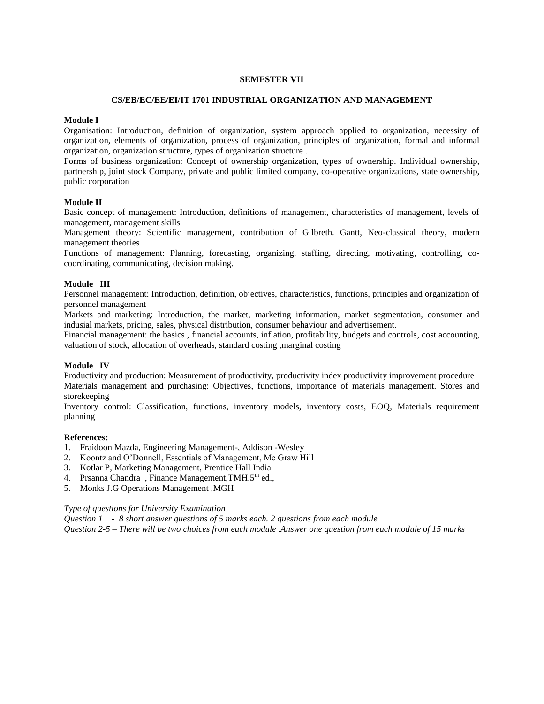### **SEMESTER VII**

#### **CS/EB/EC/EE/EI/IT 1701 INDUSTRIAL ORGANIZATION AND MANAGEMENT**

### **Module I**

Organisation: Introduction, definition of organization, system approach applied to organization, necessity of organization, elements of organization, process of organization, principles of organization, formal and informal organization, organization structure, types of organization structure .

Forms of business organization: Concept of ownership organization, types of ownership. Individual ownership, partnership, joint stock Company, private and public limited company, co-operative organizations, state ownership, public corporation

# **Module II**

Basic concept of management: Introduction, definitions of management, characteristics of management, levels of management, management skills

Management theory: Scientific management, contribution of Gilbreth. Gantt, Neo-classical theory, modern management theories

Functions of management: Planning, forecasting, organizing, staffing, directing, motivating, controlling, cocoordinating, communicating, decision making.

### **Module III**

Personnel management: Introduction, definition, objectives, characteristics, functions, principles and organization of personnel management

Markets and marketing: Introduction, the market, marketing information, market segmentation, consumer and indusial markets, pricing, sales, physical distribution, consumer behaviour and advertisement.

Financial management: the basics , financial accounts, inflation, profitability, budgets and controls, cost accounting, valuation of stock, allocation of overheads, standard costing ,marginal costing

#### **Module IV**

Productivity and production: Measurement of productivity, productivity index productivity improvement procedure Materials management and purchasing: Objectives, functions, importance of materials management. Stores and storekeeping

Inventory control: Classification, functions, inventory models, inventory costs, EOQ, Materials requirement planning

#### **References:**

- 1. Fraidoon Mazda, Engineering Management-, Addison -Wesley
- 2. Koontz and O'Donnell, Essentials of Management, Mc Graw Hill
- 3. Kotlar P, Marketing Management, Prentice Hall India
- 4. Prsanna Chandra, Finance Management, TMH.5<sup>th</sup> ed.,
- 5. Monks J.G Operations Management ,MGH

#### *Type of questions for University Examination*

*Question 1 - 8 short answer questions of 5 marks each. 2 questions from each module Question 2-5 – There will be two choices from each module .Answer one question from each module of 15 marks*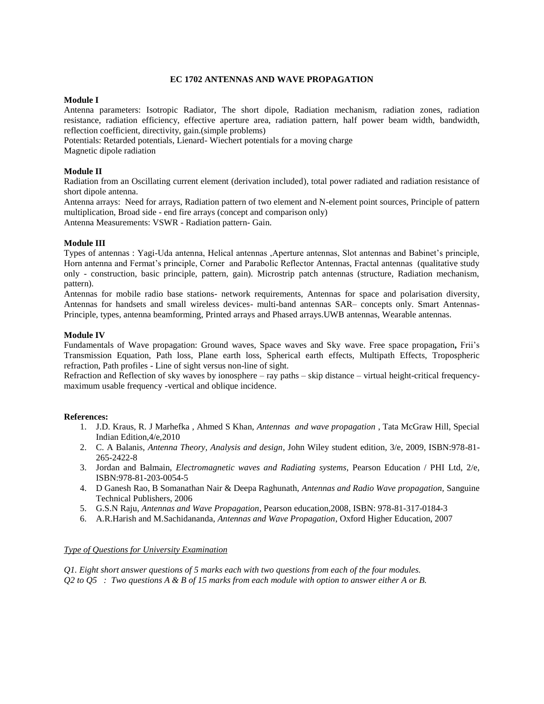### **EC 1702 ANTENNAS AND WAVE PROPAGATION**

### **Module I**

Antenna parameters: Isotropic Radiator, The short dipole, Radiation mechanism, radiation zones, radiation resistance, radiation efficiency, effective aperture area, radiation pattern, half power beam width, bandwidth, reflection coefficient, directivity, gain.(simple problems)

Potentials: Retarded potentials, Lienard- Wiechert potentials for a moving charge

Magnetic dipole radiation

# **Module II**

Radiation from an Oscillating current element (derivation included), total power radiated and radiation resistance of short dipole antenna.

Antenna arrays: Need for arrays, Radiation pattern of two element and N-element point sources, Principle of pattern multiplication, Broad side - end fire arrays (concept and comparison only) Antenna Measurements: VSWR - Radiation pattern- Gain.

### **Module III**

Types of antennas : Yagi-Uda antenna, Helical antennas ,Aperture antennas, Slot antennas and Babinet's principle, Horn antenna and Fermat's principle, Corner and Parabolic Reflector Antennas, Fractal antennas (qualitative study only - construction, basic principle, pattern, gain). Microstrip patch antennas (structure, Radiation mechanism, pattern).

Antennas for mobile radio base stations- network requirements, Antennas for space and polarisation diversity, Antennas for handsets and small wireless devices- multi-band antennas SAR– concepts only. Smart Antennas-Principle, types, antenna beamforming, Printed arrays and Phased arrays.UWB antennas, Wearable antennas.

### **Module IV**

Fundamentals of Wave propagation: Ground waves, Space waves and Sky wave. Free space propagation**,** Frii's Transmission Equation, Path loss, Plane earth loss, Spherical earth effects, Multipath Effects, Tropospheric refraction, Path profiles - Line of sight versus non-line of sight.

Refraction and Reflection of sky waves by ionosphere – ray paths – skip distance – virtual height-critical frequencymaximum usable frequency -vertical and oblique incidence.

#### **References:**

- 1. J.D. Kraus, R. J Marhefka , Ahmed S Khan, *Antennas and wave propagation* , Tata McGraw Hill, Special Indian Edition,4/e,2010
- 2. C. A Balanis, *Antenna Theory, Analysis and design*, John Wiley student edition, 3/e, 2009, ISBN:978-81- 265-2422-8
- 3. Jordan and Balmain, *Electromagnetic waves and Radiating systems*, Pearson Education / PHI Ltd, 2/e, ISBN:978-81-203-0054-5
- 4. D Ganesh Rao, B Somanathan Nair & Deepa Raghunath, *Antennas and Radio Wave propagation,* Sanguine Technical Publishers, 2006
- 5. G.S.N Raju, *Antennas and Wave Propagation*, Pearson education,2008, ISBN: 978-81-317-0184-3
- 6. A.R.Harish and M.Sachidananda, *Antennas and Wave Propagation*, Oxford Higher Education, 2007

## *Type of Questions for University Examination*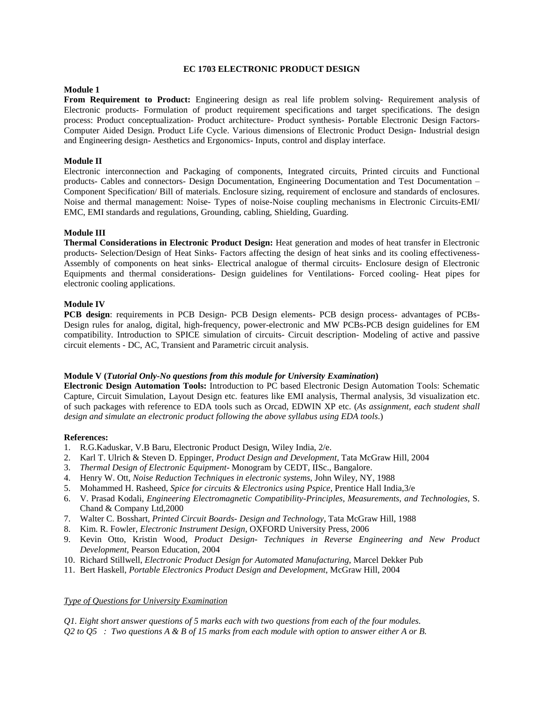### **EC 1703 ELECTRONIC PRODUCT DESIGN**

### **Module 1**

**From Requirement to Product:** Engineering design as real life problem solving- Requirement analysis of Electronic products- Formulation of product requirement specifications and target specifications. The design process: Product conceptualization- Product architecture- Product synthesis- Portable Electronic Design Factors-Computer Aided Design. Product Life Cycle. Various dimensions of Electronic Product Design- Industrial design and Engineering design- Aesthetics and Ergonomics- Inputs, control and display interface.

## **Module II**

Electronic interconnection and Packaging of components, Integrated circuits, Printed circuits and Functional products- Cables and connectors- Design Documentation, Engineering Documentation and Test Documentation – Component Specification/ Bill of materials. Enclosure sizing, requirement of enclosure and standards of enclosures. Noise and thermal management: Noise- Types of noise-Noise coupling mechanisms in Electronic Circuits-EMI/ EMC, EMI standards and regulations, Grounding, cabling, Shielding, Guarding.

#### **Module III**

**Thermal Considerations in Electronic Product Design:** Heat generation and modes of heat transfer in Electronic products- Selection/Design of Heat Sinks- Factors affecting the design of heat sinks and its cooling effectiveness-Assembly of components on heat sinks- Electrical analogue of thermal circuits- Enclosure design of Electronic Equipments and thermal considerations- Design guidelines for Ventilations- Forced cooling- Heat pipes for electronic cooling applications.

### **Module IV**

**PCB design**: requirements in PCB Design- PCB Design elements- PCB design process- advantages of PCBs-Design rules for analog, digital, high-frequency, power-electronic and MW PCBs-PCB design guidelines for EM compatibility. Introduction to SPICE simulation of circuits- Circuit description- Modeling of active and passive circuit elements - DC, AC, Transient and Parametric circuit analysis.

#### **Module V (***Tutorial Only-No questions from this module for University Examination***)**

**Electronic Design Automation Tools:** Introduction to PC based Electronic Design Automation Tools: Schematic Capture, Circuit Simulation, Layout Design etc. features like EMI analysis, Thermal analysis, 3d visualization etc. of such packages with reference to EDA tools such as Orcad, EDWIN XP etc. (*As assignment, each student shall design and simulate an electronic product following the above syllabus using EDA tools*.)

#### **References:**

- 1. R.G.Kaduskar, V.B Baru, Electronic Product Design, Wiley India, 2/e.
- 2. Karl T. Ulrich & Steven D. Eppinger, *Product Design and Development,* Tata McGraw Hill, 2004
- 3. *Thermal Design of Electronic Equipment* Monogram by CEDT, IISc., Bangalore.
- 4. Henry W. Ott, *Noise Reduction Techniques in electronic systems*, John Wiley, NY, 1988
- 5. Mohammed H. Rasheed, *Spice for circuits & Electronics using Pspice,* Prentice Hall India,3/e
- 6. V. Prasad Kodali, *Engineering Electromagnetic Compatibility-Principles, Measurements, and Technologies,* S. Chand & Company Ltd,2000
- 7. Walter C. Bosshart, *Printed Circuit Boards- Design and Technology*, Tata McGraw Hill, 1988
- 8. Kim. R. Fowler, *Electronic Instrument Design*, OXFORD University Press, 2006
- 9. Kevin Otto, Kristin Wood, *Product Design- Techniques in Reverse Engineering and New Product Development*, Pearson Education, 2004
- 10. Richard Stillwell, *Electronic Product Design for Automated Manufacturing*, Marcel Dekker Pub
- 11. Bert Haskell, *Portable Electronics Product Design and Development*, McGraw Hill, 2004

### *Type of Questions for University Examination*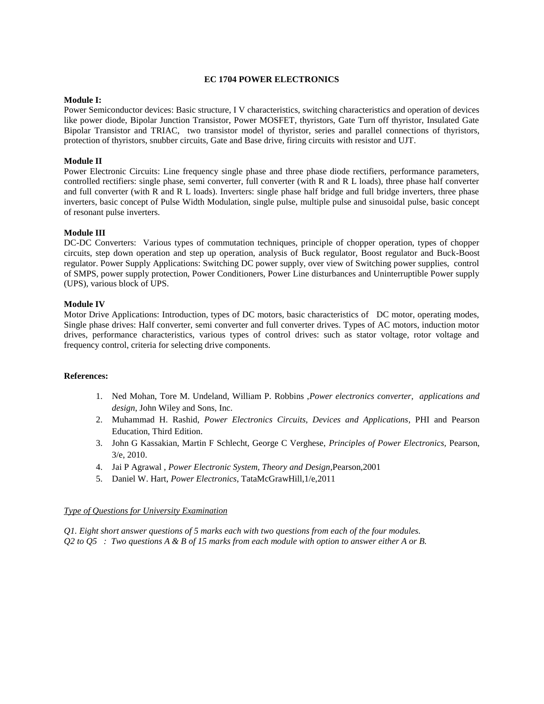### **EC 1704 POWER ELECTRONICS**

### **Module I:**

Power Semiconductor devices: Basic structure, I V characteristics, switching characteristics and operation of devices like power diode, Bipolar Junction Transistor, Power MOSFET, thyristors, Gate Turn off thyristor, Insulated Gate Bipolar Transistor and TRIAC, two transistor model of thyristor, series and parallel connections of thyristors, protection of thyristors, snubber circuits, Gate and Base drive, firing circuits with resistor and UJT.

## **Module II**

Power Electronic Circuits: Line frequency single phase and three phase diode rectifiers, performance parameters, controlled rectifiers: single phase, semi converter, full converter (with R and R L loads), three phase half converter and full converter (with R and R L loads). Inverters: single phase half bridge and full bridge inverters, three phase inverters, basic concept of Pulse Width Modulation, single pulse, multiple pulse and sinusoidal pulse, basic concept of resonant pulse inverters.

### **Module III**

DC-DC Converters: Various types of commutation techniques, principle of chopper operation, types of chopper circuits, step down operation and step up operation, analysis of Buck regulator, Boost regulator and Buck-Boost regulator. Power Supply Applications: Switching DC power supply, over view of Switching power supplies, control of SMPS, power supply protection, Power Conditioners, Power Line disturbances and Uninterruptible Power supply (UPS), various block of UPS.

### **Module IV**

Motor Drive Applications: Introduction, types of DC motors, basic characteristics of DC motor, operating modes, Single phase drives: Half converter, semi converter and full converter drives. Types of AC motors, induction motor drives, performance characteristics, various types of control drives: such as stator voltage, rotor voltage and frequency control, criteria for selecting drive components.

#### **References:**

- 1. Ned Mohan, Tore M. Undeland, William P. Robbins ,*Power electronics converter, applications and design*, John Wiley and Sons, Inc.
- 2. Muhammad H. Rashid, *Power Electronics Circuits, Devices and Applications*, PHI and Pearson Education, Third Edition.
- 3. John G Kassakian, Martin F Schlecht, George C Verghese, *Principles of Power Electronics,* Pearson, 3/e, 2010.
- 4. Jai P Agrawal , *Power Electronic System, Theory and Design*,Pearson,2001
- 5. Daniel W. Hart, *Power Electronics*, TataMcGrawHill,1/e,2011

#### *Type of Questions for University Examination*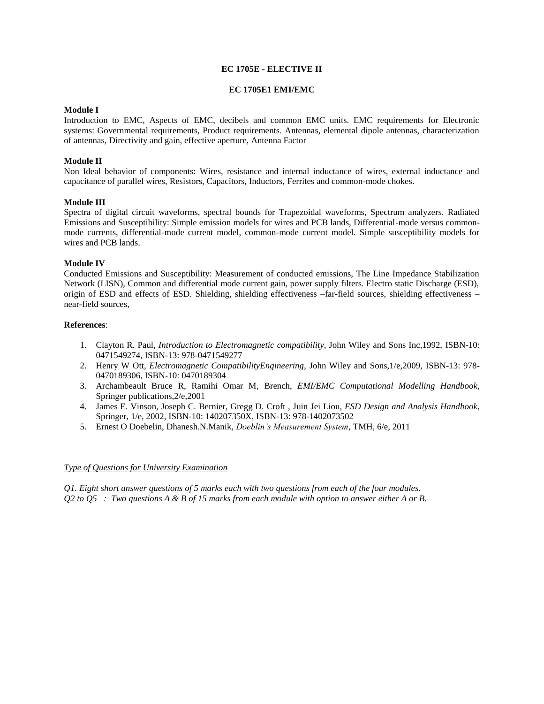### **EC 1705E - ELECTIVE II**

### **EC 1705E1 EMI/EMC**

## **Module I**

Introduction to EMC, Aspects of EMC, decibels and common EMC units. EMC requirements for Electronic systems: Governmental requirements, Product requirements. Antennas, elemental dipole antennas, characterization of antennas, Directivity and gain, effective aperture, Antenna Factor

## **Module II**

Non Ideal behavior of components: Wires, resistance and internal inductance of wires, external inductance and capacitance of parallel wires, Resistors, Capacitors, Inductors, Ferrites and common-mode chokes.

### **Module III**

Spectra of digital circuit waveforms, spectral bounds for Trapezoidal waveforms, Spectrum analyzers. Radiated Emissions and Susceptibility: Simple emission models for wires and PCB lands, Differential-mode versus commonmode currents, differential-mode current model, common-mode current model. Simple susceptibility models for wires and PCB lands.

### **Module IV**

Conducted Emissions and Susceptibility: Measurement of conducted emissions, The Line Impedance Stabilization Network (LISN), Common and differential mode current gain, power supply filters. Electro static Discharge (ESD), origin of ESD and effects of ESD. Shielding, shielding effectiveness –far-field sources, shielding effectiveness – near-field sources,

#### **References**:

- 1. Clayton R. Paul, *Introduction to Electromagnetic compatibility*, John Wiley and Sons Inc,1992, ISBN-10: 0471549274, ISBN-13: 978-0471549277
- 2. Henry W Ott, *Electromagnetic CompatibilityEngineering,* John Wiley and Sons,1/e,2009, ISBN-13: 978- 0470189306, ISBN-10: 0470189304
- 3. Archambeault Bruce R, Ramihi Omar M, Brench, *EMI/EMC Computational Modelling Handbook*, Springer publications,2/e,2001
- 4. [James E. Vinson,](http://www.amazon.com/s/ref=ntt_athr_dp_sr_1?_encoding=UTF8&sort=relevancerank&search-alias=books&ie=UTF8&field-author=James%20E.%20Vinson) [Joseph C. Bernier,](http://www.amazon.com/s/ref=ntt_athr_dp_sr_2?_encoding=UTF8&sort=relevancerank&search-alias=books&ie=UTF8&field-author=Joseph%20C.%20Bernier) [Gregg D. Croft](http://www.amazon.com/s/ref=ntt_athr_dp_sr_3?_encoding=UTF8&sort=relevancerank&search-alias=books&ie=UTF8&field-author=Gregg%20D.%20Croft) , [Juin Jei Liou,](http://www.amazon.com/s/ref=ntt_athr_dp_sr_4?_encoding=UTF8&sort=relevancerank&search-alias=books&ie=UTF8&field-author=Juin%20Jei%20Liou) *ESD Design and Analysis Handbook*, Springer, 1/e, 2002, ISBN-10: 140207350X, ISBN-13: 978-1402073502
- 5. Ernest O Doebelin, Dhanesh.N.Manik, *Doeblin's Measurement System*, TMH, 6/e, 2011

#### *Type of Questions for University Examination*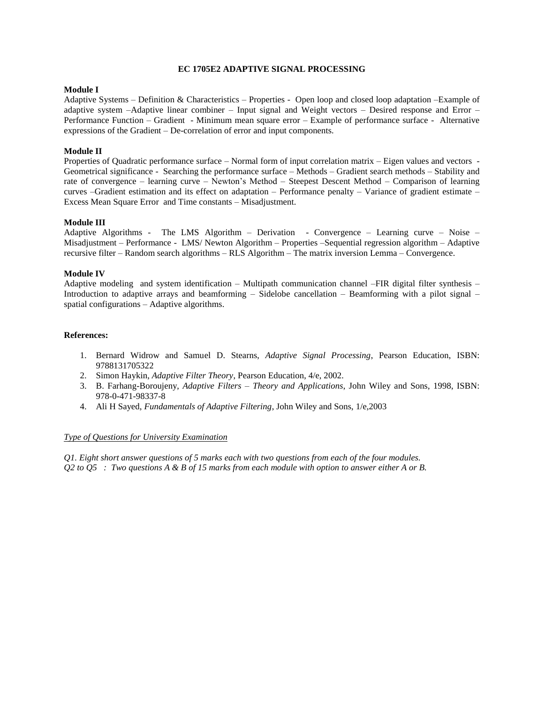### **EC 1705E2 ADAPTIVE SIGNAL PROCESSING**

### **Module I**

Adaptive Systems – Definition & Characteristics – Properties - Open loop and closed loop adaptation –Example of adaptive system –Adaptive linear combiner – Input signal and Weight vectors – Desired response and Error – Performance Function – Gradient - Minimum mean square error – Example of performance surface - Alternative expressions of the Gradient – De-correlation of error and input components.

### **Module II**

Properties of Quadratic performance surface – Normal form of input correlation matrix – Eigen values and vectors - Geometrical significance - Searching the performance surface – Methods – Gradient search methods – Stability and rate of convergence – learning curve – Newton's Method – Steepest Descent Method – Comparison of learning curves –Gradient estimation and its effect on adaptation – Performance penalty – Variance of gradient estimate – Excess Mean Square Error and Time constants – Misadjustment.

### **Module III**

Adaptive Algorithms - The LMS Algorithm – Derivation - Convergence – Learning curve – Noise – Misadjustment – Performance - LMS/ Newton Algorithm – Properties –Sequential regression algorithm – Adaptive recursive filter – Random search algorithms – RLS Algorithm – The matrix inversion Lemma – Convergence.

### **Module IV**

Adaptive modeling and system identification – Multipath communication channel –FIR digital filter synthesis – Introduction to adaptive arrays and beamforming – Sidelobe cancellation – Beamforming with a pilot signal – spatial configurations – Adaptive algorithms.

### **References:**

- 1. Bernard Widrow and Samuel D. Stearns, *Adaptive Signal Processing*, Pearson Education, ISBN: 9788131705322
- 2. Simon Haykin, *Adaptive Filter Theory*, Pearson Education, 4/e, 2002.
- 3. B. Farhang-Boroujeny, *Adaptive Filters – Theory and Applications*, John Wiley and Sons, 1998, ISBN: 978-0-471-98337-8
- 4. Ali H Sayed, *Fundamentals of Adaptive Filtering*, John Wiley and Sons, 1/e,2003

#### *Type of Questions for University Examination*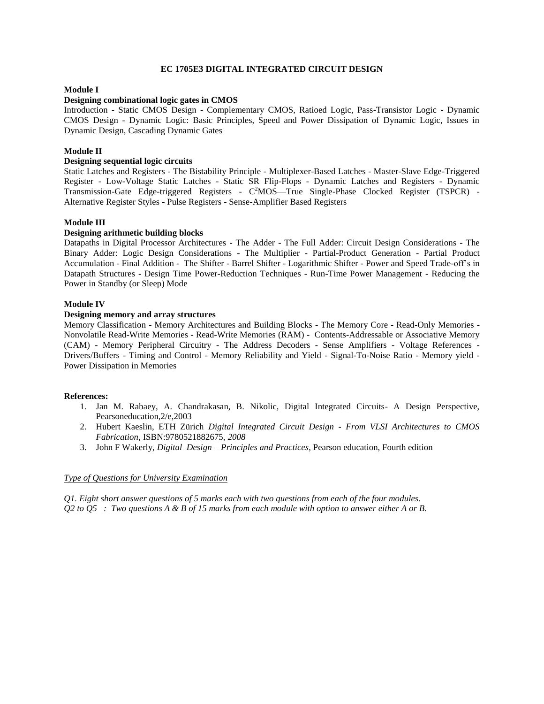### **EC 1705E3 DIGITAL INTEGRATED CIRCUIT DESIGN**

## **Module I**

### **Designing combinational logic gates in CMOS**

Introduction - Static CMOS Design - Complementary CMOS, Ratioed Logic, Pass-Transistor Logic - Dynamic CMOS Design - Dynamic Logic: Basic Principles, Speed and Power Dissipation of Dynamic Logic, Issues in Dynamic Design, Cascading Dynamic Gates

### **Module II**

# **Designing sequential logic circuits**

Static Latches and Registers - The Bistability Principle - Multiplexer-Based Latches - Master-Slave Edge-Triggered Register - Low-Voltage Static Latches - Static SR Flip-Flops - Dynamic Latches and Registers - Dynamic Transmission-Gate Edge-triggered Registers - C<sup>2</sup>MOS—True Single-Phase Clocked Register (TSPCR) -Alternative Register Styles - Pulse Registers - Sense-Amplifier Based Registers

### **Module III**

### **Designing arithmetic building blocks**

Datapaths in Digital Processor Architectures - The Adder - The Full Adder: Circuit Design Considerations - The Binary Adder: Logic Design Considerations - The Multiplier - Partial-Product Generation - Partial Product Accumulation - Final Addition - The Shifter - Barrel Shifter - Logarithmic Shifter - Power and Speed Trade-off's in Datapath Structures - Design Time Power-Reduction Techniques - Run-Time Power Management - Reducing the Power in Standby (or Sleep) Mode

### **Module IV**

#### **Designing memory and array structures**

Memory Classification - Memory Architectures and Building Blocks - The Memory Core - Read-Only Memories - Nonvolatile Read-Write Memories - Read-Write Memories (RAM) - Contents-Addressable or Associative Memory (CAM) - Memory Peripheral Circuitry - The Address Decoders - Sense Amplifiers - Voltage References - Drivers/Buffers - Timing and Control - Memory Reliability and Yield - Signal-To-Noise Ratio - Memory yield - Power Dissipation in Memories

#### **References:**

- 1. Jan M. Rabaey, A. Chandrakasan, B. Nikolic, Digital Integrated Circuits- A Design Perspective, Pearsoneducation,2/e,2003
- 2. Hubert Kaeslin, ETH Zürich *Digital Integrated Circuit Design - From VLSI Architectures to CMOS Fabrication,* ISBN:9780521882675, *2008*
- 3. John F Wakerly, *Digital Design – Principles and Practices*, Pearson education, Fourth edition

#### *Type of Questions for University Examination*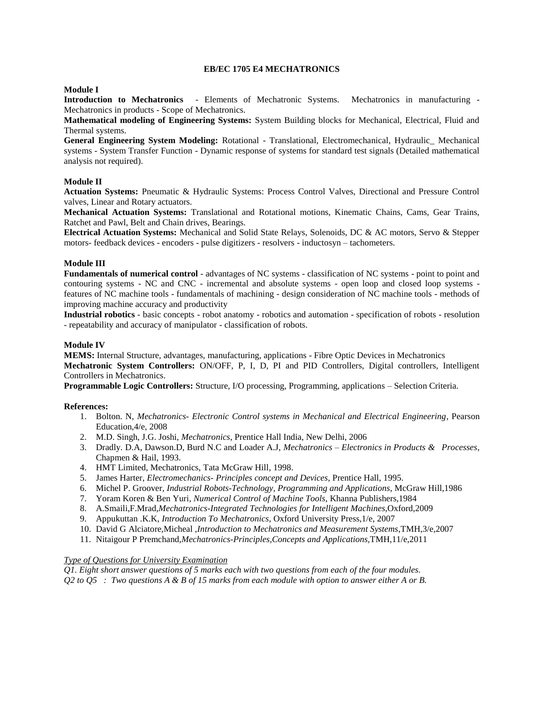### **EB/EC 1705 E4 MECHATRONICS**

## **Module I**

**Introduction to Mechatronics** - Elements of Mechatronic Systems. Mechatronics in manufacturing - Mechatronics in products - Scope of Mechatronics.

**Mathematical modeling of Engineering Systems:** System Building blocks for Mechanical, Electrical, Fluid and Thermal systems.

**General Engineering System Modeling:** Rotational - Translational, Electromechanical, Hydraulic\_ Mechanical systems - System Transfer Function - Dynamic response of systems for standard test signals (Detailed mathematical analysis not required).

# **Module II**

**Actuation Systems:** Pneumatic & Hydraulic Systems: Process Control Valves, Directional and Pressure Control valves, Linear and Rotary actuators.

**Mechanical Actuation Systems:** Translational and Rotational motions, Kinematic Chains, Cams, Gear Trains, Ratchet and Pawl, Belt and Chain drives, Bearings.

**Electrical Actuation Systems:** Mechanical and Solid State Relays, Solenoids, DC & AC motors, Servo & Stepper motors- feedback devices - encoders - pulse digitizers - resolvers - inductosyn – tachometers.

### **Module III**

**Fundamentals of numerical control** - advantages of NC systems - classification of NC systems - point to point and contouring systems - NC and CNC - incremental and absolute systems - open loop and closed loop systems features of NC machine tools - fundamentals of machining - design consideration of NC machine tools - methods of improving machine accuracy and productivity

**Industrial robotics** - basic concepts - robot anatomy - robotics and automation - specification of robots - resolution - repeatability and accuracy of manipulator - classification of robots.

### **Module IV**

**MEMS:** Internal Structure, advantages, manufacturing, applications - Fibre Optic Devices in Mechatronics **Mechatronic System Controllers:** ON/OFF, P, I, D, PI and PID Controllers, Digital controllers, Intelligent Controllers in Mechatronics.

**Programmable Logic Controllers:** Structure, I/O processing, Programming, applications – Selection Criteria.

#### **References:**

- 1. Bolton. N, *Mechatronics- Electronic Control systems in Mechanical and Electrical Engineering,* Pearson Education,4/e, 2008
- 2. M.D. Singh, J.G. Joshi, *Mechatronics*, Prentice Hall India, New Delhi, 2006
- 3. Dradly. D.A, Dawson.D, Burd N.C and Loader A.J, *Mechatronics Electronics in Products & Processes*, Chapmen & Hail, 1993.
- 4. HMT Limited, Mechatronics, Tata McGraw Hill, 1998.
- 5. James Harter, *Electromechanics- Principles concept and Devices*, Prentice Hall, 1995.
- 6. Michel P. Groover*, Industrial Robots-Technology, Programming and Applications*, McGraw Hill,1986
- 7. Yoram Koren & Ben Yuri*, Numerical Control of Machine Tools*, Khanna Publishers,1984
- 8. A.Smaili,F.Mrad,*Mechatronics-Integrated Technologies for Intelligent Machines*,Oxford,2009
- 9. Appukuttan .K.K, *Introduction To Mechatronics*, Oxford University Press,1/e, 2007
- 10. David G Alciatore,Micheal ,*Introduction to Mechatronics and Measurement Systems*,TMH,3/e,2007
- 11. Nitaigour P Premchand,*Mechatronics-Principles,Concepts and Applications,*TMH,11/e,2011

#### *Type of Questions for University Examination*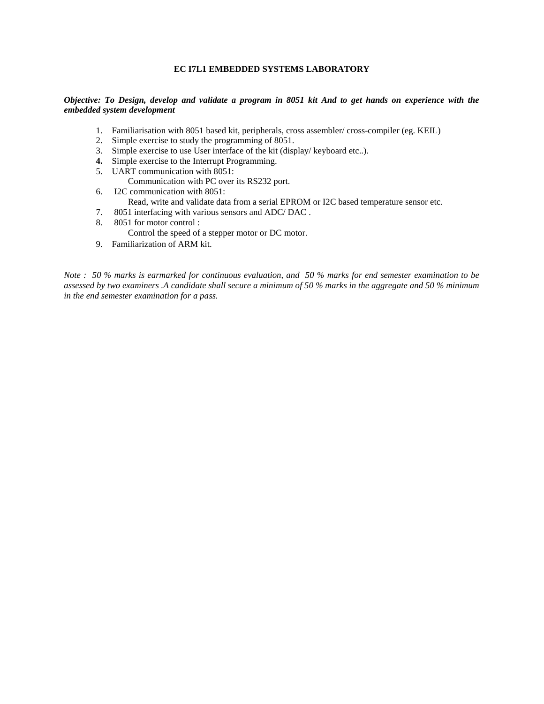# **EC I7L1 EMBEDDED SYSTEMS LABORATORY**

### *Objective: To Design, develop and validate a program in 8051 kit And to get hands on experience with the embedded system development*

- 1. Familiarisation with 8051 based kit, peripherals, cross assembler/ cross-compiler (eg. KEIL)
- 2. Simple exercise to study the programming of 8051.
- 3. Simple exercise to use User interface of the kit (display/ keyboard etc..).
- **4.** Simple exercise to the Interrupt Programming.
- 5. UART communication with 8051:
	- Communication with PC over its RS232 port.
- 6. I2C communication with 8051:
	- Read, write and validate data from a serial EPROM or I2C based temperature sensor etc.
- 7. 8051 interfacing with various sensors and ADC/ DAC .
- 8. 8051 for motor control :
	- Control the speed of a stepper motor or DC motor.
- 9. Familiarization of ARM kit.

*Note : 50 % marks is earmarked for continuous evaluation, and 50 % marks for end semester examination to be assessed by two examiners .A candidate shall secure a minimum of 50 % marks in the aggregate and 50 % minimum in the end semester examination for a pass.*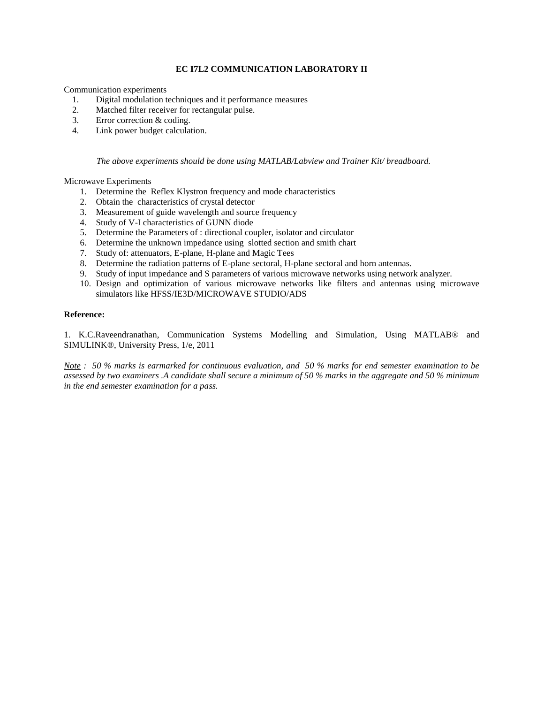## **EC I7L2 COMMUNICATION LABORATORY II**

Communication experiments

- 1. Digital modulation techniques and it performance measures
- 2. Matched filter receiver for rectangular pulse.
- 3. Error correction & coding.
- 4. Link power budget calculation.

*The above experiments should be done using MATLAB/Labview and Trainer Kit/ breadboard.* 

### Microwave Experiments

- 1. Determine the Reflex Klystron frequency and mode characteristics
- 2. Obtain the characteristics of crystal detector
- 3. Measurement of guide wavelength and source frequency
- 4. Study of V-I characteristics of GUNN diode
- 5. Determine the Parameters of : directional coupler, isolator and circulator
- 6. Determine the unknown impedance using slotted section and smith chart
- 7. Study of: attenuators, E-plane, H-plane and Magic Tees
- 8. Determine the radiation patterns of E-plane sectoral, H-plane sectoral and horn antennas.
- 9. Study of input impedance and S parameters of various microwave networks using network analyzer.
- 10. Design and optimization of various microwave networks like filters and antennas using microwave simulators like HFSS/IE3D/MICROWAVE STUDIO/ADS

#### **Reference:**

1. K.C.Raveendranathan, Communication Systems Modelling and Simulation, Using MATLAB® and SIMULINK®, University Press, 1/e, 2011

*Note : 50 % marks is earmarked for continuous evaluation, and 50 % marks for end semester examination to be assessed by two examiners .A candidate shall secure a minimum of 50 % marks in the aggregate and 50 % minimum in the end semester examination for a pass.*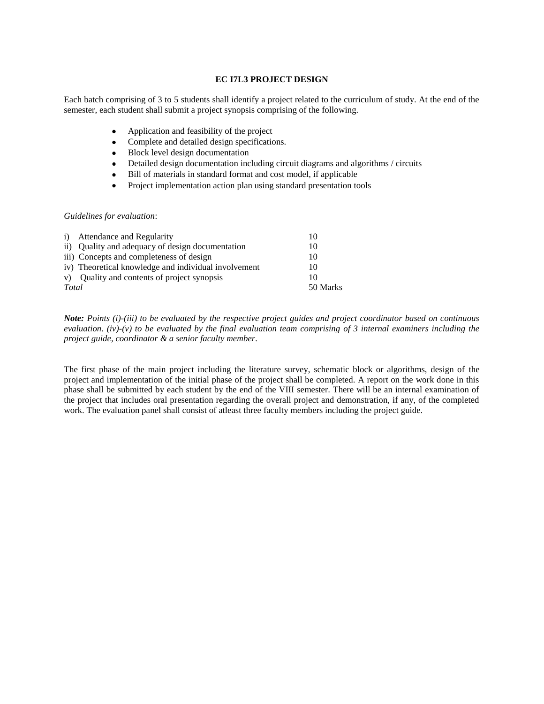## **EC I7L3 PROJECT DESIGN**

Each batch comprising of 3 to 5 students shall identify a project related to the curriculum of study. At the end of the semester, each student shall submit a project synopsis comprising of the following.

- Application and feasibility of the project
- Complete and detailed design specifications.
- Block level design documentation
- Detailed design documentation including circuit diagrams and algorithms / circuits
- Bill of materials in standard format and cost model, if applicable
- Project implementation action plan using standard presentation tools

#### *Guidelines for evaluation*:

|       | i) Attendance and Regularity                         | 10       |
|-------|------------------------------------------------------|----------|
|       | ii) Quality and adequacy of design documentation     | 10       |
|       | iii) Concepts and completeness of design             | 10       |
|       | iv) Theoretical knowledge and individual involvement | 10       |
|       | v) Quality and contents of project synopsis          | 10       |
| Total |                                                      | 50 Marks |
|       |                                                      |          |

*Note: Points (i)-(iii) to be evaluated by the respective project guides and project coordinator based on continuous evaluation. (iv)-(v) to be evaluated by the final evaluation team comprising of 3 internal examiners including the project guide, coordinator & a senior faculty member.*

The first phase of the main project including the literature survey, schematic block or algorithms, design of the project and implementation of the initial phase of the project shall be completed. A report on the work done in this phase shall be submitted by each student by the end of the VIII semester. There will be an internal examination of the project that includes oral presentation regarding the overall project and demonstration, if any, of the completed work. The evaluation panel shall consist of atleast three faculty members including the project guide.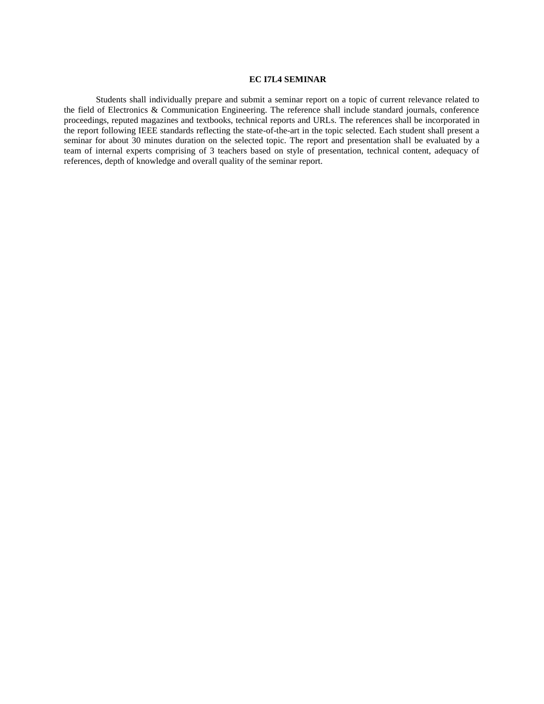### **EC I7L4 SEMINAR**

Students shall individually prepare and submit a seminar report on a topic of current relevance related to the field of Electronics & Communication Engineering. The reference shall include standard journals, conference proceedings, reputed magazines and textbooks, technical reports and URLs. The references shall be incorporated in the report following IEEE standards reflecting the state-of-the-art in the topic selected. Each student shall present a seminar for about 30 minutes duration on the selected topic. The report and presentation shall be evaluated by a team of internal experts comprising of 3 teachers based on style of presentation, technical content, adequacy of references, depth of knowledge and overall quality of the seminar report.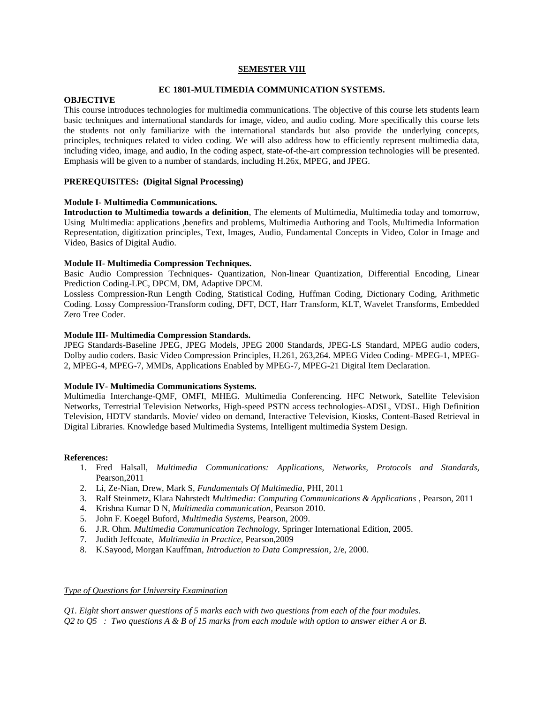#### **SEMESTER VIII**

### **EC 1801-MULTIMEDIA COMMUNICATION SYSTEMS.**

#### **OBJECTIVE**

This course introduces technologies for multimedia communications. The objective of this course lets students learn basic techniques and international standards for image, video, and audio coding. More specifically this course lets the students not only familiarize with the international standards but also provide the underlying concepts, principles, techniques related to video coding. We will also address how to efficiently represent multimedia data, including video, image, and audio, In the coding aspect, state-of-the-art compression technologies will be presented. Emphasis will be given to a number of standards, including H.26x, MPEG, and JPEG.

## **PREREQUISITES: (Digital Signal Processing)**

### **Module I- Multimedia Communications.**

**Introduction to Multimedia towards a definition**, The elements of Multimedia, Multimedia today and tomorrow, Using Multimedia: applications ,benefits and problems, Multimedia Authoring and Tools, Multimedia Information Representation, digitization principles, Text, Images, Audio, Fundamental Concepts in Video, Color in Image and Video, Basics of Digital Audio.

### **Module II- Multimedia Compression Techniques.**

Basic Audio Compression Techniques- Quantization, Non-linear Quantization, Differential Encoding, Linear Prediction Coding-LPC, DPCM, DM, Adaptive DPCM.

Lossless Compression-Run Length Coding, Statistical Coding, Huffman Coding, Dictionary Coding, Arithmetic Coding. Lossy Compression-Transform coding, DFT, DCT, Harr Transform, KLT, Wavelet Transforms, Embedded Zero Tree Coder.

### **Module III- Multimedia Compression Standards.**

JPEG Standards-Baseline JPEG, JPEG Models, JPEG 2000 Standards, JPEG-LS Standard, MPEG audio coders, Dolby audio coders. Basic Video Compression Principles, H.261, 263,264. MPEG Video Coding- MPEG-1, MPEG-2, MPEG-4, MPEG-7, MMDs, Applications Enabled by MPEG-7, MPEG-21 Digital Item Declaration.

#### **Module IV- Multimedia Communications Systems.**

Multimedia Interchange-QMF, OMFI, MHEG. Multimedia Conferencing. HFC Network, Satellite Television Networks, Terrestrial Television Networks, High-speed PSTN access technologies-ADSL, VDSL. High Definition Television, HDTV standards. Movie/ video on demand, Interactive Television, Kiosks, Content-Based Retrieval in Digital Libraries. Knowledge based Multimedia Systems, Intelligent multimedia System Design.

#### **References:**

- 1. Fred Halsall, *Multimedia Communications: Applications, Networks, Protocols and Standards,* Pearson,2011
- 2. Li, Ze-Nian, Drew, Mark S, *Fundamentals Of Multimedia,* PHI, 2011
- 3. Ralf Steinmetz, Klara Nahrstedt *Multimedia: Computing Communications & Applications* , Pearson, 2011
- 4. Krishna Kumar D N, *Multimedia communication*, Pearson 2010.
- 5. John F. Koegel Buford, *Multimedia Systems*, Pearson, 2009.
- 6. J.R. Ohm. *Multimedia Communication Technology,* Springer International Edition, 2005.
- 7. Judith Jeffcoate, *Multimedia in Practice*, Pearson,2009
- 8. K.Sayood, Morgan Kauffman, *Introduction to Data Compression*, 2/e, 2000.

#### *Type of Questions for University Examination*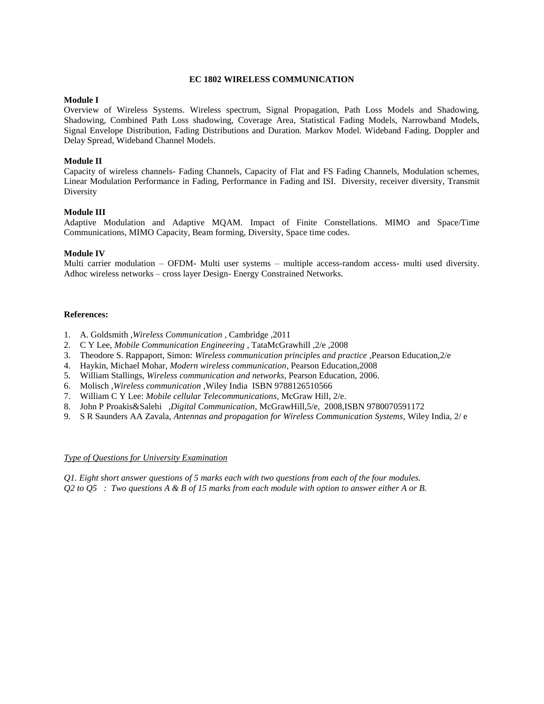#### **EC 1802 WIRELESS COMMUNICATION**

### **Module I**

Overview of Wireless Systems. Wireless spectrum, Signal Propagation, Path Loss Models and Shadowing, Shadowing, Combined Path Loss shadowing, Coverage Area, Statistical Fading Models, Narrowband Models, Signal Envelope Distribution, Fading Distributions and Duration. Markov Model. Wideband Fading. Doppler and Delay Spread, Wideband Channel Models.

## **Module II**

Capacity of wireless channels- Fading Channels, Capacity of Flat and FS Fading Channels, Modulation schemes, Linear Modulation Performance in Fading, Performance in Fading and ISI. Diversity, receiver diversity, Transmit Diversity

### **Module III**

Adaptive Modulation and Adaptive MQAM. Impact of Finite Constellations. MIMO and Space/Time Communications, MIMO Capacity, Beam forming, Diversity, Space time codes.

#### **Module IV**

Multi carrier modulation – OFDM- Multi user systems – multiple access-random access- multi used diversity. Adhoc wireless networks – cross layer Design- Energy Constrained Networks.

#### **References:**

- 1. A. Goldsmith ,*Wireless Communication* , Cambridge ,2011
- 2. C Y Lee, *Mobile Communication Engineering* , TataMcGrawhill ,2/e ,2008
- 3. Theodore S. Rappaport, Simon: *Wireless communication principles and practice* ,Pearson Education,2/e
- 4. Haykin, Michael Mohar, *Modern wireless communication*, Pearson Education,2008
- 5. William Stallings, *Wireless communication and networks*, Pearson Education, 2006.
- 6. Molisch ,*Wireless communication* ,Wiley India ISBN 9788126510566
- 7. William C Y Lee: *Mobile cellular Telecommunications*, McGraw Hill, 2/e.
- 8. John P Proakis&Salehi ,*Digital Communication*, McGrawHill,5/e, 2008,ISBN 9780070591172
- 9. S R Saunders AA Zavala, *Antennas and propagation for Wireless Communication Systems*, Wiley India, 2/ e

#### *Type of Questions for University Examination*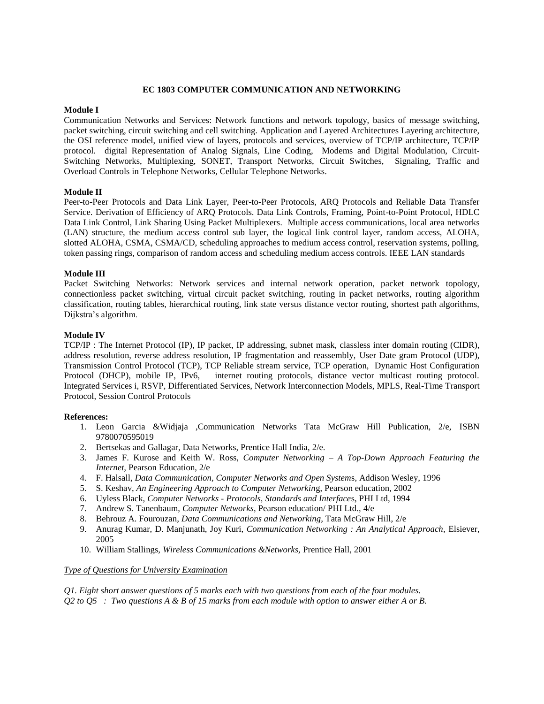#### **EC 1803 COMPUTER COMMUNICATION AND NETWORKING**

#### **Module I**

Communication Networks and Services: Network functions and network topology, basics of message switching, packet switching, circuit switching and cell switching. Application and Layered Architectures Layering architecture, the OSI reference model, unified view of layers, protocols and services, overview of TCP/IP architecture, TCP/IP protocol. digital Representation of Analog Signals, Line Coding, Modems and Digital Modulation, Circuit-Switching Networks, Multiplexing, SONET, Transport Networks, Circuit Switches, Signaling, Traffic and Overload Controls in Telephone Networks, Cellular Telephone Networks.

#### **Module II**

Peer-to-Peer Protocols and Data Link Layer, Peer-to-Peer Protocols, ARQ Protocols and Reliable Data Transfer Service. Derivation of Efficiency of ARQ Protocols. Data Link Controls, Framing, Point-to-Point Protocol, HDLC Data Link Control, Link Sharing Using Packet Multiplexers. Multiple access communications, local area networks (LAN) structure, the medium access control sub layer, the logical link control layer, random access, ALOHA, slotted ALOHA, CSMA, CSMA/CD, scheduling approaches to medium access control, reservation systems, polling, token passing rings, comparison of random access and scheduling medium access controls. IEEE LAN standards

## **Module III**

Packet Switching Networks: Network services and internal network operation, packet network topology, connectionless packet switching, virtual circuit packet switching, routing in packet networks, routing algorithm classification, routing tables, hierarchical routing, link state versus distance vector routing, shortest path algorithms, Dijkstra's algorithm.

#### **Module IV**

TCP/IP : The Internet Protocol (IP), IP packet, IP addressing, subnet mask, classless inter domain routing (CIDR), address resolution, reverse address resolution, IP fragmentation and reassembly, User Date gram Protocol (UDP), Transmission Control Protocol (TCP), TCP Reliable stream service, TCP operation, Dynamic Host Configuration Protocol (DHCP), mobile IP, IPv6, internet routing protocols, distance vector multicast routing protocol. Integrated Services i, RSVP, Differentiated Services, Network Interconnection Models, MPLS, Real-Time Transport Protocol, Session Control Protocols

#### **References:**

- 1. Leon Garcia &Widjaja ,Communication Networks Tata McGraw Hill Publication, 2/e, ISBN 9780070595019
- 2. Bertsekas and Gallagar, Data Networks, Prentice Hall India, 2/e.
- 3. James F. Kurose and Keith W. Ross, *Computer Networking A Top-Down Approach Featuring the Internet,* Pearson Education, 2/e
- 4. F. Halsall, *Data Communication, Computer Networks and Open System*s, Addison Wesley, 1996
- 5. S. Keshav, *An Engineering Approach to Computer Networkin*g, Pearson education, 2002
- 6. Uyless Black, *Computer Networks - Protocols, Standards and Interface*s, PHI Ltd, 1994
- 7. Andrew S. Tanenbaum, *Computer Networks*, Pearson education/ PHI Ltd., 4/e
- 8. Behrouz A. Fourouzan*, Data Communications and Networking,* Tata McGraw Hill, 2/e
- 9. Anurag Kumar, D. Manjunath, Joy Kuri, *Communication Networking : An Analytical Approach*, Elsiever, 2005
- 10. William Stallings, *Wireless Communications &Networks,* Prentice Hall, 2001

#### *Type of Questions for University Examination*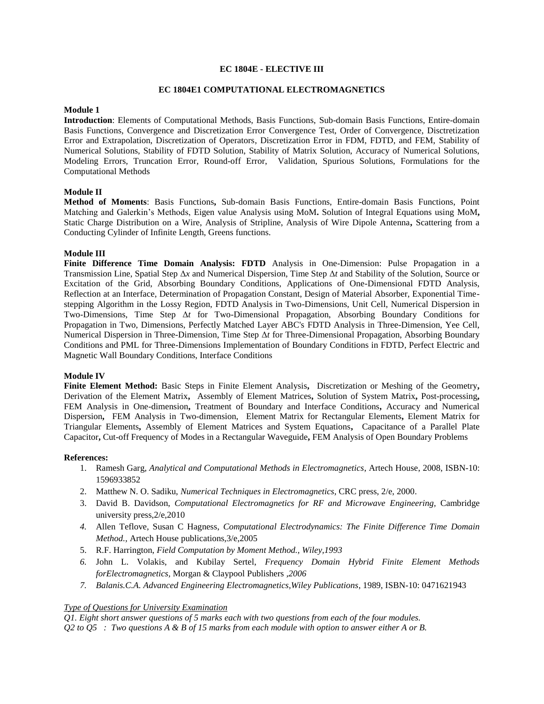### **EC 1804E - ELECTIVE III**

### **EC 1804E1 COMPUTATIONAL ELECTROMAGNETICS**

### **Module 1**

**Introduction**: Elements of Computational Methods, Basis Functions, Sub-domain Basis Functions, Entire-domain Basis Functions, Convergence and Discretization Error Convergence Test, Order of Convergence, Disctretization Error and Extrapolation, Discretization of Operators, Discretization Error in FDM, FDTD, and FEM, Stability of Numerical Solutions, Stability of FDTD Solution, Stability of Matrix Solution, Accuracy of Numerical Solutions, Modeling Errors, Truncation Error, Round-off Error, Validation, Spurious Solutions, Formulations for the Computational Methods

### **Module II**

**Method of Moments**: Basis Functions**,** Sub-domain Basis Functions, Entire-domain Basis Functions, Point Matching and Galerkin's Methods, Eigen value Analysis using MoM**.** Solution of Integral Equations using MoM**,**  Static Charge Distribution on a Wire, Analysis of Stripline, Analysis of Wire Dipole Antenna**,** Scattering from a Conducting Cylinder of Infinite Length, Greens functions.

#### **Module III**

**Finite Difference Time Domain Analysis: FDTD** Analysis in One-Dimension: Pulse Propagation in a Transmission Line, Spatial Step Δ*x* and Numerical Dispersion, Time Step Δ*t* and Stability of the Solution, Source or Excitation of the Grid, Absorbing Boundary Conditions, Applications of One-Dimensional FDTD Analysis, Reflection at an Interface, Determination of Propagation Constant, Design of Material Absorber, Exponential Timestepping Algorithm in the Lossy Region, FDTD Analysis in Two-Dimensions, Unit Cell, Numerical Dispersion in Two-Dimensions, Time Step Δ*t* for Two-Dimensional Propagation, Absorbing Boundary Conditions for Propagation in Two, Dimensions, Perfectly Matched Layer ABC's FDTD Analysis in Three-Dimension, Yee Cell, Numerical Dispersion in Three-Dimension, Time Step Δ*t* for Three-Dimensional Propagation, Absorbing Boundary Conditions and PML for Three-Dimensions Implementation of Boundary Conditions in FDTD, Perfect Electric and Magnetic Wall Boundary Conditions, Interface Conditions

#### **Module IV**

**Finite Element Method:** Basic Steps in Finite Element Analysis**,** Discretization or Meshing of the Geometry**,**  Derivation of the Element Matrix**,** Assembly of Element Matrices**,** Solution of System Matrix**,** Post-processing**,**  FEM Analysis in One-dimension**,** Treatment of Boundary and Interface Conditions**,** Accuracy and Numerical Dispersion**,** FEM Analysis in Two-dimension, Element Matrix for Rectangular Elements**,** Element Matrix for Triangular Elements**,** Assembly of Element Matrices and System Equations**,** Capacitance of a Parallel Plate Capacitor**,** Cut-off Frequency of Modes in a Rectangular Waveguide**,** FEM Analysis of Open Boundary Problems

#### **References:**

- 1. Ramesh Garg, *Analytical and Computational Methods in Electromagnetics*, Artech House, 2008, ISBN-10: 1596933852
- 2. Matthew N. O. Sadiku, *Numerical Techniques in Electromagnetics*, CRC press, 2/e, 2000.
- 3. David B. Davidson, *Computational Electromagnetics for RF and Microwave Engineering,* Cambridge university press,2/e,2010
- *4.* Allen Teflove, Susan C Hagness, *Computational Electrodynamics: The Finite Difference Time Domain Method.,* Artech House publications,3/e,2005
- 5. R.F. Harrington, *Field Computation by Moment Method., Wiley,1993*
- *6.* John L. Volakis, and Kubilay Sertel, *Frequency Domain Hybrid Finite Element Methods forElectromagnetics,* Morgan & Claypool Publishers *,2006*
- *7. Balanis.C.A. Advanced Engineering Electromagnetics,Wiley Publications*, 1989, ISBN-10: 0471621943

## *Type of Questions for University Examination*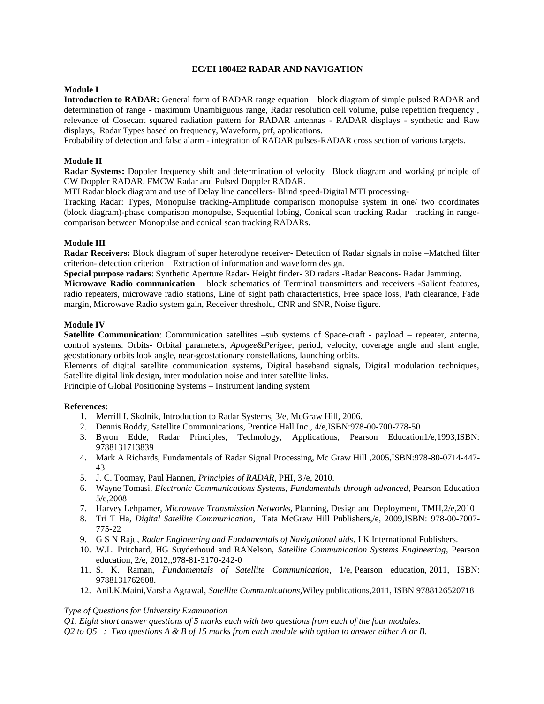## **EC/EI 1804E2 RADAR AND NAVIGATION**

### **Module I**

**Introduction to RADAR:** General form of RADAR range equation – block diagram of simple pulsed RADAR and determination of range - maximum Unambiguous range, Radar resolution cell volume, pulse repetition frequency , relevance of Cosecant squared radiation pattern for RADAR antennas - RADAR displays - synthetic and Raw displays, Radar Types based on frequency, Waveform, prf, applications.

Probability of detection and false alarm - integration of RADAR pulses-RADAR cross section of various targets.

## **Module II**

**Radar Systems:** Doppler frequency shift and determination of velocity –Block diagram and working principle of CW Doppler RADAR, FMCW Radar and Pulsed Doppler RADAR.

MTI Radar block diagram and use of Delay line cancellers- Blind speed-Digital MTI processing-

Tracking Radar: Types, Monopulse tracking-Amplitude comparison monopulse system in one/ two coordinates (block diagram)-phase comparison monopulse, Sequential lobing, Conical scan tracking Radar –tracking in rangecomparison between Monopulse and conical scan tracking RADARs.

#### **Module III**

**Radar Receivers:** Block diagram of super heterodyne receiver- Detection of Radar signals in noise –Matched filter criterion- detection criterion – Extraction of information and waveform design.

**Special purpose radars**: Synthetic Aperture Radar- Height finder- 3D radars -Radar Beacons- Radar Jamming.

**Microwave Radio communication** – block schematics of Terminal transmitters and receivers -Salient features, radio repeaters, microwave radio stations, Line of sight path characteristics, Free space loss, Path clearance, Fade margin, Microwave Radio system gain, Receiver threshold, CNR and SNR, Noise figure.

#### **Module IV**

**Satellite Communication**: Communication satellites –sub systems of Space-craft - payload – repeater, antenna, control systems. Orbits- Orbital parameters, *Apogee*&*Perigee*, period, velocity, coverage angle and slant angle, geostationary orbits look angle, near-geostationary constellations, launching orbits.

Elements of digital satellite communication systems, Digital baseband signals, Digital modulation techniques, Satellite digital link design, inter modulation noise and inter satellite links.

Principle of Global Positioning Systems – Instrument landing system

#### **References:**

- 1. Merrill I. Skolnik, Introduction to Radar Systems, 3/e, McGraw Hill, 2006.
- 2. Dennis Roddy, Satellite Communications, Prentice Hall Inc., 4/e,ISBN:978-00-700-778-50
- 3. Byron Edde, Radar Principles, Technology, Applications, Pearson Education1/e,1993,ISBN: 9788131713839
- 4. Mark A Richards, Fundamentals of Radar Signal Processing, Mc Graw Hill ,2005,ISBN:978-80-0714-447- 43
- 5. J. C. Toomay, Paul Hannen, *Principles of RADAR*, PHI, 3 /e, 2010.
- 6. Wayne Tomasi, *Electronic Communications Systems, Fundamentals through advanced*, Pearson Education 5/e,2008
- 7. Harvey Lehpamer, *Microwave Transmission Networks,* Planning, Design and Deployment, TMH,2/e,2010
- 8. Tri T Ha, *Digital Satellite Communication*, Tata McGraw Hill Publishers,/e, 2009,ISBN: 978-00-7007- 775-22
- 9. G S N Raju, *Radar Engineering and Fundamentals of Navigational aids*, I K International Publishers.
- 10. W.L. Pritchard, HG Suyderhoud and RANelson, *Satellite Communication Systems Engineering*, Pearson education, 2/e, 2012,,978-81-3170-242-0
- 11. S. K. Raman, *Fundamentals of Satellite Communication*, 1/e, Pearson education, 2011, ISBN: 9788131762608.
- 12. Anil.K.Maini,Varsha Agrawal, *Satellite Communications*,Wiley publications,2011, ISBN 9788126520718

## *Type of Questions for University Examination*

*Q1. Eight short answer questions of 5 marks each with two questions from each of the four modules.*

*Q2 to Q5 : Two questions A & B of 15 marks from each module with option to answer either A or B.*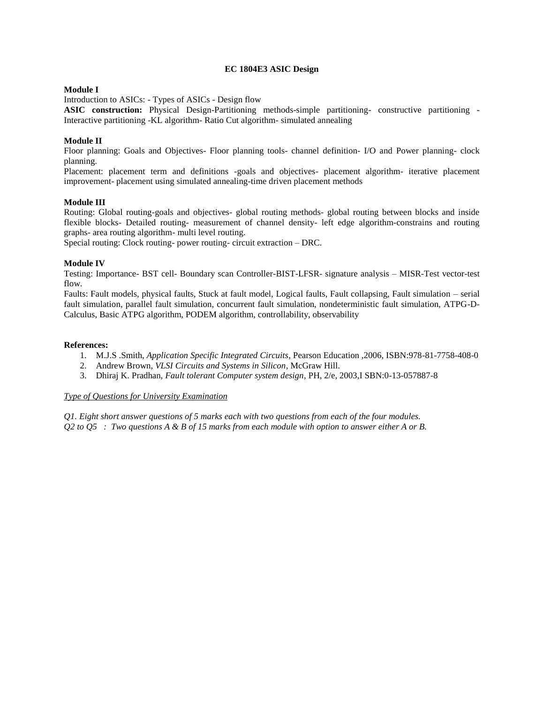### **EC 1804E3 ASIC Design**

## **Module I**

Introduction to ASICs: - Types of ASICs - Design flow

**ASIC construction:** Physical Design-Partitioning methods-simple partitioning- constructive partitioning - Interactive partitioning -KL algorithm- Ratio Cut algorithm- simulated annealing

## **Module II**

Floor planning: Goals and Objectives- Floor planning tools- channel definition- I/O and Power planning- clock planning.

Placement: placement term and definitions -goals and objectives- placement algorithm- iterative placement improvement- placement using simulated annealing-time driven placement methods

### **Module III**

Routing: Global routing-goals and objectives- global routing methods- global routing between blocks and inside flexible blocks- Detailed routing- measurement of channel density- left edge algorithm-constrains and routing graphs- area routing algorithm- multi level routing.

Special routing: Clock routing- power routing- circuit extraction – DRC.

### **Module IV**

Testing: Importance- BST cell- Boundary scan Controller-BIST-LFSR- signature analysis – MISR-Test vector-test flow.

Faults: Fault models, physical faults, Stuck at fault model, Logical faults, Fault collapsing, Fault simulation – serial fault simulation, parallel fault simulation, concurrent fault simulation, nondeterministic fault simulation, ATPG-D-Calculus, Basic ATPG algorithm, PODEM algorithm, controllability, observability

### **References:**

- 1. M.J.S .Smith, *Application Specific Integrated Circuits*, Pearson Education ,2006, ISBN:978-81-7758-408-0
- 2. Andrew Brown, *VLSI Circuits and Systems in Silicon*, McGraw Hill.
- 3. Dhiraj K. Pradhan, *Fault tolerant Computer system design*, PH, 2/e, 2003,I SBN:0-13-057887-8

## *Type of Questions for University Examination*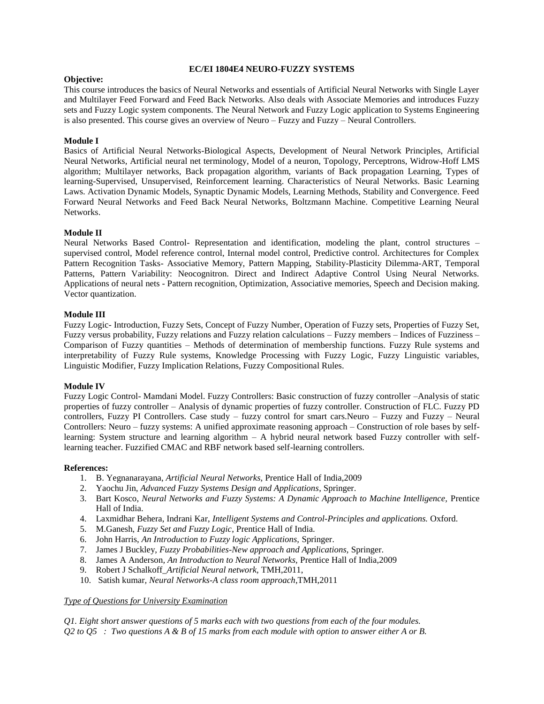### **EC/EI 1804E4 NEURO-FUZZY SYSTEMS**

## **Objective:**

This course introduces the basics of Neural Networks and essentials of Artificial Neural Networks with Single Layer and Multilayer Feed Forward and Feed Back Networks. Also deals with Associate Memories and introduces Fuzzy sets and Fuzzy Logic system components. The Neural Network and Fuzzy Logic application to Systems Engineering is also presented. This course gives an overview of Neuro – Fuzzy and Fuzzy – Neural Controllers.

# **Module I**

Basics of Artificial Neural Networks-Biological Aspects, Development of Neural Network Principles, Artificial Neural Networks, Artificial neural net terminology, Model of a neuron, Topology, Perceptrons, Widrow-Hoff LMS algorithm; Multilayer networks, Back propagation algorithm, variants of Back propagation Learning, Types of learning-Supervised, Unsupervised, Reinforcement learning. Characteristics of Neural Networks. Basic Learning Laws. Activation Dynamic Models, Synaptic Dynamic Models, Learning Methods, Stability and Convergence. Feed Forward Neural Networks and Feed Back Neural Networks, Boltzmann Machine. Competitive Learning Neural Networks.

# **Module II**

Neural Networks Based Control- Representation and identification, modeling the plant, control structures – supervised control, Model reference control, Internal model control, Predictive control. Architectures for Complex Pattern Recognition Tasks- Associative Memory, Pattern Mapping, Stability-Plasticity Dilemma-ART, Temporal Patterns, Pattern Variability: Neocognitron. Direct and Indirect Adaptive Control Using Neural Networks. Applications of neural nets - Pattern recognition, Optimization, Associative memories, Speech and Decision making. Vector quantization.

## **Module III**

Fuzzy Logic- Introduction, Fuzzy Sets, Concept of Fuzzy Number, Operation of Fuzzy sets, Properties of Fuzzy Set, Fuzzy versus probability, Fuzzy relations and Fuzzy relation calculations – Fuzzy members – Indices of Fuzziness – Comparison of Fuzzy quantities – Methods of determination of membership functions. Fuzzy Rule systems and interpretability of Fuzzy Rule systems, Knowledge Processing with Fuzzy Logic, Fuzzy Linguistic variables, Linguistic Modifier, Fuzzy Implication Relations, Fuzzy Compositional Rules.

# **Module IV**

Fuzzy Logic Control- Mamdani Model. Fuzzy Controllers: Basic construction of fuzzy controller –Analysis of static properties of fuzzy controller – Analysis of dynamic properties of fuzzy controller. Construction of FLC. Fuzzy PD controllers, Fuzzy PI Controllers. Case study – fuzzy control for smart cars.Neuro – Fuzzy and Fuzzy – Neural Controllers: Neuro – fuzzy systems: A unified approximate reasoning approach – Construction of role bases by selflearning: System structure and learning algorithm – A hybrid neural network based Fuzzy controller with selflearning teacher. Fuzzified CMAC and RBF network based self-learning controllers.

### **References:**

- 1. B. Yegnanarayana, *Artificial Neural Networks,* Prentice Hall of India,2009
- 2. Yaochu Jin, *Advanced Fuzzy Systems Design and Applications*, Springer.
- 3. Bart Kosco, *Neural Networks and Fuzzy Systems: A Dynamic Approach to Machine Intelligence,* Prentice Hall of India.
- 4. Laxmidhar Behera, Indrani Kar, *Intelligent Systems and Control-Principles and applications.* Oxford.
- 5. M.Ganesh, *Fuzzy Set and Fuzzy Logic*, Prentice Hall of India.
- 6. John Harris, *An Introduction to Fuzzy logic Applications,* Springer.
- 7. James J Buckley, *Fuzzy Probabilities-New approach and Applications,* Springer.
- 8. James A Anderson*, An Introduction to Neural Networks,* Prentice Hall of India,2009
- 9. Robert J Schalkoff\_*Artificial Neural network,* TMH,2011,
- 10. Satish kumar*, Neural Networks-A class room approach*,TMH,2011

### *Type of Questions for University Examination*

*Q1. Eight short answer questions of 5 marks each with two questions from each of the four modules. Q2 to Q5 : Two questions A & B of 15 marks from each module with option to answer either A or B.*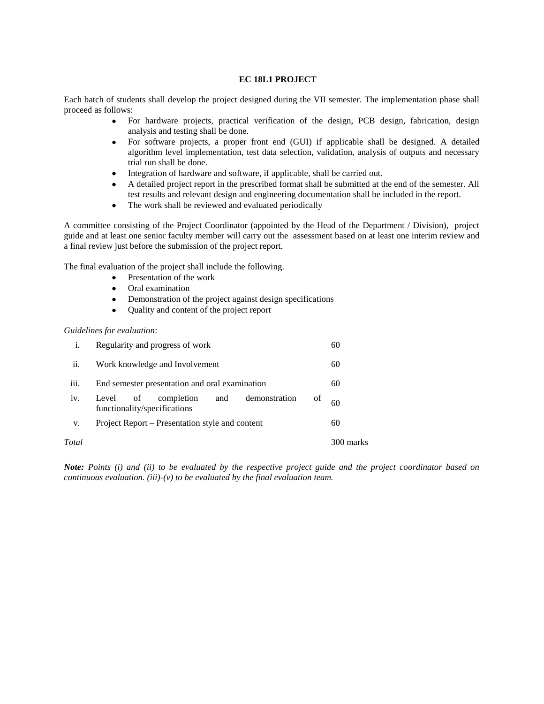## **EC 18L1 PROJECT**

Each batch of students shall develop the project designed during the VII semester. The implementation phase shall proceed as follows:

- For hardware projects, practical verification of the design, PCB design, fabrication, design analysis and testing shall be done.
- For software projects, a proper front end (GUI) if applicable shall be designed. A detailed algorithm level implementation, test data selection, validation, analysis of outputs and necessary trial run shall be done.
- Integration of hardware and software, if applicable, shall be carried out.
- A detailed project report in the prescribed format shall be submitted at the end of the semester. All test results and relevant design and engineering documentation shall be included in the report.
- The work shall be reviewed and evaluated periodically

A committee consisting of the Project Coordinator (appointed by the Head of the Department / Division), project guide and at least one senior faculty member will carry out the assessment based on at least one interim review and a final review just before the submission of the project report.

The final evaluation of the project shall include the following.

- Presentation of the work
- Oral examination
- Demonstration of the project against design specifications
- Ouality and content of the project report

#### *Guidelines for evaluation*:

|       | Regularity and progress of work                                                      | 60        |
|-------|--------------------------------------------------------------------------------------|-----------|
| ii.   | Work knowledge and Involvement                                                       | 60        |
| iii.  | End semester presentation and oral examination                                       | 60        |
| iv.   | demonstration<br>completion<br>Level of<br>and<br>οf<br>functionality/specifications | 60        |
| V.    | Project Report – Presentation style and content                                      | 60        |
| Total |                                                                                      | 300 marks |

*Note: Points (i) and (ii) to be evaluated by the respective project guide and the project coordinator based on continuous evaluation. (iii)-(v) to be evaluated by the final evaluation team.*